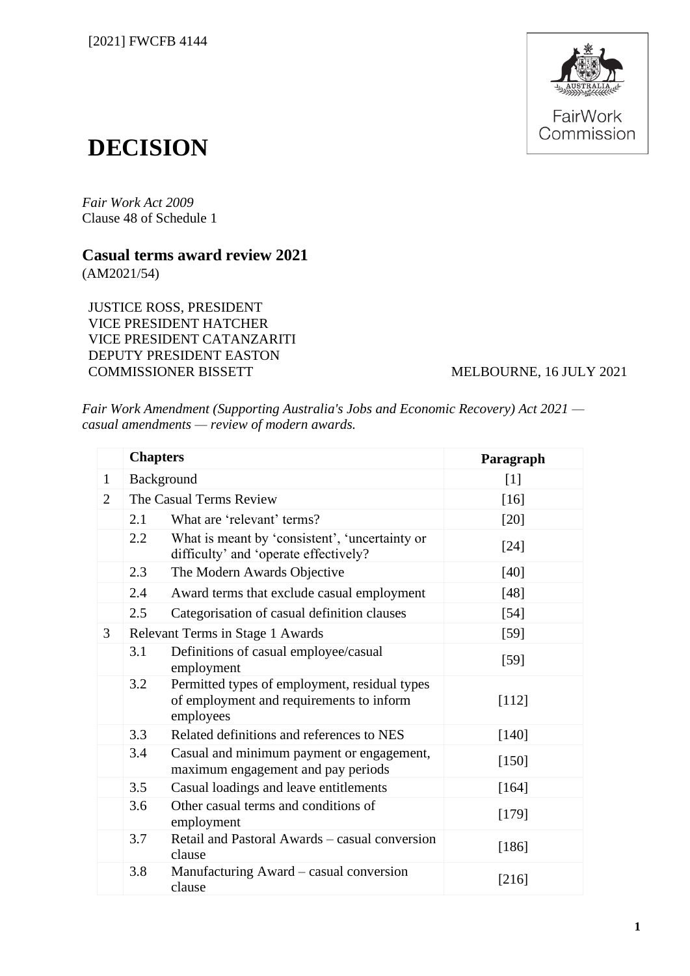

# **DECISION**

*Fair Work Act 2009* Clause 48 of Schedule 1

## **Casual terms award review 2021**

(AM2021/54)

JUSTICE ROSS, PRESIDENT VICE PRESIDENT HATCHER VICE PRESIDENT CATANZARITI DEPUTY PRESIDENT EASTON COMMISSIONER BISSETT MELBOURNE, 16 JULY 2021

*Fair Work Amendment (Supporting Australia's Jobs and Economic Recovery) Act 2021 casual amendments — review of modern awards.*

|                | <b>Chapters</b>                  |                                                                                                        | Paragraph         |
|----------------|----------------------------------|--------------------------------------------------------------------------------------------------------|-------------------|
| $\mathbf{1}$   | Background                       |                                                                                                        | $\lceil 1 \rceil$ |
| $\overline{2}$ | The Casual Terms Review          |                                                                                                        | $[16]$            |
|                | 2.1                              | What are 'relevant' terms?                                                                             | $[20]$            |
|                | $2.2^{\circ}$                    | What is meant by 'consistent', 'uncertainty or<br>difficulty' and 'operate effectively?                | $[24]$            |
|                | 2.3                              | The Modern Awards Objective                                                                            | $[40]$            |
|                | 2.4                              | Award terms that exclude casual employment                                                             | $[48]$            |
|                | 2.5                              | Categorisation of casual definition clauses                                                            | $[54]$            |
| $\mathfrak{Z}$ | Relevant Terms in Stage 1 Awards |                                                                                                        | $[59]$            |
|                | 3.1                              | Definitions of casual employee/casual<br>employment                                                    | $[59]$            |
|                | 3.2                              | Permitted types of employment, residual types<br>of employment and requirements to inform<br>employees | $[112]$           |
|                | 3.3                              | Related definitions and references to NES                                                              | [140]             |
|                | 3.4                              | Casual and minimum payment or engagement,<br>maximum engagement and pay periods                        | [150]             |
|                | 3.5                              | Casual loadings and leave entitlements                                                                 | [164]             |
|                | 3.6                              | Other casual terms and conditions of<br>employment                                                     | [179]             |
|                | 3.7                              | Retail and Pastoral Awards – casual conversion<br>clause                                               | $[186]$           |
|                | 3.8                              | Manufacturing Award – casual conversion<br>clause                                                      | $[216]$           |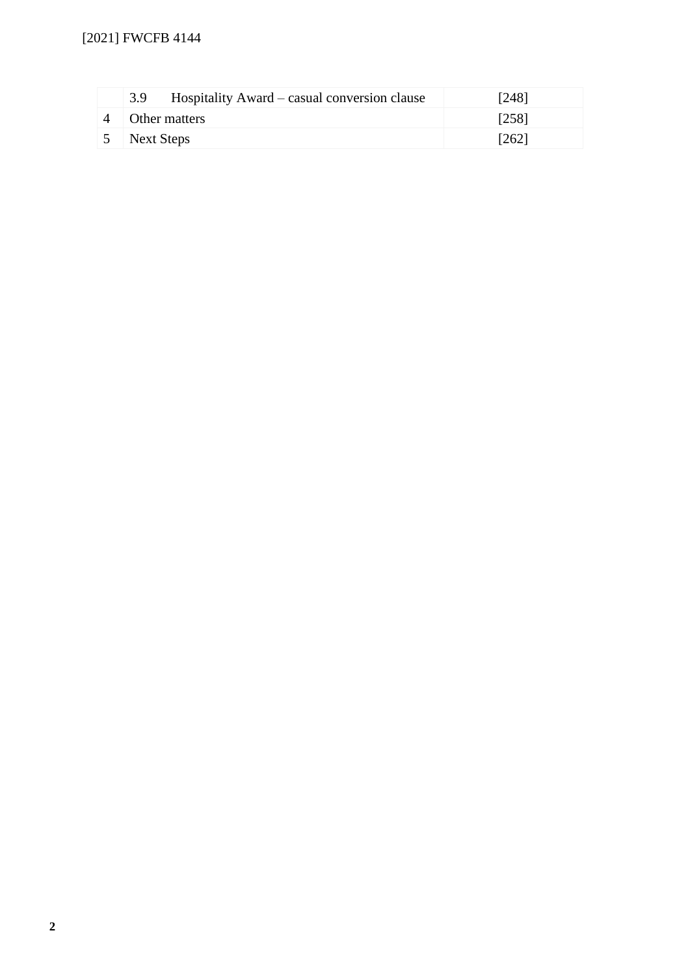| Hospitality Award – casual conversion clause<br>3.9 | [248] |
|-----------------------------------------------------|-------|
| Other matters                                       | [258] |
| 5 Next Steps                                        | [262] |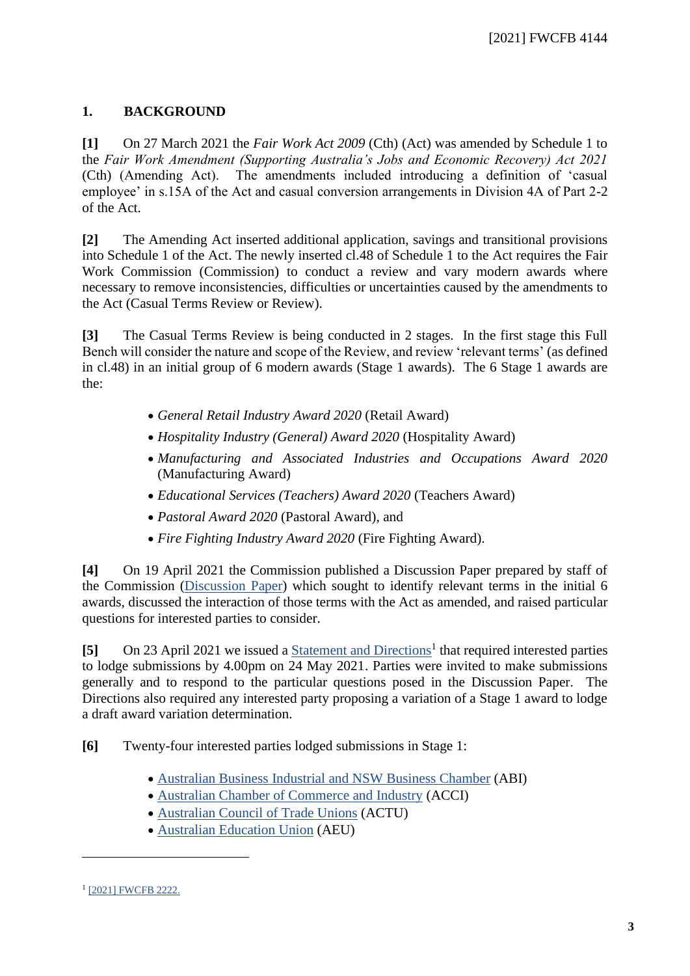## **1. BACKGROUND**

<span id="page-2-0"></span>**[1]** On 27 March 2021 the *Fair Work Act 2009* (Cth) (Act) was amended by Schedule 1 to the *Fair Work Amendment (Supporting Australia's Jobs and Economic Recovery) Act 2021* (Cth) (Amending Act). The amendments included introducing a definition of 'casual employee' in s.15A of the Act and casual conversion arrangements in Division 4A of Part 2-2 of the Act.

**[2]** The Amending Act inserted additional application, savings and transitional provisions into Schedule 1 of the Act. The newly inserted cl.48 of Schedule 1 to the Act requires the Fair Work Commission (Commission) to conduct a review and vary modern awards where necessary to remove inconsistencies, difficulties or uncertainties caused by the amendments to the Act (Casual Terms Review or Review).

**[3]** The Casual Terms Review is being conducted in 2 stages. In the first stage this Full Bench will consider the nature and scope of the Review, and review 'relevant terms' (as defined in cl.48) in an initial group of 6 modern awards (Stage 1 awards). The 6 Stage 1 awards are the:

- *General Retail Industry Award 2020* (Retail Award)
- *Hospitality Industry (General) Award 2020* (Hospitality Award)
- *Manufacturing and Associated Industries and Occupations Award 2020*  (Manufacturing Award)
- *Educational Services (Teachers) Award 2020* (Teachers Award)
- *Pastoral Award 2020* (Pastoral Award), and
- *Fire Fighting Industry Award 2020* (Fire Fighting Award).

**[4]** On 19 April 2021 the Commission published a Discussion Paper prepared by staff of the Commission [\(Discussion Paper\)](https://www.fwc.gov.au/sites/casual-terms-review/background/am2021-54-discussion-paper-2021-04-19.pdf) which sought to identify relevant terms in the initial 6 awards, discussed the interaction of those terms with the Act as amended, and raised particular questions for interested parties to consider.

[5] On 23 April 2021 we issued a **Statement and Directions<sup>1</sup>** that required interested parties to lodge submissions by 4.00pm on 24 May 2021. Parties were invited to make submissions generally and to respond to the particular questions posed in the Discussion Paper. The Directions also required any interested party proposing a variation of a Stage 1 award to lodge a draft award variation determination.

**[6]** Twenty-four interested parties lodged submissions in Stage 1:

- [Australian Business Industrial and NSW Business Chamber](https://www.fwc.gov.au/sites/casual-terms-review/submissions/am202154-sub-abinswbc-240521.pdf) (ABI)
- [Australian Chamber of Commerce and Industry](https://www.fwc.gov.au/sites/casual-terms-review/submissions/am202154-sub-acci-240521.pdf) (ACCI)
- [Australian Council of Trade Unions](https://www.fwc.gov.au/sites/casual-terms-review/submissions/am202154-sub-actu-240521.pdf) (ACTU)
- [Australian Education Union](https://www.fwc.gov.au/sites/casual-terms-review/submissions/am202154-sub-aeu-240521.pdf) (AEU)

<sup>&</sup>lt;sup>1</sup> [\[2021\] FWCFB 2222.](https://www.fwc.gov.au/decisionssigned/html/2021fwcfb2222.htm)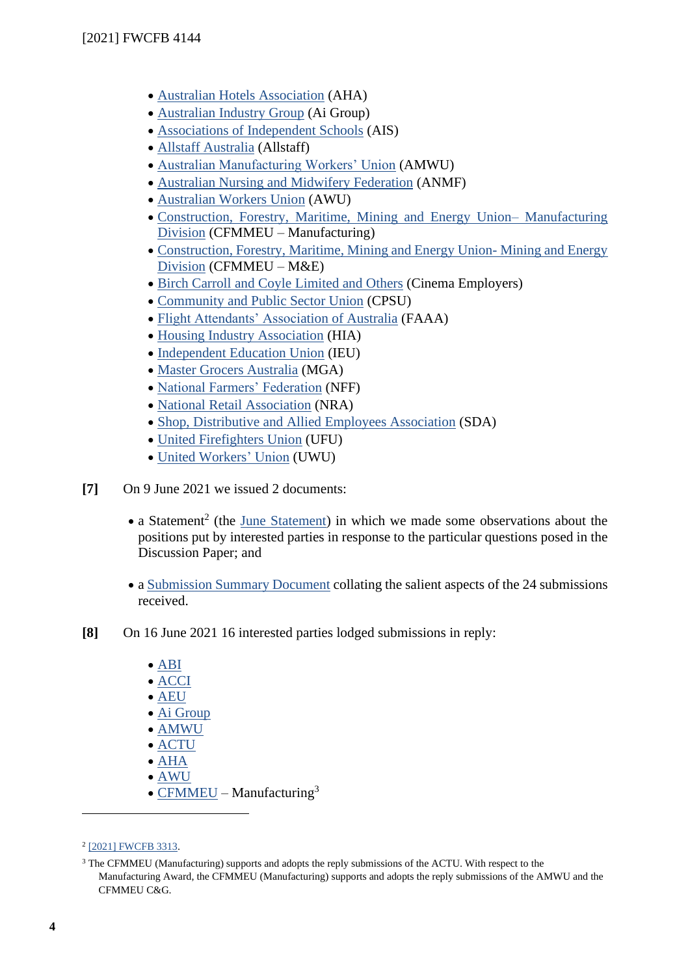- [Australian Hotels Association](https://www.fwc.gov.au/sites/casual-terms-review/submissions/am202154-sub-aha-240521.pdf) (AHA)
- [Australian Industry Group](https://www.fwc.gov.au/sites/casual-terms-review/submissions/am202154-sub-aig-240521.pdf) (Ai Group)
- [Associations of Independent Schools](https://www.fwc.gov.au/sites/casual-terms-review/submissions/am202154-sub-ais-240521.pdf) (AIS)
- [Allstaff Australia](https://www.fwc.gov.au/sites/casual-terms-review/submissions/am2021-54-sub-allaus-2021-04-27.pdf) (Allstaff)
- [Australian Manufacturing Workers' Union](https://www.fwc.gov.au/documents/sites/casual-terms-review/submissions/am202154-sub-amwu-240521.pdf) (AMWU)
- [Australian Nursing and Midwifery Federation](https://www.fwc.gov.au/sites/casual-terms-review/submissions/am202154-sub-anmf-240521.pdf) (ANMF)
- [Australian Workers Union](https://www.fwc.gov.au/sites/casual-terms-review/submissions/am202154-sub-awu-240521.pdf) (AWU)
- [Construction, Forestry, Maritime, Mining and Energy Union–](https://www.fwc.gov.au/sites/casual-terms-review/submissions/am202154-sub-cfmmeu-24052021.pdf) Manufacturing [Division](https://www.fwc.gov.au/sites/casual-terms-review/submissions/am202154-sub-cfmmeu-24052021.pdf) (CFMMEU – Manufacturing)
- [Construction, Forestry, Maritime, Mining and Energy](https://www.fwc.gov.au/sites/casual-terms-review/submissions/am202154-sub-cfmmeu-240521.pdf) Union- Mining and Energy [Division](https://www.fwc.gov.au/sites/casual-terms-review/submissions/am202154-sub-cfmmeu-240521.pdf) (CFMMEU – M&E)
- [Birch Carroll and Coyle Limited and Others](https://www.fwc.gov.au/sites/casual-terms-review/submissions/am202154-sub-bcc-ors-240521.pdf) (Cinema Employers)
- [Community and Public Sector Union](https://www.fwc.gov.au/documents/sites/casual-terms-review/submissions/am202154-sub-cpsu-240521.pdf) (CPSU)
- [Flight Attendants' Association of Australia](https://www.fwc.gov.au/sites/casual-terms-review/submissions/am202154-sub-faaa-240521.pdf) (FAAA)
- [Housing Industry Association](https://www.fwc.gov.au/sites/casual-terms-review/submissions/am202154-sub-hia-240521.pdf) (HIA)
- [Independent Education Union](https://www.fwc.gov.au/sites/casual-terms-review/submissions/am202154-sub-ieu-240521.pdf) (IEU)
- [Master Grocers Australia](https://www.fwc.gov.au/sites/casual-terms-review/submissions/am202154-sub-mga-240521.pdf) (MGA)
- [National Farmers' Federation](https://www.fwc.gov.au/sites/casual-terms-review/submissions/am202154-sub-nff-240521.pdf) (NFF)
- [National Retail Association](https://www.fwc.gov.au/sites/casual-terms-review/submissions/am202154-sub-nra-240521.pdf) (NRA)
- [Shop, Distributive and Allied Employees Association](https://www.fwc.gov.au/sites/casual-terms-review/submissions/am202154-sub-sda-240521.pdf) (SDA)
- [United Firefighters Union](https://www.fwc.gov.au/sites/casual-terms-review/submissions/am202154-sub-ufua-240521.pdf) (UFU)
- [United Workers' Union](https://www.fwc.gov.au/sites/casual-terms-review/submissions/am202154-sub-uwu-240521.pdf) (UWU)
- **[7]** On 9 June 2021 we issued 2 documents:
	- a Statement<sup>2</sup> (the [June Statement\)](https://www.fwc.gov.au/documents/decisionssigned/html/pdf/2021fwcfb3313.pdf) in which we made some observations about the positions put by interested parties in response to the particular questions posed in the Discussion Paper; and
	- a [Submission Summary Document](https://www.fwc.gov.au/sites/casual-terms-review/submissions/am202154-sub-summary-090621.pdf) collating the salient aspects of the 24 submissions received.
- **[8]** On 16 June 2021 16 interested parties lodged submissions in reply:
	- [ABI](https://www.fwc.gov.au/documents/sites/casual-terms-review/submissions/am202154-sub-reply-abinswbc-160621.pdf)
	- [ACCI](https://www.fwc.gov.au/documents/sites/casual-terms-review/submissions/am202154-sub-inreply-acci-160621.pdf)
	- [AEU](https://www.fwc.gov.au/documents/sites/casual-terms-review/submissions/am202154-sub-inreply-aeu-160621.pdf)
	- [Ai Group](https://www.fwc.gov.au/documents/sites/casual-terms-review/submissions/am202154-sub-inreply-aig-160621.pdf)
	- [AMWU](https://www.fwc.gov.au/documents/sites/casual-terms-review/submissions/am202154-sub-inreply-amwu-160621.pdf)
	- [ACTU](https://www.fwc.gov.au/documents/sites/casual-terms-review/submissions/am202154-sub-inreply-actu-160621.pdf)
	- [AHA](https://www.fwc.gov.au/documents/sites/casual-terms-review/submissions/am202154-sub-inreply-aha-160621.pdf)
	- [AWU](https://www.fwc.gov.au/documents/sites/casual-terms-review/submissions/am202154-sub-inreply-awu-160621.pdf)
	- [CFMMEU](https://www.fwc.gov.au/documents/sites/casual-terms-review/submissions/am202154-sub-inreply-cfmmeu-md-160621.pdf) Manufacturing<sup>3</sup>

<sup>&</sup>lt;sup>2</sup> [\[2021\] FWCFB 3313.](https://www.fwc.gov.au/documents/decisionssigned/html/pdf/2021fwcfb3313.pdf)

<sup>3</sup> The CFMMEU (Manufacturing) supports and adopts the reply submissions of the ACTU. With respect to the Manufacturing Award, the CFMMEU (Manufacturing) supports and adopts the reply submissions of the AMWU and the CFMMEU C&G.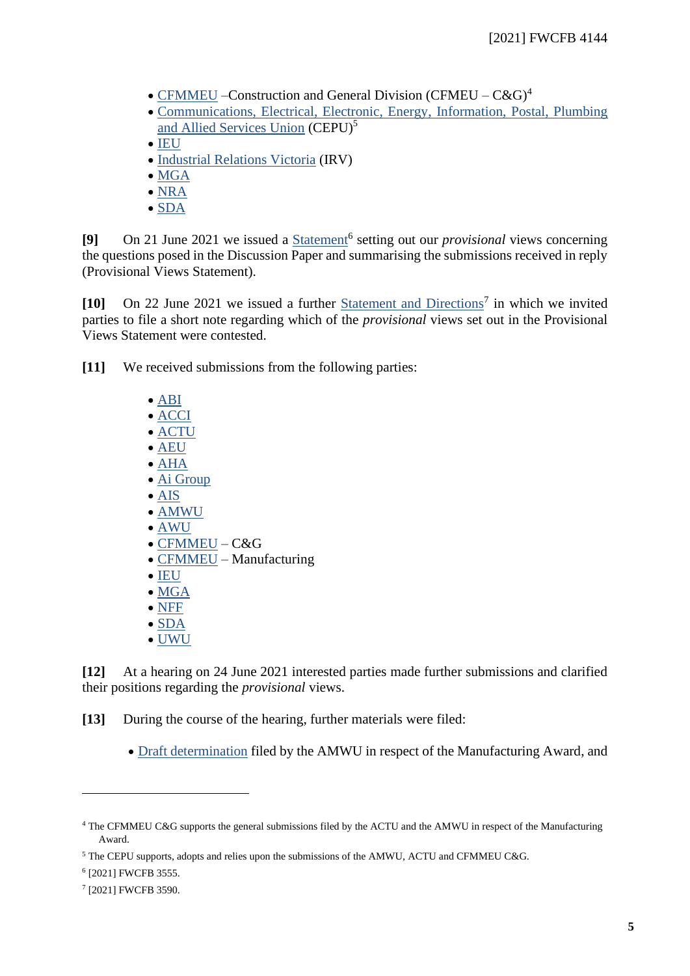- [CFMMEU](https://www.fwc.gov.au/documents/sites/casual-terms-review/submissions/am202154-sub-inreply-cfmmeu-160621.pdf) –Construction and General Division (CFMEU  $C\&G$ )<sup>4</sup>
- [Communications, Electrical, Electronic, Energy, Information, Postal, Plumbing](https://www.fwc.gov.au/documents/sites/casual-terms-review/submissions/am202154-sub-inreply-cepu-160621.pdf)  [and Allied Services Union](https://www.fwc.gov.au/documents/sites/casual-terms-review/submissions/am202154-sub-inreply-cepu-160621.pdf) (CEPU)<sup>5</sup>
- [IEU](https://www.fwc.gov.au/documents/sites/casual-terms-review/submissions/am202154-sub-inreply-ieu-160621.pdf)
- [Industrial Relations Victoria](https://www.fwc.gov.au/documents/sites/casual-terms-review/submissions/am202154-sub-inreply-100621.pdf) (IRV)
- [MGA](https://www.fwc.gov.au/documents/sites/casual-terms-review/submissions/am202154-sub-inreply-mga-160621.pdf)
- [NRA](https://www.fwc.gov.au/documents/sites/casual-terms-review/submissions/am202154-sub-inreply-nra-160621.pdf)
- [SDA](https://www.fwc.gov.au/documents/sites/casual-terms-review/submissions/am202154-sub-inreply-sda-160621.pdf)

[9] On 21 June 2021 we issued a **Statement<sup>6</sup>** setting out our *provisional* views concerning the questions posed in the Discussion Paper and summarising the submissions received in reply (Provisional Views Statement).

[10] On 22 June 2021 we issued a further **Statement and Directions<sup>7</sup>** in which we invited parties to file a short note regarding which of the *provisional* views set out in the Provisional Views Statement were contested.

**[11]** We received submissions from the following parties:

- [ABI](https://www.fwc.gov.au/documents/sites/casual-terms-review/submissions/am202154-sub-abinswbc-230621.pdf)
- [ACCI](https://www.fwc.gov.au/documents/sites/casual-terms-review/submissions/am202154-sub-acci-230621.pdf)
- [ACTU](https://www.fwc.gov.au/documents/sites/casual-terms-review/submissions/am202154-sub-actu-230621.pdf)
- [AEU](https://www.fwc.gov.au/documents/sites/casual-terms-review/submissions/am202154-sub-aeu-230621.pdf)
- [AHA](https://www.fwc.gov.au/documents/sites/casual-terms-review/submissions/am202154-sub-aha-230621.pdf)
- [Ai Group](https://www.fwc.gov.au/documents/sites/casual-terms-review/submissions/am202154-sub-aigroup-230621.pdf)
- [AIS](https://www.fwc.gov.au/documents/sites/casual-terms-review/submissions/am202154-sub-ais-230621.pdf)
- [AMWU](https://www.fwc.gov.au/documents/sites/casual-terms-review/submissions/am202154-sub-amwu-230621.pdf)
- [AWU](https://www.fwc.gov.au/documents/sites/casual-terms-review/submissions/am202154-sub-awu-230621.pdf)
- [CFMMEU](https://www.fwc.gov.au/documents/sites/casual-terms-review/submissions/am202154-sub-cfmmeu-cg-230621.pdf) C&G
- [CFMMEU](https://www.fwc.gov.au/documents/sites/casual-terms-review/submissions/am202154-sub-inreply-cfmmeu-md-160621.pdf) Manufacturing
- [IEU](https://www.fwc.gov.au/documents/sites/casual-terms-review/submissions/am202154-sub-ieu-230621.pdf)
- [MGA](https://www.fwc.gov.au/documents/sites/casual-terms-review/submissions/am202154-sub-mga-230621.pdf)
- [NFF](https://www.fwc.gov.au/documents/sites/casual-terms-review/submissions/am202154-sub-nff-230621.pdf)
- [SDA](https://www.fwc.gov.au/documents/sites/casual-terms-review/submissions/am202154-sub-sda-230621.pdf)
- [UWU](https://www.fwc.gov.au/documents/sites/casual-terms-review/submissions/am202154-sub-uwu-230621.pdf)

**[12]** At a hearing on 24 June 2021 interested parties made further submissions and clarified their positions regarding the *provisional* views.

**[13]** During the course of the hearing, further materials were filed:

• [Draft determination](https://www.fwc.gov.au/documents/sites/casual-terms-review/submissions/am2021540-sub-dd-amwu-240621.pdf) filed by the AMWU in respect of the Manufacturing Award, and

<sup>4</sup> The CFMMEU C&G supports the general submissions filed by the ACTU and the AMWU in respect of the Manufacturing Award.

<sup>5</sup> The CEPU supports, adopts and relies upon the submissions of the AMWU, ACTU and CFMMEU C&G.

<sup>6</sup> [2021] FWCFB 3555.

<sup>7</sup> [2021] FWCFB 3590.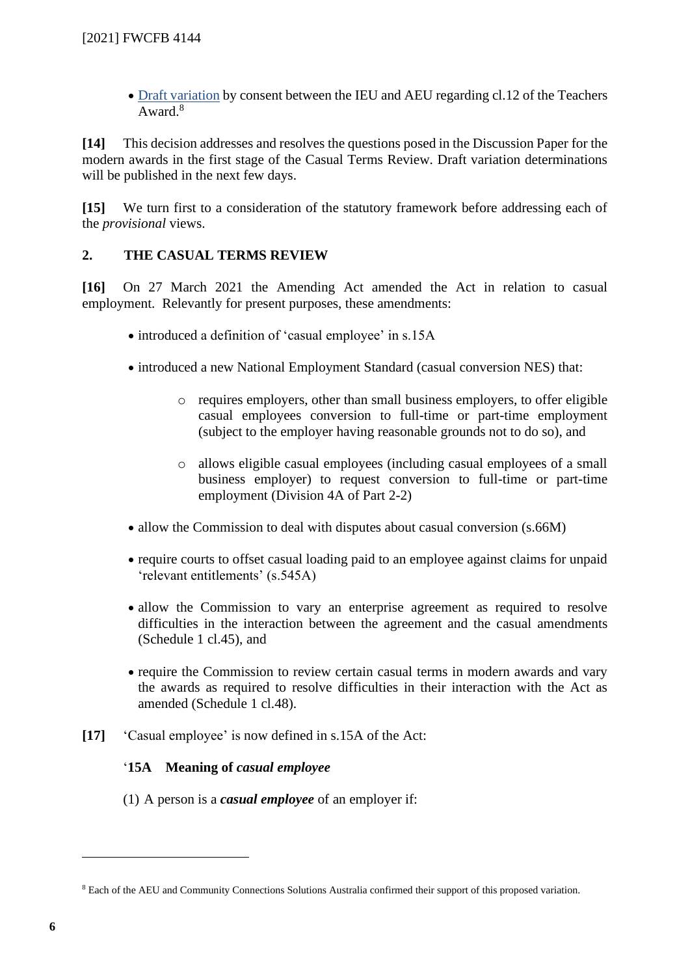• [Draft variation](https://www.fwc.gov.au/documents/sites/casual-terms-review/submissions/am202154-corr-dd-ieu-240621.pdf) by consent between the IEU and AEU regarding cl.12 of the Teachers Award.<sup>8</sup>

**[14]** This decision addresses and resolves the questions posed in the Discussion Paper for the modern awards in the first stage of the Casual Terms Review. Draft variation determinations will be published in the next few days.

**[15]** We turn first to a consideration of the statutory framework before addressing each of the *provisional* views.

## **2. THE CASUAL TERMS REVIEW**

<span id="page-5-0"></span>**[16]** On 27 March 2021 the Amending Act amended the Act in relation to casual employment. Relevantly for present purposes, these amendments:

- introduced a definition of 'casual employee' in s.15A
- introduced a new National Employment Standard (casual conversion NES) that:
	- o requires employers, other than small business employers, to offer eligible casual employees conversion to full-time or part-time employment (subject to the employer having reasonable grounds not to do so), and
	- o allows eligible casual employees (including casual employees of a small business employer) to request conversion to full-time or part-time employment (Division 4A of Part 2-2)
- allow the Commission to deal with disputes about casual conversion (s.66M)
- require courts to offset casual loading paid to an employee against claims for unpaid 'relevant entitlements' (s.545A)
- allow the Commission to vary an enterprise agreement as required to resolve difficulties in the interaction between the agreement and the casual amendments (Schedule 1 cl.45), and
- require the Commission to review certain casual terms in modern awards and vary the awards as required to resolve difficulties in their interaction with the Act as amended (Schedule 1 cl.48).
- **[17]** 'Casual employee' is now defined in s.15A of the Act:

## '**15A Meaning of** *casual employee*

(1) A person is a *casual employee* of an employer if:

<sup>8</sup> Each of the AEU and Community Connections Solutions Australia confirmed their support of this proposed variation.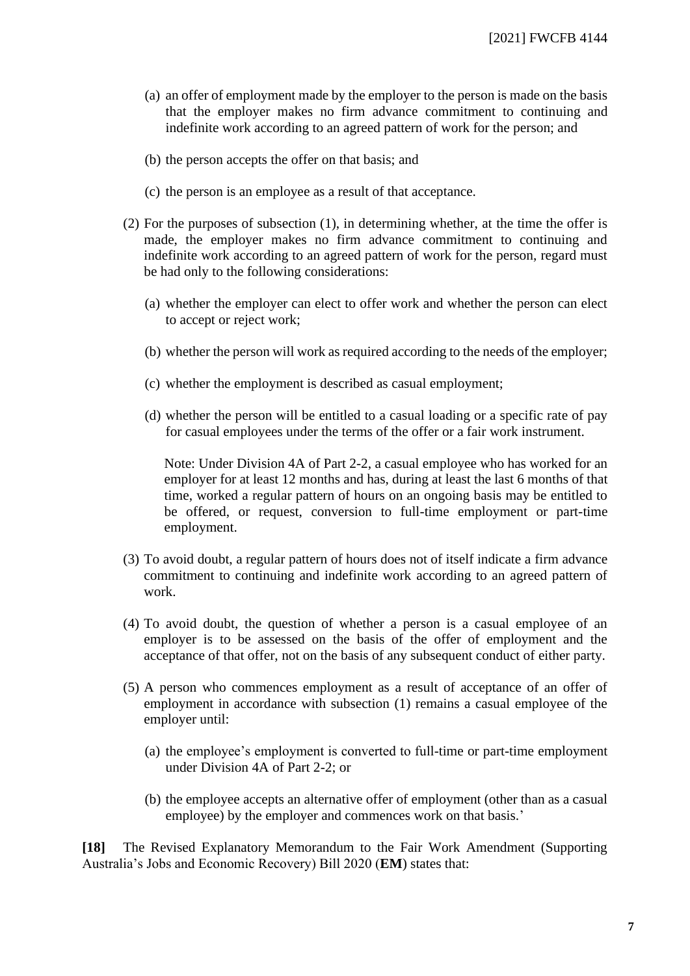- (a) an offer of employment made by the employer to the person is made on the basis that the employer makes no firm advance commitment to continuing and indefinite work according to an agreed pattern of work for the person; and
- (b) the person accepts the offer on that basis; and
- (c) the person is an employee as a result of that acceptance.
- (2) For the purposes of subsection (1), in determining whether, at the time the offer is made, the employer makes no firm advance commitment to continuing and indefinite work according to an agreed pattern of work for the person, regard must be had only to the following considerations:
	- (a) whether the employer can elect to offer work and whether the person can elect to accept or reject work;
	- (b) whether the person will work as required according to the needs of the employer;
	- (c) whether the employment is described as casual employment;
	- (d) whether the person will be entitled to a casual loading or a specific rate of pay for casual employees under the terms of the offer or a fair work instrument.

Note: Under Division 4A of Part 2-2, a casual employee who has worked for an employer for at least 12 months and has, during at least the last 6 months of that time, worked a regular pattern of hours on an ongoing basis may be entitled to be offered, or request, conversion to full-time employment or part-time employment.

- (3) To avoid doubt, a regular pattern of hours does not of itself indicate a firm advance commitment to continuing and indefinite work according to an agreed pattern of work.
- (4) To avoid doubt, the question of whether a person is a casual employee of an employer is to be assessed on the basis of the offer of employment and the acceptance of that offer, not on the basis of any subsequent conduct of either party.
- (5) A person who commences employment as a result of acceptance of an offer of employment in accordance with subsection (1) remains a casual employee of the employer until:
	- (a) the employee's employment is converted to full-time or part-time employment under Division 4A of Part 2-2; or
	- (b) the employee accepts an alternative offer of employment (other than as a casual employee) by the employer and commences work on that basis.'

**[18]** The Revised Explanatory Memorandum to the Fair Work Amendment (Supporting Australia's Jobs and Economic Recovery) Bill 2020 (**EM**) states that: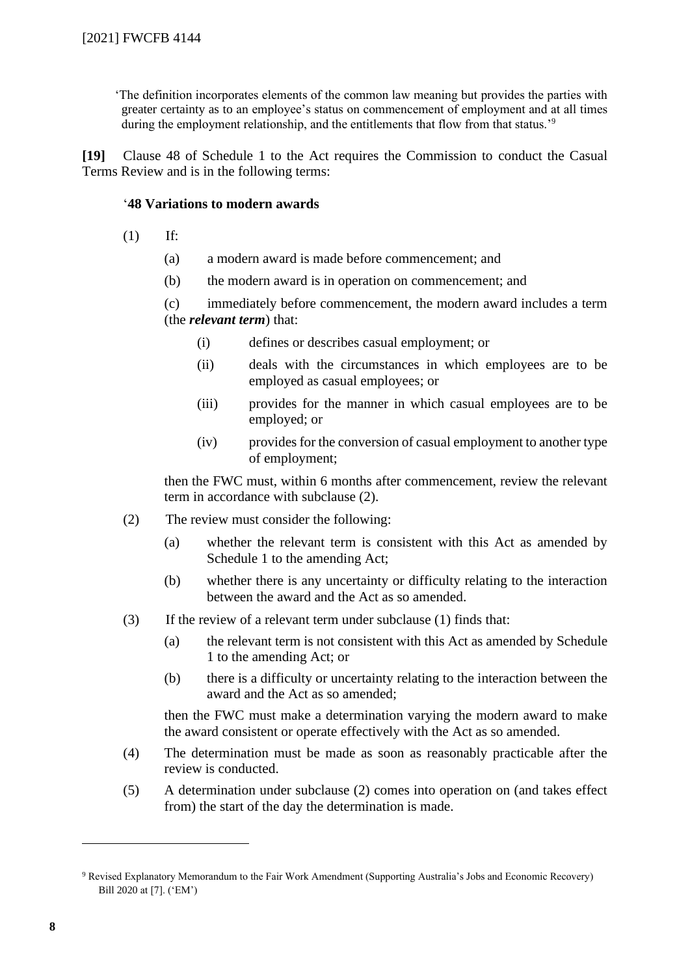'The definition incorporates elements of the common law meaning but provides the parties with greater certainty as to an employee's status on commencement of employment and at all times during the employment relationship, and the entitlements that flow from that status.'<sup>9</sup>

**[19]** Clause 48 of Schedule 1 to the Act requires the Commission to conduct the Casual Terms Review and is in the following terms:

#### '**48 Variations to modern awards**

- $(1)$  If:
	- (a) a modern award is made before commencement; and
	- (b) the modern award is in operation on commencement; and

(c) immediately before commencement, the modern award includes a term (the *relevant term*) that:

- (i) defines or describes casual employment; or
- (ii) deals with the circumstances in which employees are to be employed as casual employees; or
- (iii) provides for the manner in which casual employees are to be employed; or
- (iv) provides for the conversion of casual employment to another type of employment;

then the FWC must, within 6 months after commencement, review the relevant term in accordance with subclause (2).

- (2) The review must consider the following:
	- (a) whether the relevant term is consistent with this Act as amended by Schedule 1 to the amending Act;
	- (b) whether there is any uncertainty or difficulty relating to the interaction between the award and the Act as so amended.
- (3) If the review of a relevant term under subclause (1) finds that:
	- (a) the relevant term is not consistent with this Act as amended by Schedule 1 to the amending Act; or
	- (b) there is a difficulty or uncertainty relating to the interaction between the award and the Act as so amended;

then the FWC must make a determination varying the modern award to make the award consistent or operate effectively with the Act as so amended.

- (4) The determination must be made as soon as reasonably practicable after the review is conducted.
- (5) A determination under subclause (2) comes into operation on (and takes effect from) the start of the day the determination is made.

<sup>9</sup> Revised Explanatory Memorandum to the Fair Work Amendment (Supporting Australia's Jobs and Economic Recovery) Bill 2020 at [7]. ('EM')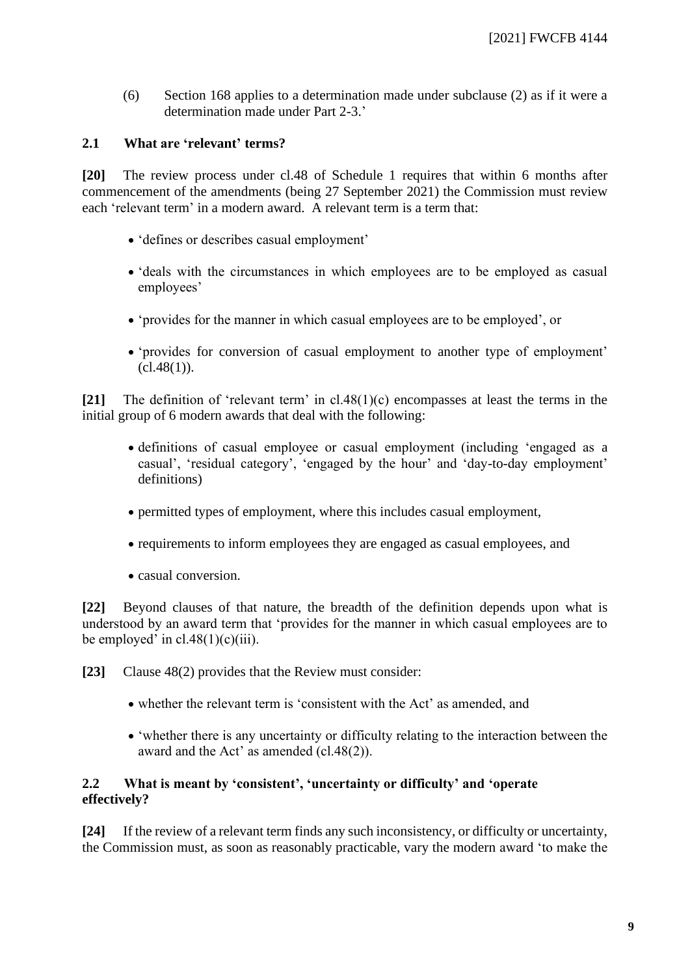(6) Section 168 applies to a determination made under subclause (2) as if it were a determination made under Part 2-3.'

#### **2.1 What are 'relevant' terms?**

<span id="page-8-0"></span>**[20]** The review process under cl.48 of Schedule 1 requires that within 6 months after commencement of the amendments (being 27 September 2021) the Commission must review each 'relevant term' in a modern award. A relevant term is a term that:

- 'defines or describes casual employment'
- 'deals with the circumstances in which employees are to be employed as casual employees'
- 'provides for the manner in which casual employees are to be employed', or
- 'provides for conversion of casual employment to another type of employment'  $(cl.48(1))$ .

**[21]** The definition of 'relevant term' in cl.48(1)(c) encompasses at least the terms in the initial group of 6 modern awards that deal with the following:

- definitions of casual employee or casual employment (including 'engaged as a casual', 'residual category', 'engaged by the hour' and 'day-to-day employment' definitions)
- permitted types of employment, where this includes casual employment,
- requirements to inform employees they are engaged as casual employees, and
- casual conversion.

**[22]** Beyond clauses of that nature, the breadth of the definition depends upon what is understood by an award term that 'provides for the manner in which casual employees are to be employed' in  $cl.48(1)(c)(iii)$ .

- **[23]** Clause 48(2) provides that the Review must consider:
	- whether the relevant term is 'consistent with the Act' as amended, and
	- 'whether there is any uncertainty or difficulty relating to the interaction between the award and the Act' as amended (cl.48(2)).

## **2.2 What is meant by 'consistent', 'uncertainty or difficulty' and 'operate effectively?**

<span id="page-8-1"></span>**[24]** If the review of a relevant term finds any such inconsistency, or difficulty or uncertainty, the Commission must, as soon as reasonably practicable, vary the modern award 'to make the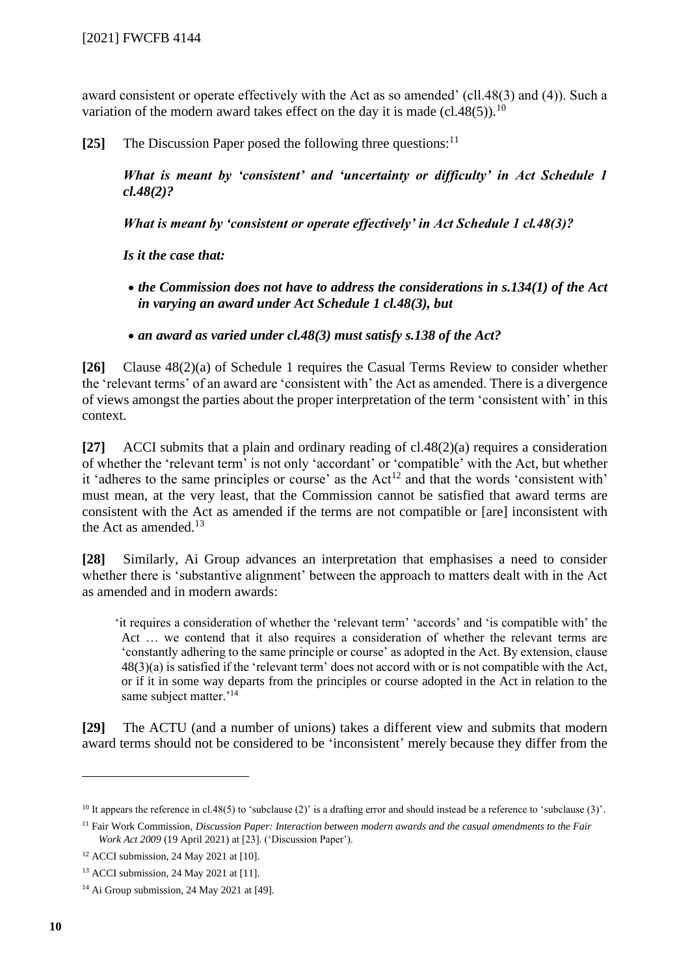award consistent or operate effectively with the Act as so amended' (cll.48(3) and (4)). Such a variation of the modern award takes effect on the day it is made (cl.48(5)).<sup>10</sup>

**[25]** The Discussion Paper posed the following three questions:<sup>11</sup>

*What is meant by 'consistent' and 'uncertainty or difficulty' in Act Schedule 1 cl.48(2)?*

*What is meant by 'consistent or operate effectively' in Act Schedule 1 cl.48(3)?*

*Is it the case that:*

- *the Commission does not have to address the considerations in s.134(1) of the Act in varying an award under Act Schedule 1 cl.48(3), but*
- *an award as varied under cl.48(3) must satisfy s.138 of the Act?*

**[26]** Clause 48(2)(a) of Schedule 1 requires the Casual Terms Review to consider whether the 'relevant terms' of an award are 'consistent with' the Act as amended. There is a divergence of views amongst the parties about the proper interpretation of the term 'consistent with' in this context.

**[27]** ACCI submits that a plain and ordinary reading of cl.48(2)(a) requires a consideration of whether the 'relevant term' is not only 'accordant' or 'compatible' with the Act, but whether it 'adheres to the same principles or course' as the  $Act<sup>12</sup>$  and that the words 'consistent with' must mean, at the very least, that the Commission cannot be satisfied that award terms are consistent with the Act as amended if the terms are not compatible or [are] inconsistent with the Act as amended. $13$ 

**[28]** Similarly, Ai Group advances an interpretation that emphasises a need to consider whether there is 'substantive alignment' between the approach to matters dealt with in the Act as amended and in modern awards:

'it requires a consideration of whether the 'relevant term' 'accords' and 'is compatible with' the Act … we contend that it also requires a consideration of whether the relevant terms are 'constantly adhering to the same principle or course' as adopted in the Act. By extension, clause 48(3)(a) is satisfied if the 'relevant term' does not accord with or is not compatible with the Act, or if it in some way departs from the principles or course adopted in the Act in relation to the same subject matter.'<sup>14</sup>

**[29]** The ACTU (and a number of unions) takes a different view and submits that modern award terms should not be considered to be 'inconsistent' merely because they differ from the

<sup>&</sup>lt;sup>10</sup> It appears the reference in cl.48(5) to 'subclause (2)' is a drafting error and should instead be a reference to 'subclause (3)'.

<sup>11</sup> Fair Work Commission, *Discussion Paper: Interaction between modern awards and the casual amendments to the Fair Work Act 2009* (19 April 2021) at [23]. ('Discussion Paper').

<sup>12</sup> ACCI submission, 24 May 2021 at [10].

<sup>13</sup> ACCI submission, 24 May 2021 at [11].

<sup>&</sup>lt;sup>14</sup> Ai Group submission, 24 May 2021 at [49].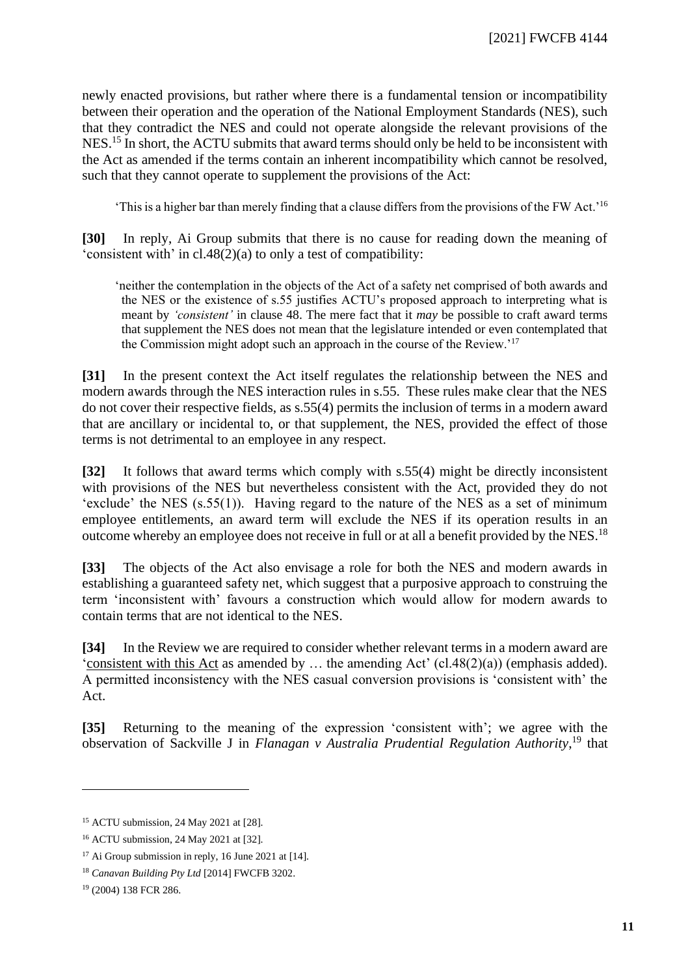newly enacted provisions, but rather where there is a fundamental tension or incompatibility between their operation and the operation of the National Employment Standards (NES), such that they contradict the NES and could not operate alongside the relevant provisions of the NES.<sup>15</sup> In short, the ACTU submits that award terms should only be held to be inconsistent with the Act as amended if the terms contain an inherent incompatibility which cannot be resolved, such that they cannot operate to supplement the provisions of the Act:

'This is a higher bar than merely finding that a clause differs from the provisions of the FW Act.'<sup>16</sup>

**[30]** In reply, Ai Group submits that there is no cause for reading down the meaning of 'consistent with' in cl.48(2)(a) to only a test of compatibility:

'neither the contemplation in the objects of the Act of a safety net comprised of both awards and the NES or the existence of s.55 justifies ACTU's proposed approach to interpreting what is meant by *'consistent'* in clause 48. The mere fact that it *may* be possible to craft award terms that supplement the NES does not mean that the legislature intended or even contemplated that the Commission might adopt such an approach in the course of the Review.'<sup>17</sup>

**[31]** In the present context the Act itself regulates the relationship between the NES and modern awards through the NES interaction rules in s.55. These rules make clear that the NES do not cover their respective fields, as s.55(4) permits the inclusion of terms in a modern award that are ancillary or incidental to, or that supplement, the NES, provided the effect of those terms is not detrimental to an employee in any respect.

**[32]** It follows that award terms which comply with s.55(4) might be directly inconsistent with provisions of the NES but nevertheless consistent with the Act, provided they do not 'exclude' the NES (s.55(1)). Having regard to the nature of the NES as a set of minimum employee entitlements, an award term will exclude the NES if its operation results in an outcome whereby an employee does not receive in full or at all a benefit provided by the NES.<sup>18</sup>

**[33]** The objects of the Act also envisage a role for both the NES and modern awards in establishing a guaranteed safety net, which suggest that a purposive approach to construing the term 'inconsistent with' favours a construction which would allow for modern awards to contain terms that are not identical to the NES.

**[34]** In the Review we are required to consider whether relevant terms in a modern award are 'consistent with this Act as amended by … the amending Act' (cl.48(2)(a)) (emphasis added). A permitted inconsistency with the NES casual conversion provisions is 'consistent with' the Act.

**[35]** Returning to the meaning of the expression 'consistent with'; we agree with the observation of Sackville J in *Flanagan v Australia Prudential Regulation Authority*, <sup>19</sup> that

<sup>15</sup> ACTU submission, 24 May 2021 at [28].

<sup>16</sup> ACTU submission, 24 May 2021 at [32].

 $17$  Ai Group submission in reply, 16 June 2021 at [14].

<sup>18</sup> *Canavan Building Pty Ltd* [2014] FWCFB 3202.

<sup>19</sup> (2004) 138 FCR 286.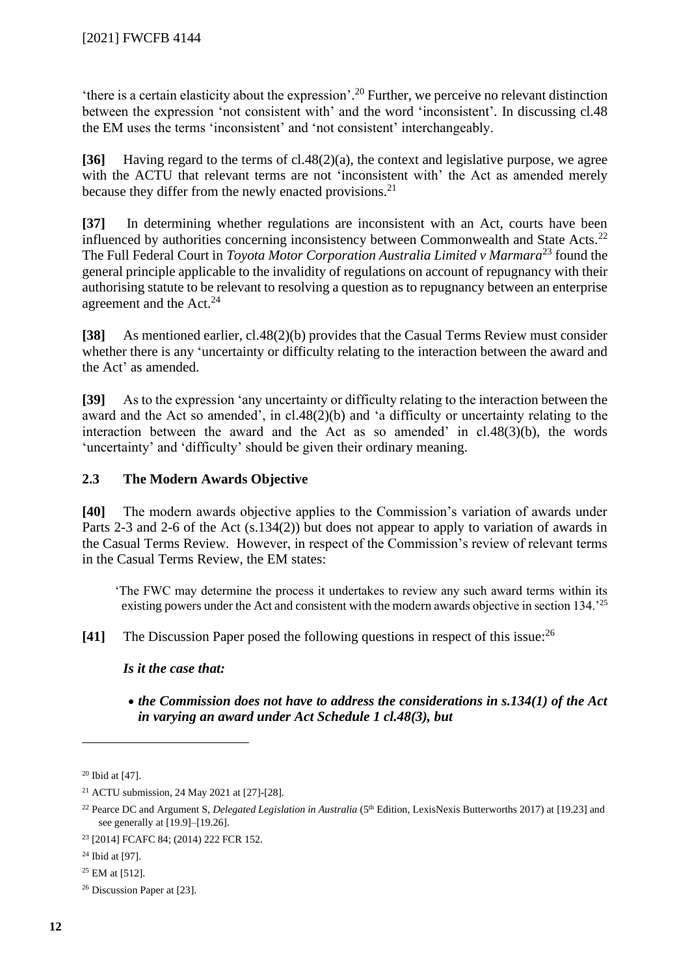'there is a certain elasticity about the expression'. <sup>20</sup> Further, we perceive no relevant distinction between the expression 'not consistent with' and the word 'inconsistent'. In discussing cl.48 the EM uses the terms 'inconsistent' and 'not consistent' interchangeably.

**[36]** Having regard to the terms of cl.48(2)(a), the context and legislative purpose, we agree with the ACTU that relevant terms are not 'inconsistent with' the Act as amended merely because they differ from the newly enacted provisions.<sup>21</sup>

**[37]** In determining whether regulations are inconsistent with an Act, courts have been influenced by authorities concerning inconsistency between Commonwealth and State Acts.<sup>22</sup> The Full Federal Court in *Toyota Motor Corporation Australia Limited v Marmara*<sup>23</sup> found the general principle applicable to the invalidity of regulations on account of repugnancy with their authorising statute to be relevant to resolving a question as to repugnancy between an enterprise agreement and the Act.<sup>24</sup>

**[38]** As mentioned earlier, cl.48(2)(b) provides that the Casual Terms Review must consider whether there is any 'uncertainty or difficulty relating to the interaction between the award and the Act' as amended.

**[39]** As to the expression 'any uncertainty or difficulty relating to the interaction between the award and the Act so amended', in cl.48(2)(b) and 'a difficulty or uncertainty relating to the interaction between the award and the Act as so amended' in cl.48(3)(b), the words 'uncertainty' and 'difficulty' should be given their ordinary meaning.

## **2.3 The Modern Awards Objective**

<span id="page-11-0"></span>**[40]** The modern awards objective applies to the Commission's variation of awards under Parts 2-3 and 2-6 of the Act (s.134(2)) but does not appear to apply to variation of awards in the Casual Terms Review. However, in respect of the Commission's review of relevant terms in the Casual Terms Review, the EM states:

'The FWC may determine the process it undertakes to review any such award terms within its existing powers under the Act and consistent with the modern awards objective in section 134.<sup>25</sup>

**[41]** The Discussion Paper posed the following questions in respect of this issue: 26

*Is it the case that:*

• *the Commission does not have to address the considerations in s.134(1) of the Act in varying an award under Act Schedule 1 cl.48(3), but*

 $20$  Ibid at [47].

<sup>21</sup> ACTU submission, 24 May 2021 at [27]-[28].

<sup>&</sup>lt;sup>22</sup> Pearce DC and Argument S, *Delegated Legislation in Australia* (5<sup>th</sup> Edition, LexisNexis Butterworths 2017) at [19.23] and see generally at [19.9]–[19.26].

<sup>23</sup> [2014] FCAFC 84; (2014) 222 FCR 152.

<sup>24</sup> Ibid at [97].

<sup>25</sup> EM at [512].

<sup>26</sup> Discussion Paper at [23].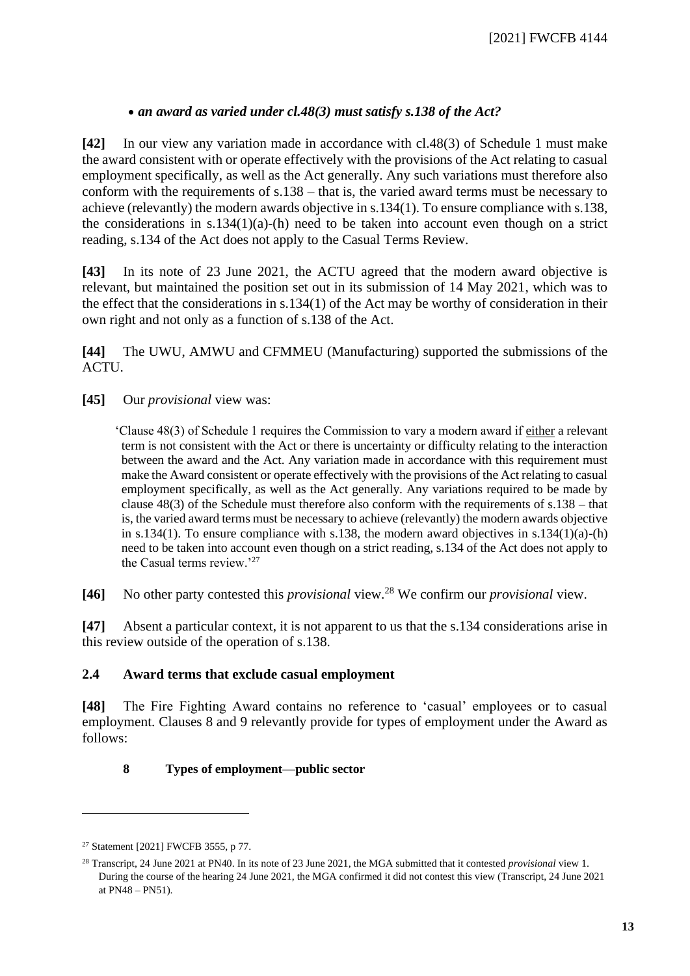## • *an award as varied under cl.48(3) must satisfy s.138 of the Act?*

**[42]** In our view any variation made in accordance with cl.48(3) of Schedule 1 must make the award consistent with or operate effectively with the provisions of the Act relating to casual employment specifically, as well as the Act generally. Any such variations must therefore also conform with the requirements of s.138 – that is, the varied award terms must be necessary to achieve (relevantly) the modern awards objective in s.134(1). To ensure compliance with s.138, the considerations in s.134(1)(a)-(h) need to be taken into account even though on a strict reading, s.134 of the Act does not apply to the Casual Terms Review.

**[43]** In its note of 23 June 2021, the ACTU agreed that the modern award objective is relevant, but maintained the position set out in its submission of 14 May 2021, which was to the effect that the considerations in s.134(1) of the Act may be worthy of consideration in their own right and not only as a function of s.138 of the Act.

**[44]** The UWU, AMWU and CFMMEU (Manufacturing) supported the submissions of the ACTU.

**[45]** Our *provisional* view was:

'Clause 48(3) of Schedule 1 requires the Commission to vary a modern award if either a relevant term is not consistent with the Act or there is uncertainty or difficulty relating to the interaction between the award and the Act. Any variation made in accordance with this requirement must make the Award consistent or operate effectively with the provisions of the Act relating to casual employment specifically, as well as the Act generally. Any variations required to be made by clause  $48(3)$  of the Schedule must therefore also conform with the requirements of s.138 – that is, the varied award terms must be necessary to achieve (relevantly) the modern awards objective in s.134(1). To ensure compliance with s.138, the modern award objectives in s.134(1)(a)-(h) need to be taken into account even though on a strict reading, s.134 of the Act does not apply to the Casual terms review.'<sup>27</sup>

**[46]** No other party contested this *provisional* view.<sup>28</sup> We confirm our *provisional* view.

**[47]** Absent a particular context, it is not apparent to us that the s.134 considerations arise in this review outside of the operation of s.138.

#### **2.4 Award terms that exclude casual employment**

<span id="page-12-0"></span>**[48]** The Fire Fighting Award contains no reference to 'casual' employees or to casual employment. Clauses 8 and 9 relevantly provide for types of employment under the Award as follows:

## **8 Types of employment—public sector**

<sup>27</sup> Statement [2021] FWCFB 3555, p 77.

<sup>28</sup> Transcript, 24 June 2021 at PN40. In its note of 23 June 2021, the MGA submitted that it contested *provisional* view 1. During the course of the hearing 24 June 2021, the MGA confirmed it did not contest this view (Transcript, 24 June 2021 at PN48 – PN51).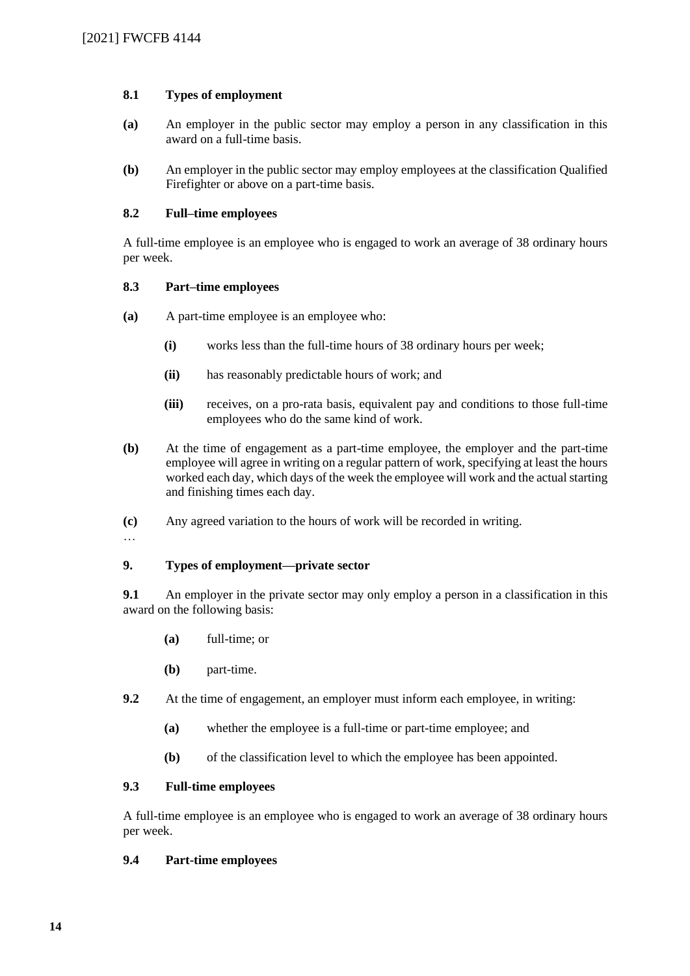#### **8.1 Types of employment**

- **(a)** An employer in the public sector may employ a person in any classification in this award on a full-time basis.
- **(b)** An employer in the public sector may employ employees at the classification Qualified Firefighter or above on a part-time basis.

#### **8.2 Full–time employees**

A full-time employee is an employee who is engaged to work an average of 38 ordinary hours per week.

#### **8.3 Part–time employees**

- **(a)** A part-time employee is an employee who:
	- **(i)** works less than the full-time hours of 38 ordinary hours per week;
	- **(ii)** has reasonably predictable hours of work; and
	- **(iii)** receives, on a pro-rata basis, equivalent pay and conditions to those full-time employees who do the same kind of work.
- **(b)** At the time of engagement as a part-time employee, the employer and the part-time employee will agree in writing on a regular pattern of work, specifying at least the hours worked each day, which days of the week the employee will work and the actual starting and finishing times each day.
- **(c)** Any agreed variation to the hours of work will be recorded in writing.
- …

## **9. Types of employment—private sector**

**9.1** An employer in the private sector may only employ a person in a classification in this award on the following basis:

- **(a)** full-time; or
- **(b)** part-time.
- **9.2** At the time of engagement, an employer must inform each employee, in writing:
	- **(a)** whether the employee is a full-time or part-time employee; and
	- **(b)** of the classification level to which the employee has been appointed.

#### **9.3 Full-time employees**

A full-time employee is an employee who is engaged to work an average of 38 ordinary hours per week.

#### **9.4 Part-time employees**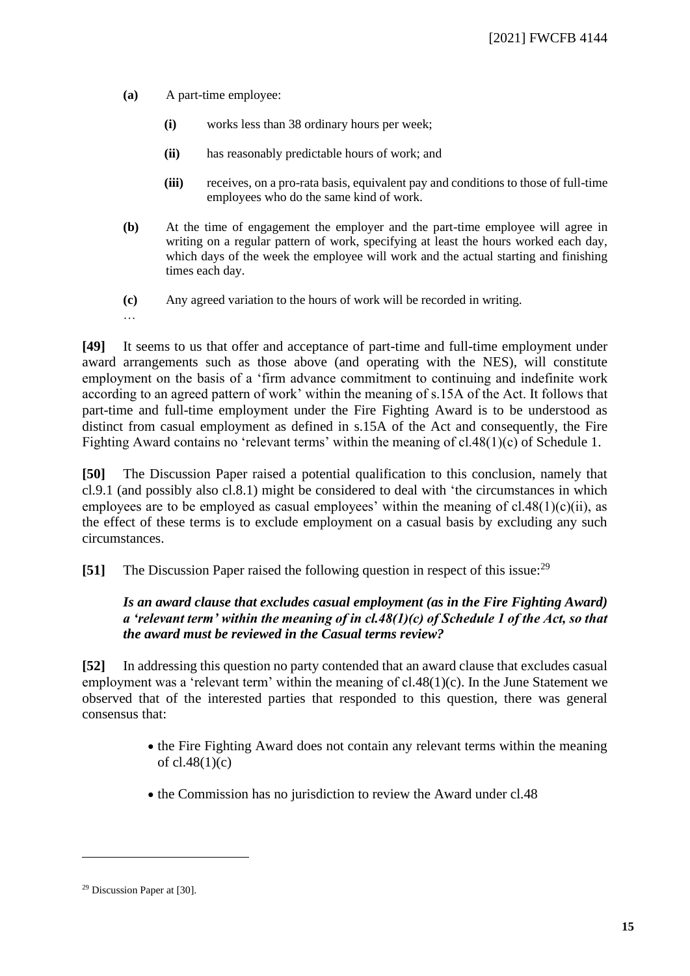- **(a)** A part-time employee:
	- **(i)** works less than 38 ordinary hours per week;
	- **(ii)** has reasonably predictable hours of work; and
	- **(iii)** receives, on a pro-rata basis, equivalent pay and conditions to those of full-time employees who do the same kind of work.
- **(b)** At the time of engagement the employer and the part-time employee will agree in writing on a regular pattern of work, specifying at least the hours worked each day, which days of the week the employee will work and the actual starting and finishing times each day.
- **(c)** Any agreed variation to the hours of work will be recorded in writing.
- …

**[49]** It seems to us that offer and acceptance of part-time and full-time employment under award arrangements such as those above (and operating with the NES), will constitute employment on the basis of a 'firm advance commitment to continuing and indefinite work according to an agreed pattern of work' within the meaning of s.15A of the Act. It follows that part-time and full-time employment under the Fire Fighting Award is to be understood as distinct from casual employment as defined in s.15A of the Act and consequently, the Fire Fighting Award contains no 'relevant terms' within the meaning of cl.48(1)(c) of Schedule 1.

**[50]** The Discussion Paper raised a potential qualification to this conclusion, namely that cl.9.1 (and possibly also cl.8.1) might be considered to deal with 'the circumstances in which employees are to be employed as casual employees' within the meaning of  $cl.48(1)(c)(ii)$ , as the effect of these terms is to exclude employment on a casual basis by excluding any such circumstances.

**[51]** The Discussion Paper raised the following question in respect of this issue:<sup>29</sup>

## *Is an award clause that excludes casual employment (as in the Fire Fighting Award) a 'relevant term' within the meaning of in cl.48(1)(c) of Schedule 1 of the Act, so that the award must be reviewed in the Casual terms review?*

**[52]** In addressing this question no party contended that an award clause that excludes casual employment was a 'relevant term' within the meaning of cl.48(1)(c). In the June Statement we observed that of the interested parties that responded to this question, there was general consensus that:

- the Fire Fighting Award does not contain any relevant terms within the meaning of cl.48(1)(c)
- the Commission has no jurisdiction to review the Award under cl.48

<sup>29</sup> Discussion Paper at [30].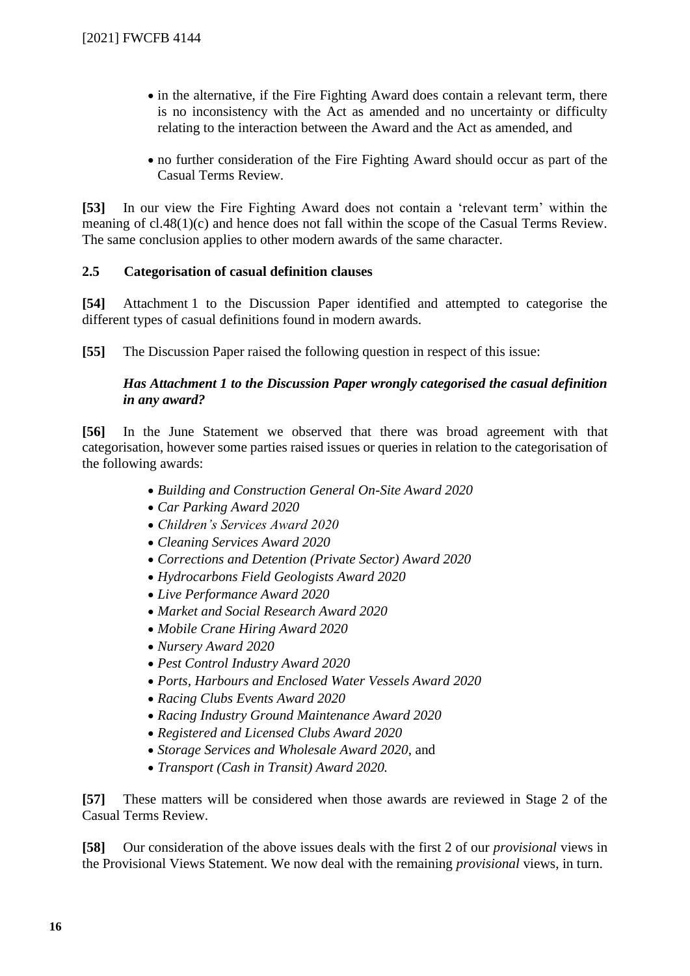- in the alternative, if the Fire Fighting Award does contain a relevant term, there is no inconsistency with the Act as amended and no uncertainty or difficulty relating to the interaction between the Award and the Act as amended, and
- no further consideration of the Fire Fighting Award should occur as part of the Casual Terms Review.

**[53]** In our view the Fire Fighting Award does not contain a 'relevant term' within the meaning of cl.48(1)(c) and hence does not fall within the scope of the Casual Terms Review. The same conclusion applies to other modern awards of the same character.

## **2.5 Categorisation of casual definition clauses**

<span id="page-15-0"></span>**[54]** Attachment 1 to the Discussion Paper identified and attempted to categorise the different types of casual definitions found in modern awards.

**[55]** The Discussion Paper raised the following question in respect of this issue:

## *Has Attachment 1 to the Discussion Paper wrongly categorised the casual definition in any award?*

**[56]** In the June Statement we observed that there was broad agreement with that categorisation, however some parties raised issues or queries in relation to the categorisation of the following awards:

- *Building and Construction General On-Site Award 2020*
- *Car Parking Award 2020*
- *Children's Services Award 2020*
- *Cleaning Services Award 2020*
- *Corrections and Detention (Private Sector) Award 2020*
- *Hydrocarbons Field Geologists Award 2020*
- *Live Performance Award 2020*
- *Market and Social Research Award 2020*
- *Mobile Crane Hiring Award 2020*
- *Nursery Award 2020*
- *Pest Control Industry Award 2020*
- *Ports, Harbours and Enclosed Water Vessels Award 2020*
- *Racing Clubs Events Award 2020*
- *Racing Industry Ground Maintenance Award 2020*
- *Registered and Licensed Clubs Award 2020*
- *Storage Services and Wholesale Award 2020*, and
- *Transport (Cash in Transit) Award 2020.*

**[57]** These matters will be considered when those awards are reviewed in Stage 2 of the Casual Terms Review.

**[58]** Our consideration of the above issues deals with the first 2 of our *provisional* views in the Provisional Views Statement. We now deal with the remaining *provisional* views, in turn.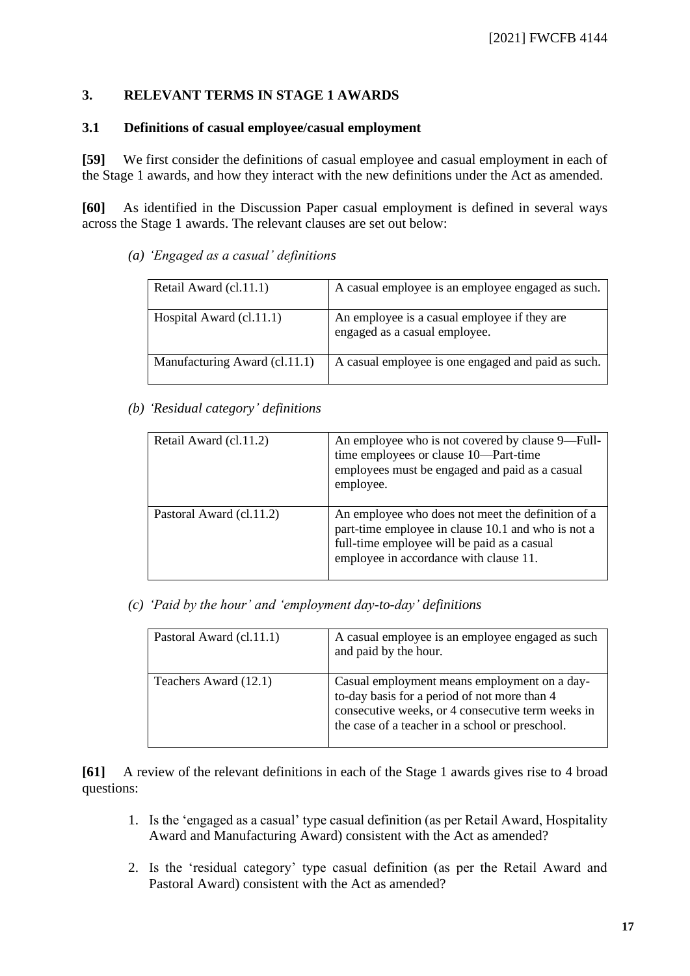## **3. RELEVANT TERMS IN STAGE 1 AWARDS**

#### **3.1 Definitions of casual employee/casual employment**

<span id="page-16-0"></span>[59] We first consider the definitions of casual employee and casual employment in each of the Stage 1 awards, and how they interact with the new definitions under the Act as amended.

**[60]** As identified in the Discussion Paper casual employment is defined in several ways across the Stage 1 awards. The relevant clauses are set out below:

*(a) 'Engaged as a casual' definitions*

| Retail Award (cl.11.1)        | A casual employee is an employee engaged as such.                             |
|-------------------------------|-------------------------------------------------------------------------------|
| Hospital Award (cl.11.1)      | An employee is a casual employee if they are<br>engaged as a casual employee. |
| Manufacturing Award (cl.11.1) | A casual employee is one engaged and paid as such.                            |

*(b) 'Residual category' definitions*

| Retail Award (cl.11.2)   | An employee who is not covered by clause 9—Full-<br>time employees or clause 10—Part-time<br>employees must be engaged and paid as a casual<br>employee.                                         |
|--------------------------|--------------------------------------------------------------------------------------------------------------------------------------------------------------------------------------------------|
| Pastoral Award (cl.11.2) | An employee who does not meet the definition of a<br>part-time employee in clause 10.1 and who is not a<br>full-time employee will be paid as a casual<br>employee in accordance with clause 11. |

*(c) 'Paid by the hour' and 'employment day-to-day' definitions*

| Pastoral Award (cl.11.1) | A casual employee is an employee engaged as such<br>and paid by the hour.                                                                                                                            |
|--------------------------|------------------------------------------------------------------------------------------------------------------------------------------------------------------------------------------------------|
| Teachers Award (12.1)    | Casual employment means employment on a day-<br>to-day basis for a period of not more than 4<br>consecutive weeks, or 4 consecutive term weeks in<br>the case of a teacher in a school or preschool. |

**[61]** A review of the relevant definitions in each of the Stage 1 awards gives rise to 4 broad questions:

- 1. Is the 'engaged as a casual' type casual definition (as per Retail Award, Hospitality Award and Manufacturing Award) consistent with the Act as amended?
- 2. Is the 'residual category' type casual definition (as per the Retail Award and Pastoral Award) consistent with the Act as amended?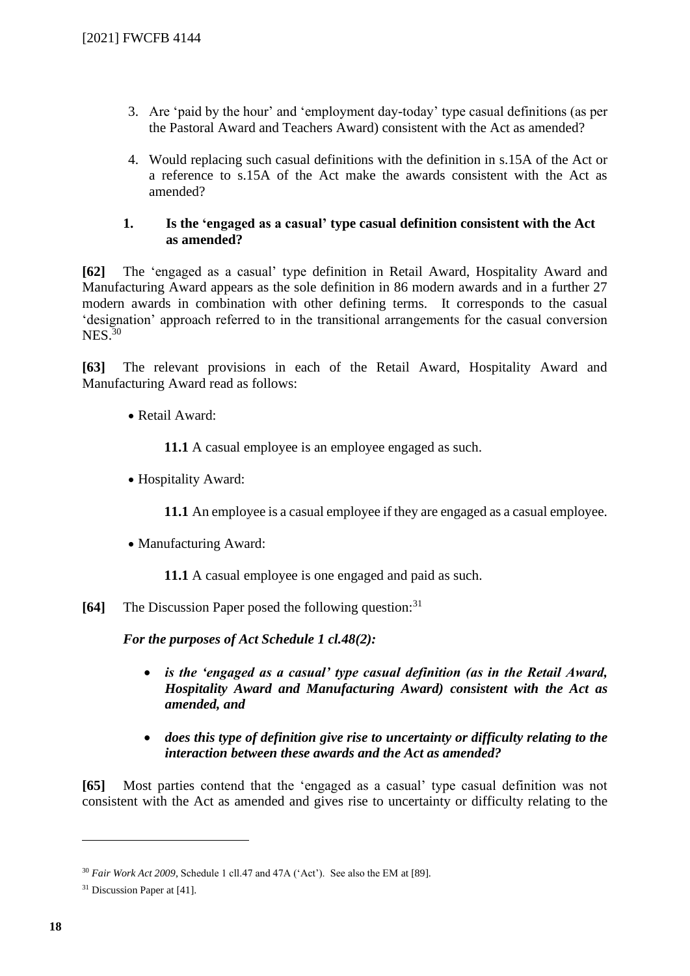- 3. Are 'paid by the hour' and 'employment day-today' type casual definitions (as per the Pastoral Award and Teachers Award) consistent with the Act as amended?
- 4. Would replacing such casual definitions with the definition in s.15A of the Act or a reference to s.15A of the Act make the awards consistent with the Act as amended?

## **1. Is the 'engaged as a casual' type casual definition consistent with the Act as amended?**

**[62]** The 'engaged as a casual' type definition in Retail Award, Hospitality Award and Manufacturing Award appears as the sole definition in 86 modern awards and in a further 27 modern awards in combination with other defining terms. It corresponds to the casual 'designation' approach referred to in the transitional arrangements for the casual conversion  $NES$ <sup>30</sup>

**[63]** The relevant provisions in each of the Retail Award, Hospitality Award and Manufacturing Award read as follows:

## • Retail Award:

**11.1** A casual employee is an employee engaged as such.

• Hospitality Award:

**11.1** An employee is a casual employee if they are engaged as a casual employee.

• Manufacturing Award:

**11.1** A casual employee is one engaged and paid as such.

**[64]** The Discussion Paper posed the following question:<sup>31</sup>

*For the purposes of Act Schedule 1 cl.48(2):*

- *is the 'engaged as a casual' type casual definition (as in the Retail Award, Hospitality Award and Manufacturing Award) consistent with the Act as amended, and*
- *does this type of definition give rise to uncertainty or difficulty relating to the interaction between these awards and the Act as amended?*

**[65]** Most parties contend that the 'engaged as a casual' type casual definition was not consistent with the Act as amended and gives rise to uncertainty or difficulty relating to the

<sup>&</sup>lt;sup>30</sup> *Fair Work Act 2009*, Schedule 1 cll.47 and 47A ('Act'). See also the EM at [89].

<sup>&</sup>lt;sup>31</sup> Discussion Paper at [41].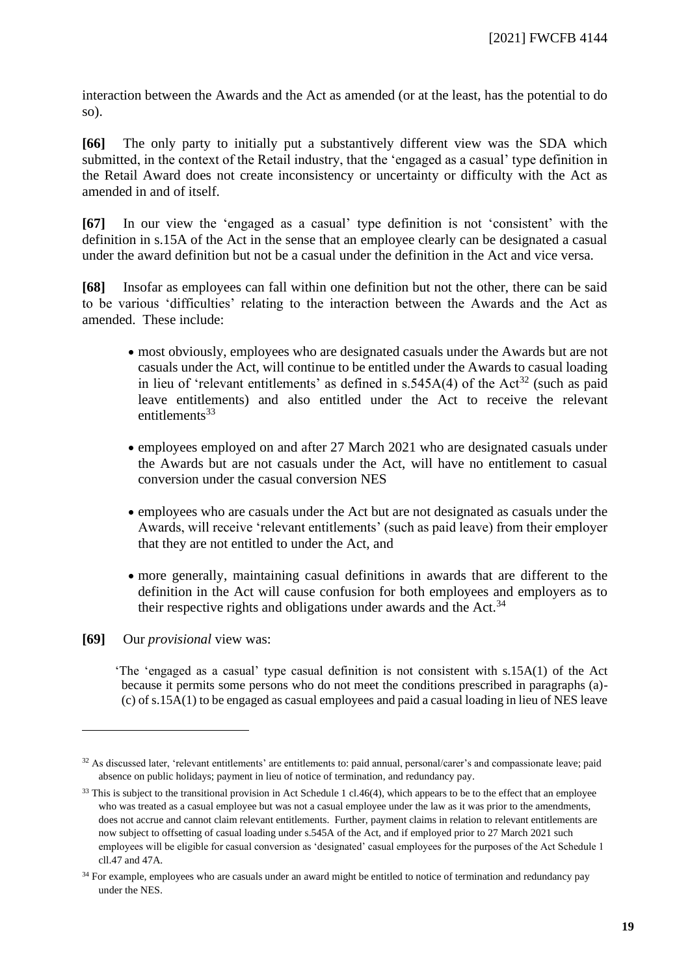interaction between the Awards and the Act as amended (or at the least, has the potential to do so).

**[66]** The only party to initially put a substantively different view was the SDA which submitted, in the context of the Retail industry, that the 'engaged as a casual' type definition in the Retail Award does not create inconsistency or uncertainty or difficulty with the Act as amended in and of itself.

**[67]** In our view the 'engaged as a casual' type definition is not 'consistent' with the definition in s.15A of the Act in the sense that an employee clearly can be designated a casual under the award definition but not be a casual under the definition in the Act and vice versa.

**[68]** Insofar as employees can fall within one definition but not the other, there can be said to be various 'difficulties' relating to the interaction between the Awards and the Act as amended. These include:

- most obviously, employees who are designated casuals under the Awards but are not casuals under the Act, will continue to be entitled under the Awards to casual loading in lieu of 'relevant entitlements' as defined in  $s.545A(4)$  of the Act<sup>32</sup> (such as paid leave entitlements) and also entitled under the Act to receive the relevant  $entil$ entitlements $33$
- employees employed on and after 27 March 2021 who are designated casuals under the Awards but are not casuals under the Act, will have no entitlement to casual conversion under the casual conversion NES
- employees who are casuals under the Act but are not designated as casuals under the Awards, will receive 'relevant entitlements' (such as paid leave) from their employer that they are not entitled to under the Act, and
- more generally, maintaining casual definitions in awards that are different to the definition in the Act will cause confusion for both employees and employers as to their respective rights and obligations under awards and the Act.<sup>34</sup>
- **[69]** Our *provisional* view was:

'The 'engaged as a casual' type casual definition is not consistent with s.15A(1) of the Act because it permits some persons who do not meet the conditions prescribed in paragraphs (a)- (c) of s.15A(1) to be engaged as casual employees and paid a casual loading in lieu of NES leave

<sup>32</sup> As discussed later, 'relevant entitlements' are entitlements to: paid annual, personal/carer's and compassionate leave; paid absence on public holidays; payment in lieu of notice of termination, and redundancy pay.

<sup>&</sup>lt;sup>33</sup> This is subject to the transitional provision in Act Schedule 1 cl.46(4), which appears to be to the effect that an employee who was treated as a casual employee but was not a casual employee under the law as it was prior to the amendments, does not accrue and cannot claim relevant entitlements. Further, payment claims in relation to relevant entitlements are now subject to offsetting of casual loading under s.545A of the Act, and if employed prior to 27 March 2021 such employees will be eligible for casual conversion as 'designated' casual employees for the purposes of the Act Schedule 1 cll.47 and 47A.

<sup>&</sup>lt;sup>34</sup> For example, employees who are casuals under an award might be entitled to notice of termination and redundancy pay under the NES.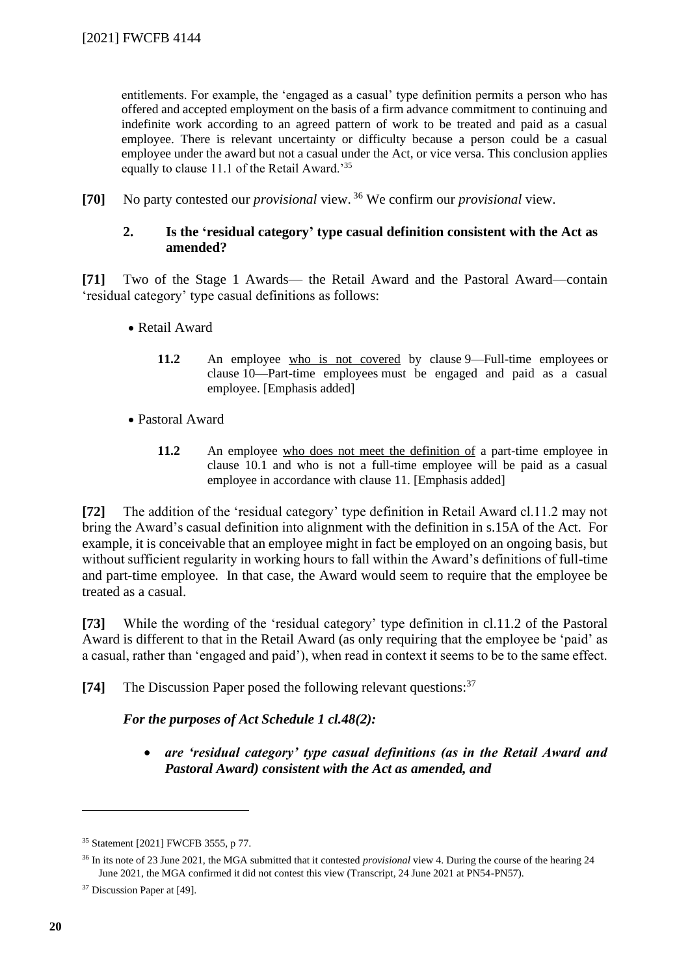entitlements. For example, the 'engaged as a casual' type definition permits a person who has offered and accepted employment on the basis of a firm advance commitment to continuing and indefinite work according to an agreed pattern of work to be treated and paid as a casual employee. There is relevant uncertainty or difficulty because a person could be a casual employee under the award but not a casual under the Act, or vice versa. This conclusion applies equally to clause 11.1 of the Retail Award.'<sup>35</sup>

**[70]** No party contested our *provisional* view. <sup>36</sup> We confirm our *provisional* view.

## **2. Is the 'residual category' type casual definition consistent with the Act as amended?**

**[71]** Two of the Stage 1 Awards— the Retail Award and the Pastoral Award—contain 'residual category' type casual definitions as follows:

- Retail Award
	- 11.2 An employee who is not covered by clause [9—Full-time employees](https://www.fwc.gov.au/documents/documents/modern_awards/award/ma000004/ma000004-11.htm#P313_20741) or clause [10—Part-time employees](https://www.fwc.gov.au/documents/documents/modern_awards/award/ma000004/ma000004-12.htm#P316_21044) must be engaged and paid as a casual employee. [Emphasis added]
- Pastoral Award
	- **11.2** An employee who does not meet the definition of a part-time employee in clause 10.1 and who is not a full-time employee will be paid as a casual employee in accordance with clause 11. [Emphasis added]

**[72]** The addition of the 'residual category' type definition in Retail Award cl.11.2 may not bring the Award's casual definition into alignment with the definition in s.15A of the Act. For example, it is conceivable that an employee might in fact be employed on an ongoing basis, but without sufficient regularity in working hours to fall within the Award's definitions of full-time and part-time employee. In that case, the Award would seem to require that the employee be treated as a casual.

**[73]** While the wording of the 'residual category' type definition in cl.11.2 of the Pastoral Award is different to that in the Retail Award (as only requiring that the employee be 'paid' as a casual, rather than 'engaged and paid'), when read in context it seems to be to the same effect.

**[74]** The Discussion Paper posed the following relevant questions:<sup>37</sup>

*For the purposes of Act Schedule 1 cl.48(2):*

• *are 'residual category' type casual definitions (as in the Retail Award and Pastoral Award) consistent with the Act as amended, and*

<sup>35</sup> Statement [2021] FWCFB 3555, p 77.

<sup>36</sup> In its note of 23 June 2021, the MGA submitted that it contested *provisional* view 4. During the course of the hearing 24 June 2021, the MGA confirmed it did not contest this view (Transcript, 24 June 2021 at PN54-PN57).

<sup>&</sup>lt;sup>37</sup> Discussion Paper at [49].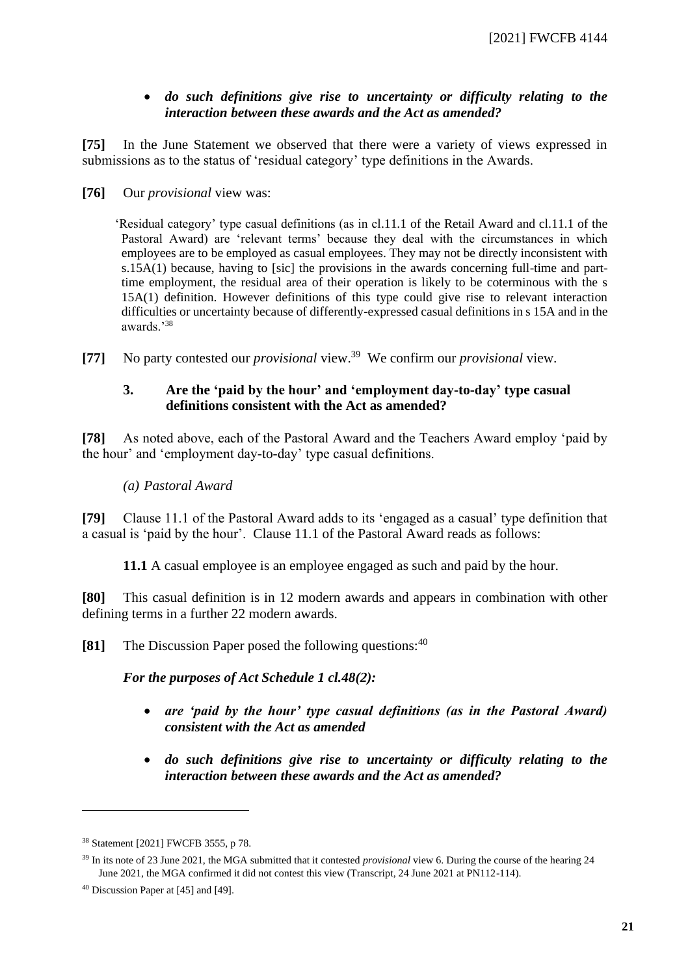## • *do such definitions give rise to uncertainty or difficulty relating to the interaction between these awards and the Act as amended?*

**[75]** In the June Statement we observed that there were a variety of views expressed in submissions as to the status of 'residual category' type definitions in the Awards.

**[76]** Our *provisional* view was:

'Residual category' type casual definitions (as in cl.11.1 of the Retail Award and cl.11.1 of the Pastoral Award) are 'relevant terms' because they deal with the circumstances in which employees are to be employed as casual employees. They may not be directly inconsistent with s.15A(1) because, having to [sic] the provisions in the awards concerning full-time and parttime employment, the residual area of their operation is likely to be coterminous with the s 15A(1) definition. However definitions of this type could give rise to relevant interaction difficulties or uncertainty because of differently-expressed casual definitions in s 15A and in the awards.'<sup>38</sup>

**[77]** No party contested our *provisional* view.<sup>39</sup> We confirm our *provisional* view.

## **3. Are the 'paid by the hour' and 'employment day-to-day' type casual definitions consistent with the Act as amended?**

**[78]** As noted above, each of the Pastoral Award and the Teachers Award employ 'paid by the hour' and 'employment day-to-day' type casual definitions.

## *(a) Pastoral Award*

**[79]** Clause 11.1 of the Pastoral Award adds to its 'engaged as a casual' type definition that a casual is 'paid by the hour'. Clause 11.1 of the Pastoral Award reads as follows:

**11.1** A casual employee is an employee engaged as such and paid by the hour.

**[80]** This casual definition is in 12 modern awards and appears in combination with other defining terms in a further 22 modern awards.

**[81]** The Discussion Paper posed the following questions:<sup>40</sup>

*For the purposes of Act Schedule 1 cl.48(2):*

- *are 'paid by the hour' type casual definitions (as in the Pastoral Award) consistent with the Act as amended*
- *do such definitions give rise to uncertainty or difficulty relating to the interaction between these awards and the Act as amended?*

<sup>38</sup> Statement [2021] FWCFB 3555, p 78.

<sup>39</sup> In its note of 23 June 2021, the MGA submitted that it contested *provisional* view 6. During the course of the hearing 24 June 2021, the MGA confirmed it did not contest this view (Transcript, 24 June 2021 at PN112-114).

<sup>40</sup> Discussion Paper at [45] and [49].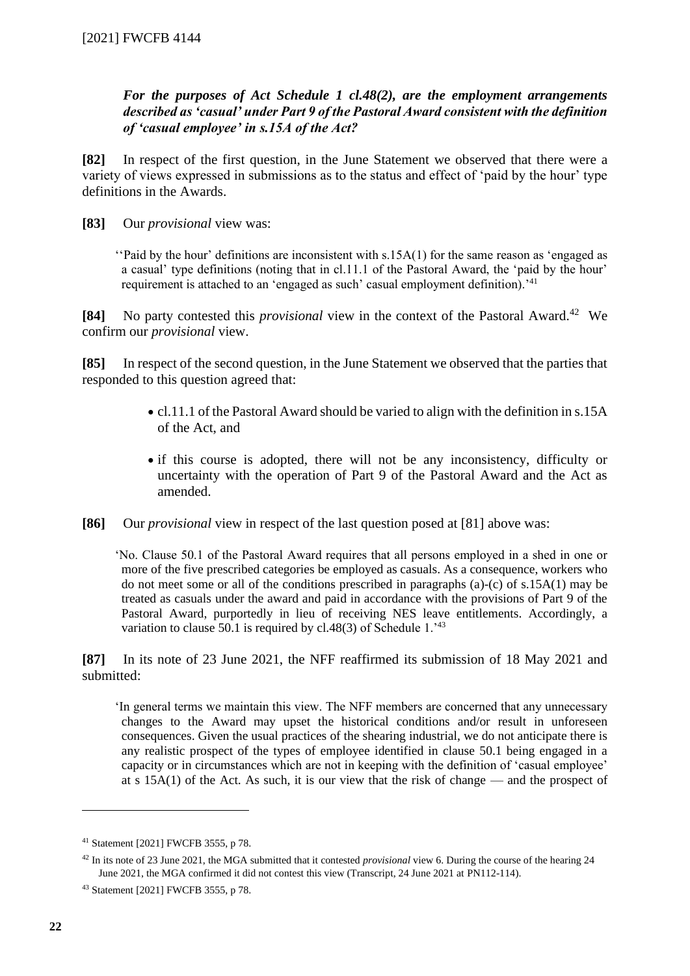## *For the purposes of Act Schedule 1 cl.48(2), are the employment arrangements described as 'casual' under Part 9 of the Pastoral Award consistent with the definition of 'casual employee' in s.15A of the Act?*

**[82]** In respect of the first question, in the June Statement we observed that there were a variety of views expressed in submissions as to the status and effect of 'paid by the hour' type definitions in the Awards.

**[83]** Our *provisional* view was:

''Paid by the hour' definitions are inconsistent with s.15A(1) for the same reason as 'engaged as a casual' type definitions (noting that in cl.11.1 of the Pastoral Award, the 'paid by the hour' requirement is attached to an 'engaged as such' casual employment definition).<sup>'41</sup>

**[84]** No party contested this *provisional* view in the context of the Pastoral Award.<sup>42</sup> We confirm our *provisional* view.

**[85]** In respect of the second question, in the June Statement we observed that the parties that responded to this question agreed that:

- cl.11.1 of the Pastoral Award should be varied to align with the definition in s.15A of the Act, and
- if this course is adopted, there will not be any inconsistency, difficulty or uncertainty with the operation of Part 9 of the Pastoral Award and the Act as amended.
- **[86]** Our *provisional* view in respect of the last question posed at [81] above was:

'No. Clause 50.1 of the Pastoral Award requires that all persons employed in a shed in one or more of the five prescribed categories be employed as casuals. As a consequence, workers who do not meet some or all of the conditions prescribed in paragraphs (a)-(c) of s.15A(1) may be treated as casuals under the award and paid in accordance with the provisions of Part 9 of the Pastoral Award, purportedly in lieu of receiving NES leave entitlements. Accordingly, a variation to clause 50.1 is required by cl.48(3) of Schedule 1.<sup>43</sup>

**[87]** In its note of 23 June 2021, the NFF reaffirmed its submission of 18 May 2021 and submitted:

'In general terms we maintain this view. The NFF members are concerned that any unnecessary changes to the Award may upset the historical conditions and/or result in unforeseen consequences. Given the usual practices of the shearing industrial, we do not anticipate there is any realistic prospect of the types of employee identified in clause 50.1 being engaged in a capacity or in circumstances which are not in keeping with the definition of 'casual employee' at s  $15A(1)$  of the Act. As such, it is our view that the risk of change — and the prospect of

<sup>41</sup> Statement [2021] FWCFB 3555, p 78.

<sup>42</sup> In its note of 23 June 2021, the MGA submitted that it contested *provisional* view 6. During the course of the hearing 24 June 2021, the MGA confirmed it did not contest this view (Transcript, 24 June 2021 at PN112-114).

<sup>43</sup> Statement [2021] FWCFB 3555, p 78.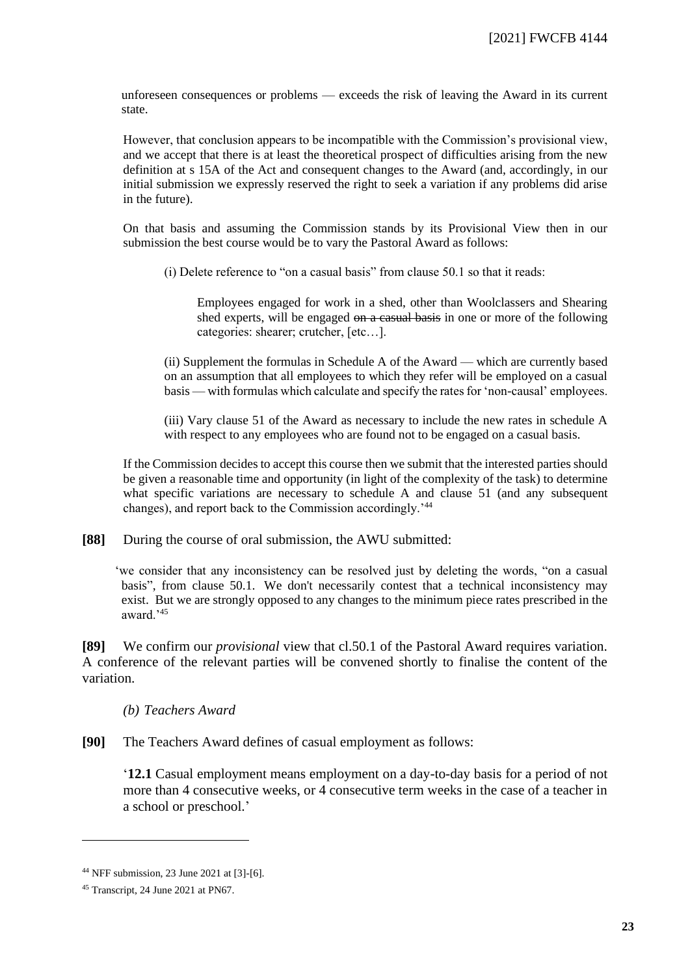unforeseen consequences or problems — exceeds the risk of leaving the Award in its current state.

However, that conclusion appears to be incompatible with the Commission's provisional view, and we accept that there is at least the theoretical prospect of difficulties arising from the new definition at s 15A of the Act and consequent changes to the Award (and, accordingly, in our initial submission we expressly reserved the right to seek a variation if any problems did arise in the future).

On that basis and assuming the Commission stands by its Provisional View then in our submission the best course would be to vary the Pastoral Award as follows:

(i) Delete reference to "on a casual basis" from clause 50.1 so that it reads:

Employees engaged for work in a shed, other than Woolclassers and Shearing shed experts, will be engaged on a casual basis in one or more of the following categories: shearer; crutcher, [etc…].

(ii) Supplement the formulas in Schedule A of the Award — which are currently based on an assumption that all employees to which they refer will be employed on a casual basis — with formulas which calculate and specify the rates for 'non-causal' employees.

(iii) Vary clause 51 of the Award as necessary to include the new rates in schedule A with respect to any employees who are found not to be engaged on a casual basis.

If the Commission decides to accept this course then we submit that the interested parties should be given a reasonable time and opportunity (in light of the complexity of the task) to determine what specific variations are necessary to schedule A and clause 51 (and any subsequent changes), and report back to the Commission accordingly.'<sup>44</sup>

**[88]** During the course of oral submission, the AWU submitted:

'we consider that any inconsistency can be resolved just by deleting the words, "on a casual basis", from clause 50.1. We don't necessarily contest that a technical inconsistency may exist. But we are strongly opposed to any changes to the minimum piece rates prescribed in the award.'<sup>45</sup>

**[89]** We confirm our *provisional* view that cl.50.1 of the Pastoral Award requires variation. A conference of the relevant parties will be convened shortly to finalise the content of the variation.

#### *(b) Teachers Award*

**[90]** The Teachers Award defines of casual employment as follows:

'**12.1** Casual employment means employment on a day-to-day basis for a period of not more than 4 consecutive weeks, or 4 consecutive term weeks in the case of a teacher in a school or preschool.'

<sup>44</sup> NFF submission, 23 June 2021 at [3]-[6].

<sup>45</sup> Transcript, 24 June 2021 at PN67.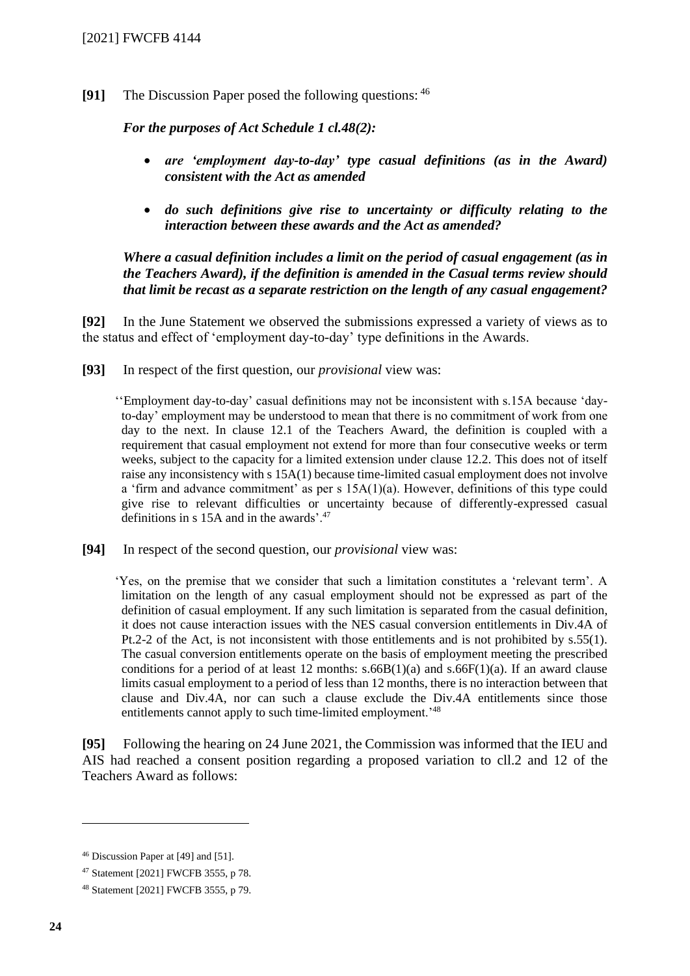**[91]** The Discussion Paper posed the following questions: 46

*For the purposes of Act Schedule 1 cl.48(2):*

- *are 'employment day-to-day' type casual definitions (as in the Award) consistent with the Act as amended*
- *do such definitions give rise to uncertainty or difficulty relating to the interaction between these awards and the Act as amended?*

*Where a casual definition includes a limit on the period of casual engagement (as in the Teachers Award), if the definition is amended in the Casual terms review should that limit be recast as a separate restriction on the length of any casual engagement?*

**[92]** In the June Statement we observed the submissions expressed a variety of views as to the status and effect of 'employment day-to-day' type definitions in the Awards.

**[93]** In respect of the first question, our *provisional* view was:

''Employment day-to-day' casual definitions may not be inconsistent with s.15A because 'dayto-day' employment may be understood to mean that there is no commitment of work from one day to the next. In clause 12.1 of the Teachers Award, the definition is coupled with a requirement that casual employment not extend for more than four consecutive weeks or term weeks, subject to the capacity for a limited extension under clause 12.2. This does not of itself raise any inconsistency with s 15A(1) because time-limited casual employment does not involve a 'firm and advance commitment' as per s 15A(1)(a). However, definitions of this type could give rise to relevant difficulties or uncertainty because of differently-expressed casual definitions in s 15A and in the awards'.<sup>47</sup>

**[94]** In respect of the second question, our *provisional* view was:

'Yes, on the premise that we consider that such a limitation constitutes a 'relevant term'. A limitation on the length of any casual employment should not be expressed as part of the definition of casual employment. If any such limitation is separated from the casual definition, it does not cause interaction issues with the NES casual conversion entitlements in Div.4A of Pt.2-2 of the Act, is not inconsistent with those entitlements and is not prohibited by s.55(1). The casual conversion entitlements operate on the basis of employment meeting the prescribed conditions for a period of at least 12 months:  $s.66B(1)(a)$  and  $s.66F(1)(a)$ . If an award clause limits casual employment to a period of less than 12 months, there is no interaction between that clause and Div.4A, nor can such a clause exclude the Div.4A entitlements since those entitlements cannot apply to such time-limited employment.<sup>'48</sup>

**[95]** Following the hearing on 24 June 2021, the Commission was informed that the IEU and AIS had reached a consent position regarding a proposed variation to cll.2 and 12 of the Teachers Award as follows:

<sup>46</sup> Discussion Paper at [49] and [51].

<sup>47</sup> Statement [2021] FWCFB 3555, p 78.

<sup>48</sup> Statement [2021] FWCFB 3555, p 79.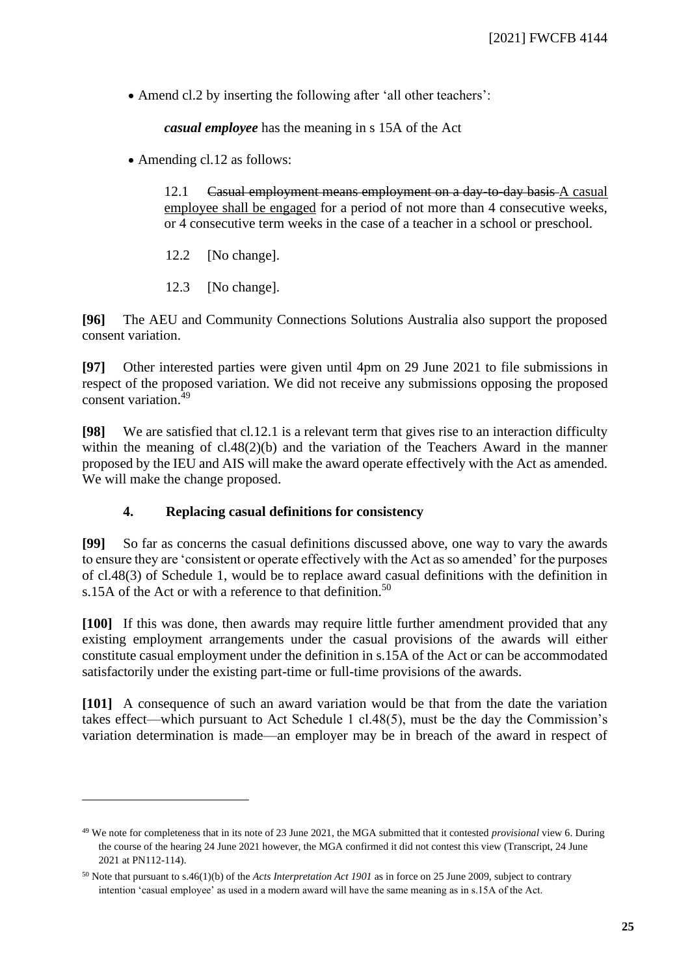• Amend cl.2 by inserting the following after 'all other teachers':

*casual employee* has the meaning in s 15A of the Act

• Amending cl.12 as follows:

12.1 Casual employment means employment on a day to day basis A casual employee shall be engaged for a period of not more than 4 consecutive weeks, or 4 consecutive term weeks in the case of a teacher in a school or preschool.

- 12.2 [No change].
- 12.3 [No change].

**[96]** The AEU and Community Connections Solutions Australia also support the proposed consent variation.

**[97]** Other interested parties were given until 4pm on 29 June 2021 to file submissions in respect of the proposed variation. We did not receive any submissions opposing the proposed consent variation.<sup>49</sup>

**[98]** We are satisfied that cl.12.1 is a relevant term that gives rise to an interaction difficulty within the meaning of cl.48(2)(b) and the variation of the Teachers Award in the manner proposed by the IEU and AIS will make the award operate effectively with the Act as amended. We will make the change proposed.

## **4. Replacing casual definitions for consistency**

**[99]** So far as concerns the casual definitions discussed above, one way to vary the awards to ensure they are 'consistent or operate effectively with the Act as so amended' for the purposes of cl.48(3) of Schedule 1, would be to replace award casual definitions with the definition in s.15A of the Act or with a reference to that definition.<sup>50</sup>

**[100]** If this was done, then awards may require little further amendment provided that any existing employment arrangements under the casual provisions of the awards will either constitute casual employment under the definition in s.15A of the Act or can be accommodated satisfactorily under the existing part-time or full-time provisions of the awards.

**[101]** A consequence of such an award variation would be that from the date the variation takes effect—which pursuant to Act Schedule 1 cl.48(5), must be the day the Commission's variation determination is made—an employer may be in breach of the award in respect of

<sup>49</sup> We note for completeness that in its note of 23 June 2021, the MGA submitted that it contested *provisional* view 6. During the course of the hearing 24 June 2021 however, the MGA confirmed it did not contest this view (Transcript, 24 June 2021 at PN112-114).

<sup>50</sup> Note that pursuant to s.46(1)(b) of the *Acts Interpretation Act 1901* as in force on 25 June 2009, subject to contrary intention 'casual employee' as used in a modern award will have the same meaning as in s.15A of the Act.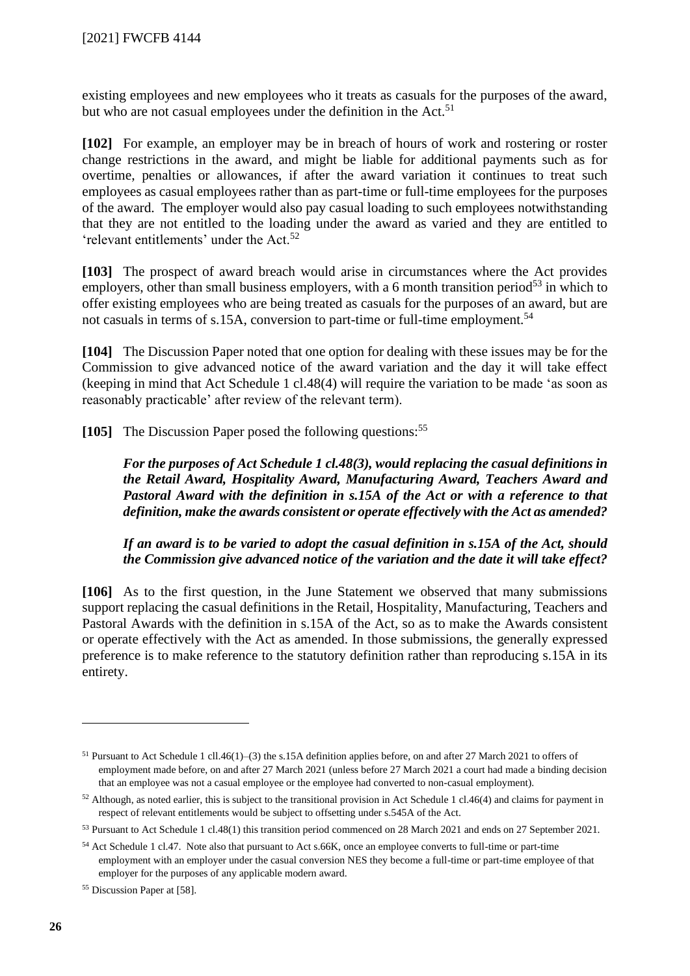existing employees and new employees who it treats as casuals for the purposes of the award, but who are not casual employees under the definition in the Act.<sup>51</sup>

**[102]** For example, an employer may be in breach of hours of work and rostering or roster change restrictions in the award, and might be liable for additional payments such as for overtime, penalties or allowances, if after the award variation it continues to treat such employees as casual employees rather than as part-time or full-time employees for the purposes of the award. The employer would also pay casual loading to such employees notwithstanding that they are not entitled to the loading under the award as varied and they are entitled to 'relevant entitlements' under the Act.<sup>52</sup>

**[103]** The prospect of award breach would arise in circumstances where the Act provides employers, other than small business employers, with a 6 month transition period<sup>53</sup> in which to offer existing employees who are being treated as casuals for the purposes of an award, but are not casuals in terms of s.15A, conversion to part-time or full-time employment.<sup>54</sup>

**[104]** The Discussion Paper noted that one option for dealing with these issues may be for the Commission to give advanced notice of the award variation and the day it will take effect (keeping in mind that Act Schedule 1 cl.48(4) will require the variation to be made 'as soon as reasonably practicable' after review of the relevant term).

**[105]** The Discussion Paper posed the following questions:<sup>55</sup>

*For the purposes of Act Schedule 1 cl.48(3), would replacing the casual definitions in the Retail Award, Hospitality Award, Manufacturing Award, Teachers Award and Pastoral Award with the definition in s.15A of the Act or with a reference to that definition, make the awards consistent or operate effectively with the Act as amended?*

*If an award is to be varied to adopt the casual definition in s.15A of the Act, should the Commission give advanced notice of the variation and the date it will take effect?*

**[106]** As to the first question, in the June Statement we observed that many submissions support replacing the casual definitions in the Retail, Hospitality, Manufacturing, Teachers and Pastoral Awards with the definition in s.15A of the Act, so as to make the Awards consistent or operate effectively with the Act as amended. In those submissions, the generally expressed preference is to make reference to the statutory definition rather than reproducing s.15A in its entirety.

<sup>51</sup> Pursuant to Act Schedule 1 cll.46(1)–(3) the s.15A definition applies before, on and after 27 March 2021 to offers of employment made before, on and after 27 March 2021 (unless before 27 March 2021 a court had made a binding decision that an employee was not a casual employee or the employee had converted to non-casual employment).

<sup>52</sup> Although, as noted earlier, this is subject to the transitional provision in Act Schedule 1 cl.46(4) and claims for payment in respect of relevant entitlements would be subject to offsetting under s.545A of the Act.

<sup>53</sup> Pursuant to Act Schedule 1 cl.48(1) this transition period commenced on 28 March 2021 and ends on 27 September 2021.

<sup>54</sup> Act Schedule 1 cl.47. Note also that pursuant to Act s.66K, once an employee converts to full-time or part-time employment with an employer under the casual conversion NES they become a full-time or part-time employee of that employer for the purposes of any applicable modern award.

<sup>55</sup> Discussion Paper at [58].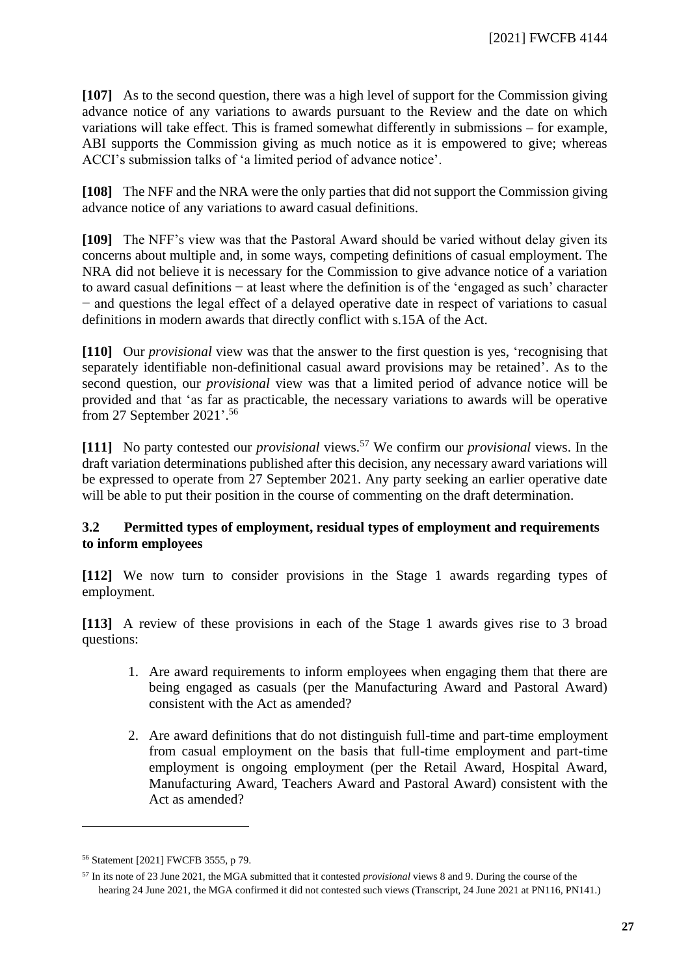**[107]** As to the second question, there was a high level of support for the Commission giving advance notice of any variations to awards pursuant to the Review and the date on which variations will take effect. This is framed somewhat differently in submissions – for example, ABI supports the Commission giving as much notice as it is empowered to give; whereas ACCI's submission talks of 'a limited period of advance notice'.

**[108]** The NFF and the NRA were the only parties that did not support the Commission giving advance notice of any variations to award casual definitions.

**[109]** The NFF's view was that the Pastoral Award should be varied without delay given its concerns about multiple and, in some ways, competing definitions of casual employment. The NRA did not believe it is necessary for the Commission to give advance notice of a variation to award casual definitions − at least where the definition is of the 'engaged as such' character − and questions the legal effect of a delayed operative date in respect of variations to casual definitions in modern awards that directly conflict with s.15A of the Act.

**[110]** Our *provisional* view was that the answer to the first question is yes, 'recognising that separately identifiable non-definitional casual award provisions may be retained'. As to the second question, our *provisional* view was that a limited period of advance notice will be provided and that 'as far as practicable, the necessary variations to awards will be operative from 27 September 2021'. 56

**[111]** No party contested our *provisional* views. <sup>57</sup> We confirm our *provisional* views. In the draft variation determinations published after this decision, any necessary award variations will be expressed to operate from 27 September 2021. Any party seeking an earlier operative date will be able to put their position in the course of commenting on the draft determination.

## **3.2 Permitted types of employment, residual types of employment and requirements to inform employees**

<span id="page-26-0"></span>**[112]** We now turn to consider provisions in the Stage 1 awards regarding types of employment.

**[113]** A review of these provisions in each of the Stage 1 awards gives rise to 3 broad questions:

- 1. Are award requirements to inform employees when engaging them that there are being engaged as casuals (per the Manufacturing Award and Pastoral Award) consistent with the Act as amended?
- 2. Are award definitions that do not distinguish full-time and part-time employment from casual employment on the basis that full-time employment and part-time employment is ongoing employment (per the Retail Award, Hospital Award, Manufacturing Award, Teachers Award and Pastoral Award) consistent with the Act as amended?

<sup>56</sup> Statement [2021] FWCFB 3555, p 79.

<sup>57</sup> In its note of 23 June 2021, the MGA submitted that it contested *provisional* views 8 and 9. During the course of the hearing 24 June 2021, the MGA confirmed it did not contested such views (Transcript, 24 June 2021 at PN116, PN141.)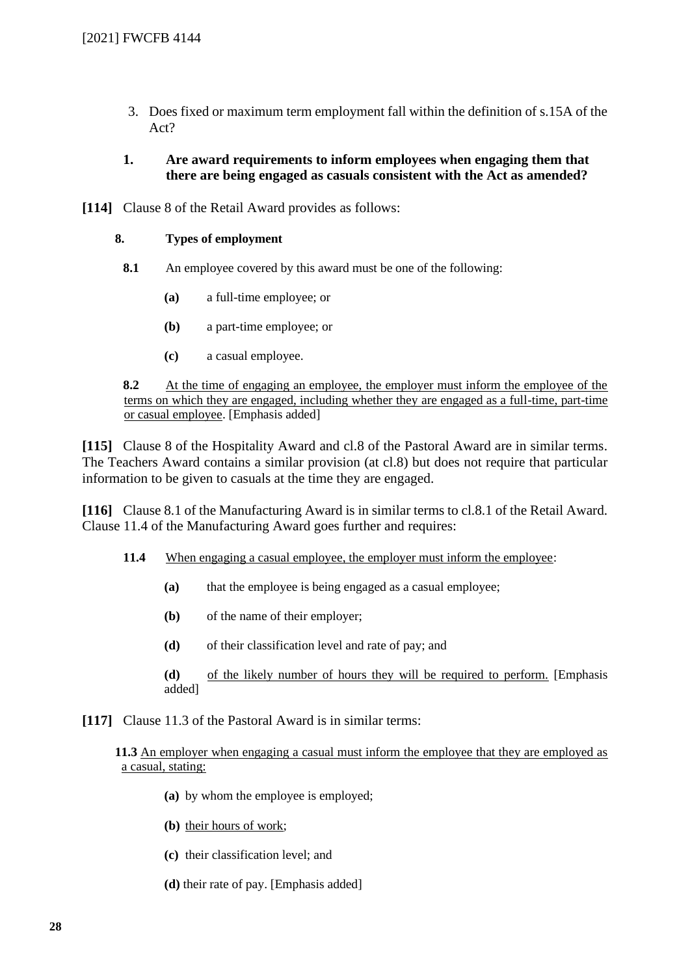3. Does fixed or maximum term employment fall within the definition of s.15A of the Act?

#### **1. Are award requirements to inform employees when engaging them that there are being engaged as casuals consistent with the Act as amended?**

**[114]** Clause 8 of the Retail Award provides as follows:

#### **8. Types of employment**

- **8.1** An employee covered by this award must be one of the following:
	- **(a)** a full-time employee; or
	- **(b)** a part-time employee; or
	- **(c)** a casual employee.

**8.2** At the time of engaging an employee, the employer must inform the employee of the terms on which they are engaged, including whether they are engaged as a full-time, part-time or casual employee. [Emphasis added]

**[115]** Clause 8 of the Hospitality Award and cl.8 of the Pastoral Award are in similar terms. The Teachers Award contains a similar provision (at cl.8) but does not require that particular information to be given to casuals at the time they are engaged.

**[116]** Clause 8.1 of the Manufacturing Award is in similar terms to cl.8.1 of the Retail Award. Clause 11.4 of the Manufacturing Award goes further and requires:

- **11.4** When engaging a casual employee, the employer must inform the employee:
	- **(a)** that the employee is being engaged as a casual employee;
	- **(b)** of the name of their employer;
	- **(d)** of their classification level and rate of pay; and
	- **(d)** of the likely number of hours they will be required to perform. [Emphasis added]
- **[117]** Clause 11.3 of the Pastoral Award is in similar terms:

#### **11.3** An employer when engaging a casual must inform the employee that they are employed as a casual, stating:

- **(a)** by whom the employee is employed;
- **(b)** their hours of work;
- **(c)** their classification level; and
- **(d)** their rate of pay. [Emphasis added]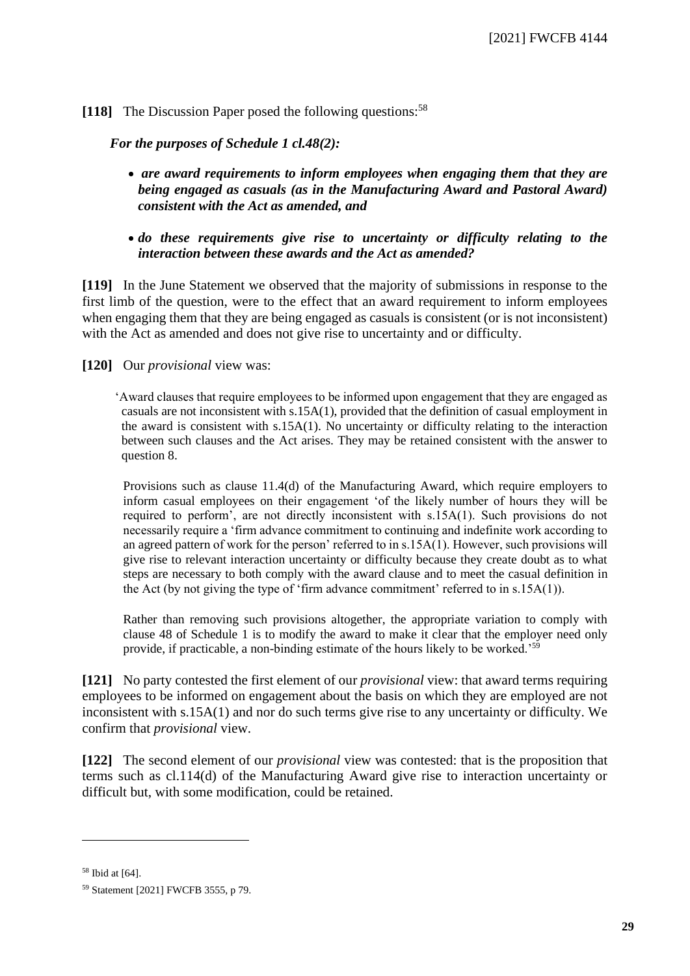## **[118]** The Discussion Paper posed the following questions:<sup>58</sup>

*For the purposes of Schedule 1 cl.48(2):*

- *are award requirements to inform employees when engaging them that they are being engaged as casuals (as in the Manufacturing Award and Pastoral Award) consistent with the Act as amended, and*
- *do these requirements give rise to uncertainty or difficulty relating to the interaction between these awards and the Act as amended?*

**[119]** In the June Statement we observed that the majority of submissions in response to the first limb of the question, were to the effect that an award requirement to inform employees when engaging them that they are being engaged as casuals is consistent (or is not inconsistent) with the Act as amended and does not give rise to uncertainty and or difficulty.

**[120]** Our *provisional* view was:

'Award clauses that require employees to be informed upon engagement that they are engaged as casuals are not inconsistent with s.15A(1), provided that the definition of casual employment in the award is consistent with  $s.15A(1)$ . No uncertainty or difficulty relating to the interaction between such clauses and the Act arises. They may be retained consistent with the answer to question 8.

Provisions such as clause 11.4(d) of the Manufacturing Award, which require employers to inform casual employees on their engagement 'of the likely number of hours they will be required to perform', are not directly inconsistent with s.15A(1). Such provisions do not necessarily require a 'firm advance commitment to continuing and indefinite work according to an agreed pattern of work for the person' referred to in s.15A(1). However, such provisions will give rise to relevant interaction uncertainty or difficulty because they create doubt as to what steps are necessary to both comply with the award clause and to meet the casual definition in the Act (by not giving the type of 'firm advance commitment' referred to in s.15A(1)).

Rather than removing such provisions altogether, the appropriate variation to comply with clause 48 of Schedule 1 is to modify the award to make it clear that the employer need only provide, if practicable, a non-binding estimate of the hours likely to be worked.'<sup>59</sup>

**[121]** No party contested the first element of our *provisional* view: that award terms requiring employees to be informed on engagement about the basis on which they are employed are not inconsistent with s.15A(1) and nor do such terms give rise to any uncertainty or difficulty. We confirm that *provisional* view.

**[122]** The second element of our *provisional* view was contested: that is the proposition that terms such as cl.114(d) of the Manufacturing Award give rise to interaction uncertainty or difficult but, with some modification, could be retained.

<sup>58</sup> Ibid at [64].

<sup>59</sup> Statement [2021] FWCFB 3555, p 79.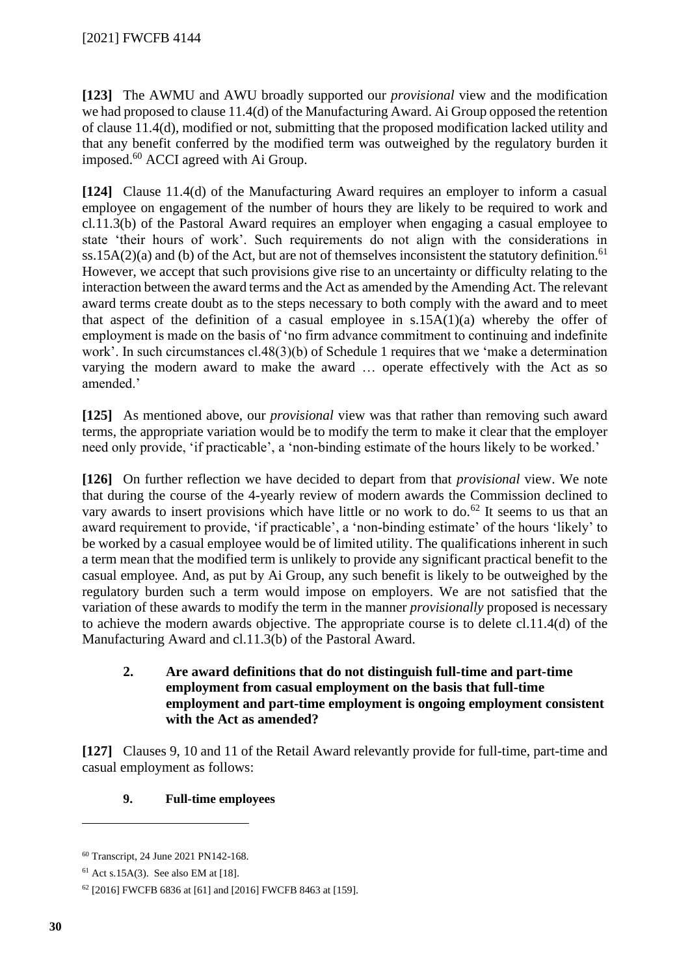**[123]** The AWMU and AWU broadly supported our *provisional* view and the modification we had proposed to clause 11.4(d) of the Manufacturing Award. Ai Group opposed the retention of clause 11.4(d), modified or not, submitting that the proposed modification lacked utility and that any benefit conferred by the modified term was outweighed by the regulatory burden it imposed.<sup>60</sup> ACCI agreed with Ai Group.

**[124]** Clause 11.4(d) of the Manufacturing Award requires an employer to inform a casual employee on engagement of the number of hours they are likely to be required to work and cl.11.3(b) of the Pastoral Award requires an employer when engaging a casual employee to state 'their hours of work'. Such requirements do not align with the considerations in ss.15A(2)(a) and (b) of the Act, but are not of themselves inconsistent the statutory definition.<sup>61</sup> However, we accept that such provisions give rise to an uncertainty or difficulty relating to the interaction between the award terms and the Act as amended by the Amending Act. The relevant award terms create doubt as to the steps necessary to both comply with the award and to meet that aspect of the definition of a casual employee in  $s.15A(1)(a)$  whereby the offer of employment is made on the basis of 'no firm advance commitment to continuing and indefinite work'. In such circumstances cl.48(3)(b) of Schedule 1 requires that we 'make a determination varying the modern award to make the award … operate effectively with the Act as so amended.'

**[125]** As mentioned above, our *provisional* view was that rather than removing such award terms, the appropriate variation would be to modify the term to make it clear that the employer need only provide, 'if practicable', a 'non-binding estimate of the hours likely to be worked.'

**[126]** On further reflection we have decided to depart from that *provisional* view. We note that during the course of the 4-yearly review of modern awards the Commission declined to vary awards to insert provisions which have little or no work to do.<sup>62</sup> It seems to us that an award requirement to provide, 'if practicable', a 'non-binding estimate' of the hours 'likely' to be worked by a casual employee would be of limited utility. The qualifications inherent in such a term mean that the modified term is unlikely to provide any significant practical benefit to the casual employee. And, as put by Ai Group, any such benefit is likely to be outweighed by the regulatory burden such a term would impose on employers. We are not satisfied that the variation of these awards to modify the term in the manner *provisionally* proposed is necessary to achieve the modern awards objective. The appropriate course is to delete cl.11.4(d) of the Manufacturing Award and cl.11.3(b) of the Pastoral Award.

## **2. Are award definitions that do not distinguish full-time and part-time employment from casual employment on the basis that full-time employment and part-time employment is ongoing employment consistent with the Act as amended?**

**[127]** Clauses 9, 10 and 11 of the Retail Award relevantly provide for full-time, part-time and casual employment as follows:

## **9. Full-time employees**

<sup>60</sup> Transcript, 24 June 2021 PN142-168.

 $61$  Act s.15A(3). See also EM at [18].

<sup>62</sup> [2016] FWCFB 6836 at [61] and [2016] FWCFB 8463 at [159].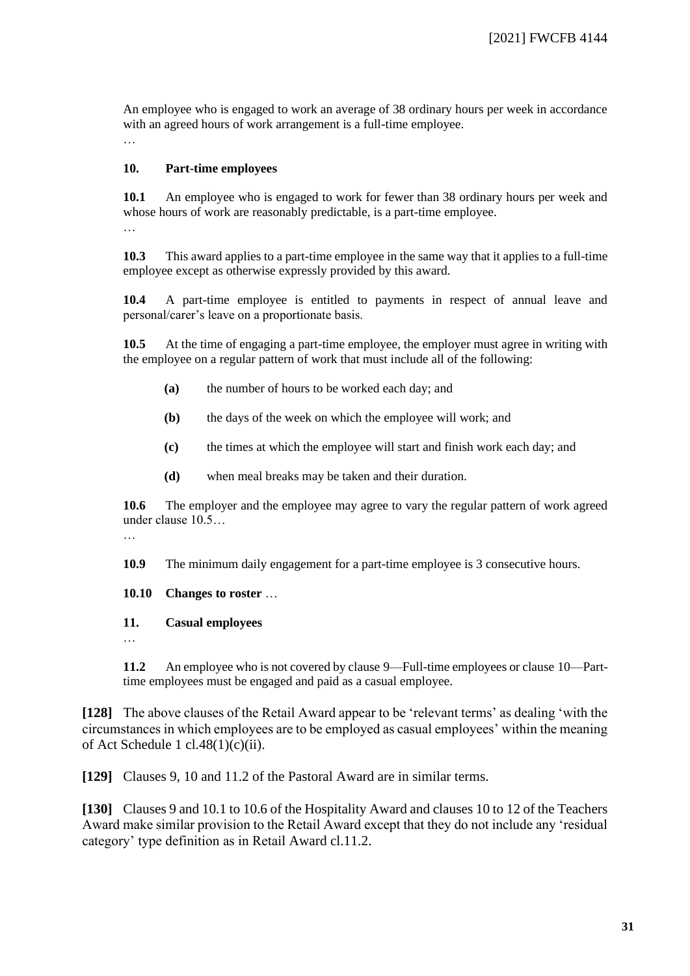An employee who is engaged to work an average of 38 ordinary hours per week in accordance with an agreed hours of work arrangement is a full-time employee. …

#### **10. Part-time employees**

**10.1** An employee who is engaged to work for fewer than 38 ordinary hours per week and whose hours of work are reasonably predictable, is a part-time employee. …

**10.3** This award applies to a part-time employee in the same way that it applies to a full-time employee except as otherwise expressly provided by this award.

**10.4** A part-time employee is entitled to payments in respect of annual leave and personal/carer's leave on a proportionate basis.

**10.5** At the time of engaging a part-time employee, the employer must agree in writing with the employee on a regular pattern of work that must include all of the following:

- **(a)** the number of hours to be worked each day; and
- **(b)** the days of the week on which the employee will work; and
- **(c)** the times at which the employee will start and finish work each day; and
- **(d)** when meal breaks may be taken and their duration.

**10.6** The employer and the employee may agree to vary the regular pattern of work agreed under clause 10.5…

…

**10.9** The minimum daily engagement for a part-time employee is 3 consecutive hours.

**10.10 Changes to roster** …

#### **11. Casual employees**

…

**11.2** An employee who is not covered by clause 9—Full-time employees or clause 10—Parttime employees must be engaged and paid as a casual employee.

**[128]** The above clauses of the Retail Award appear to be 'relevant terms' as dealing 'with the circumstances in which employees are to be employed as casual employees' within the meaning of Act Schedule 1 cl.48(1)(c)(ii).

**[129]** Clauses 9, 10 and 11.2 of the Pastoral Award are in similar terms.

**[130]** Clauses 9 and 10.1 to 10.6 of the Hospitality Award and clauses 10 to 12 of the Teachers Award make similar provision to the Retail Award except that they do not include any 'residual category' type definition as in Retail Award cl.11.2.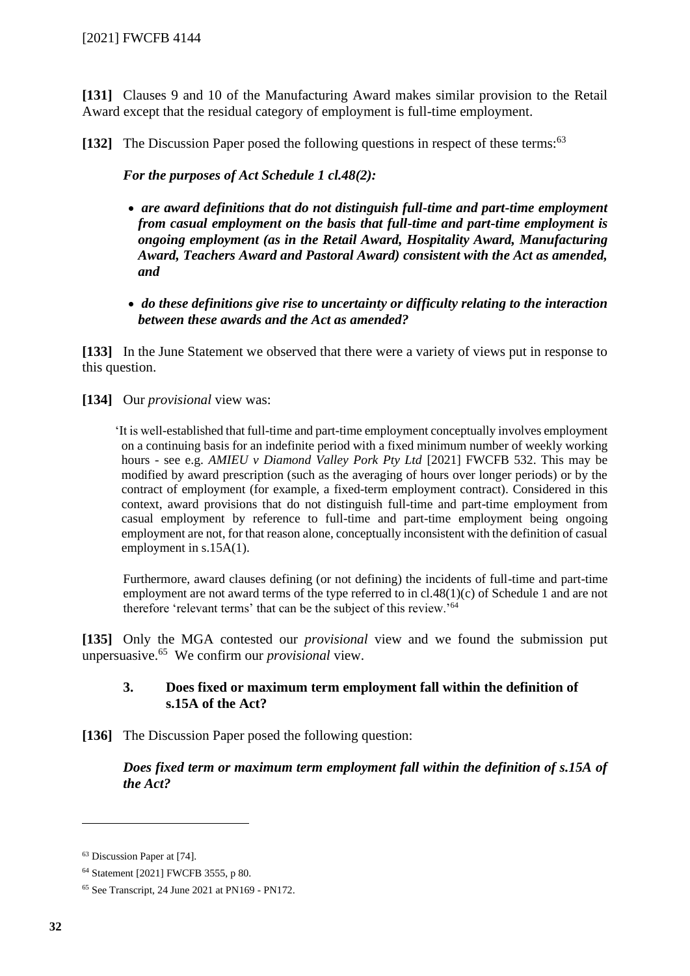**[131]** Clauses 9 and 10 of the Manufacturing Award makes similar provision to the Retail Award except that the residual category of employment is full-time employment.

[132] The Discussion Paper posed the following questions in respect of these terms:<sup>63</sup>

*For the purposes of Act Schedule 1 cl.48(2):*

- *are award definitions that do not distinguish full-time and part-time employment from casual employment on the basis that full-time and part-time employment is ongoing employment (as in the Retail Award, Hospitality Award, Manufacturing Award, Teachers Award and Pastoral Award) consistent with the Act as amended, and*
- *do these definitions give rise to uncertainty or difficulty relating to the interaction between these awards and the Act as amended?*

**[133]** In the June Statement we observed that there were a variety of views put in response to this question.

**[134]** Our *provisional* view was:

'It is well-established that full-time and part-time employment conceptually involves employment on a continuing basis for an indefinite period with a fixed minimum number of weekly working hours - see e.g. *AMIEU v Diamond Valley Pork Pty Ltd* [2021] FWCFB 532. This may be modified by award prescription (such as the averaging of hours over longer periods) or by the contract of employment (for example, a fixed-term employment contract). Considered in this context, award provisions that do not distinguish full-time and part-time employment from casual employment by reference to full-time and part-time employment being ongoing employment are not, for that reason alone, conceptually inconsistent with the definition of casual employment in s.15A(1).

Furthermore, award clauses defining (or not defining) the incidents of full-time and part-time employment are not award terms of the type referred to in cl.48(1)(c) of Schedule 1 and are not therefore 'relevant terms' that can be the subject of this review.'<sup>64</sup>

**[135]** Only the MGA contested our *provisional* view and we found the submission put unpersuasive.<sup>65</sup> We confirm our *provisional* view.

## **3. Does fixed or maximum term employment fall within the definition of s.15A of the Act?**

**[136]** The Discussion Paper posed the following question:

*Does fixed term or maximum term employment fall within the definition of s.15A of the Act?*

<sup>63</sup> Discussion Paper at [74].

<sup>64</sup> Statement [2021] FWCFB 3555, p 80.

<sup>65</sup> See Transcript, 24 June 2021 at PN169 - PN172.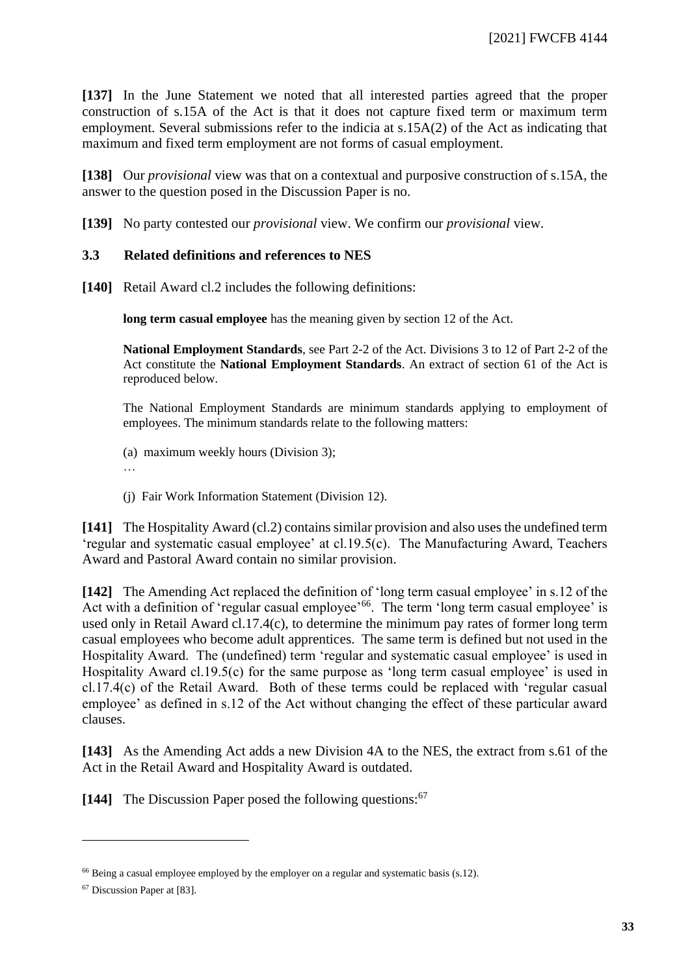**[137]** In the June Statement we noted that all interested parties agreed that the proper construction of s.15A of the Act is that it does not capture fixed term or maximum term employment. Several submissions refer to the indicia at s.15A(2) of the Act as indicating that maximum and fixed term employment are not forms of casual employment.

**[138]** Our *provisional* view was that on a contextual and purposive construction of s.15A, the answer to the question posed in the Discussion Paper is no.

**[139]** No party contested our *provisional* view. We confirm our *provisional* view.

## **3.3 Related definitions and references to NES**

<span id="page-32-0"></span>**[140]** Retail Award cl.2 includes the following definitions:

**long term casual employee** has the meaning given by section 12 of the Act.

**National Employment Standards**, see [Part 2-2](https://www.fwc.gov.au/documents/documents/legislation/fw_act/FW_Act-01.htm#P1690_157724) of the Act. Divisions 3 to 12 of Part 2-2 of the Act constitute the **National Employment Standards**. An extract of section 61 of the Act is reproduced below.

The National Employment Standards are minimum standards applying to employment of employees. The minimum standards relate to the following matters:

- (a) maximum weekly hours (Division 3);
- …
- (j) Fair Work Information Statement (Division 12).

**[141]** The Hospitality Award (cl.2) contains similar provision and also uses the undefined term 'regular and systematic casual employee' at cl.19.5(c). The Manufacturing Award, Teachers Award and Pastoral Award contain no similar provision.

**[142]** The Amending Act replaced the definition of 'long term casual employee' in s.12 of the Act with a definition of 'regular casual employee'<sup>66</sup>. The term 'long term casual employee' is used only in Retail Award cl.17.4(c), to determine the minimum pay rates of former long term casual employees who become adult apprentices. The same term is defined but not used in the Hospitality Award. The (undefined) term 'regular and systematic casual employee' is used in Hospitality Award cl.19.5(c) for the same purpose as 'long term casual employee' is used in cl.17.4(c) of the Retail Award. Both of these terms could be replaced with 'regular casual employee' as defined in s.12 of the Act without changing the effect of these particular award clauses.

**[143]** As the Amending Act adds a new Division 4A to the NES, the extract from s.61 of the Act in the Retail Award and Hospitality Award is outdated.

[144] The Discussion Paper posed the following questions:<sup>67</sup>

<sup>&</sup>lt;sup>66</sup> Being a casual employee employed by the employer on a regular and systematic basis (s.12).

<sup>67</sup> Discussion Paper at [83].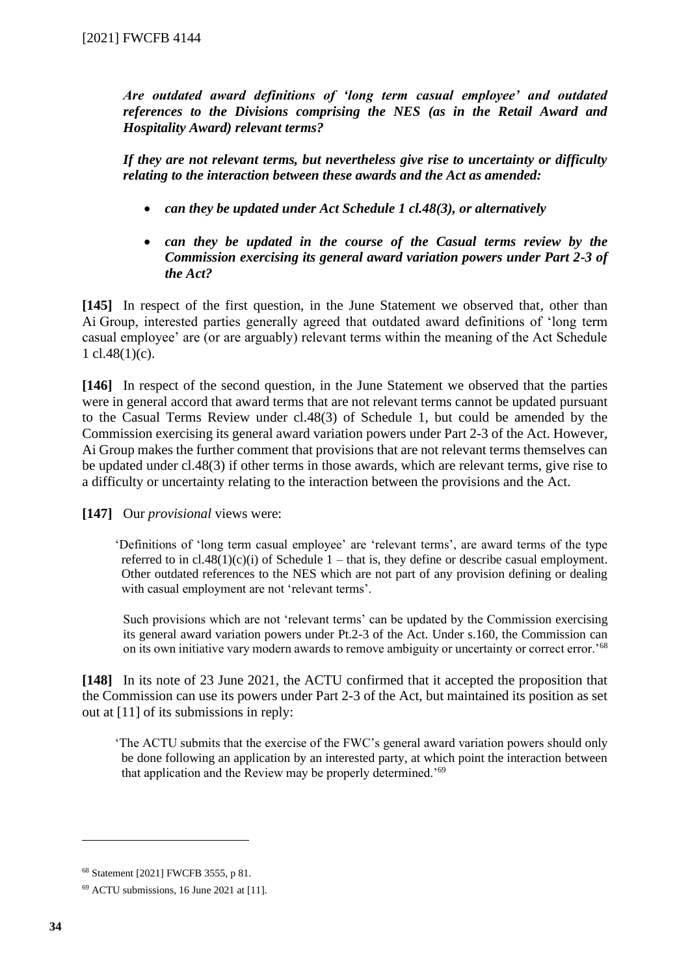*Are outdated award definitions of 'long term casual employee' and outdated references to the Divisions comprising the NES (as in the Retail Award and Hospitality Award) relevant terms?*

*If they are not relevant terms, but nevertheless give rise to uncertainty or difficulty relating to the interaction between these awards and the Act as amended:*

- *can they be updated under Act Schedule 1 cl.48(3), or alternatively*
- *can they be updated in the course of the Casual terms review by the Commission exercising its general award variation powers under Part 2-3 of the Act?*

**[145]** In respect of the first question, in the June Statement we observed that, other than Ai Group, interested parties generally agreed that outdated award definitions of 'long term casual employee' are (or are arguably) relevant terms within the meaning of the Act Schedule 1  $cl.48(1)(c)$ .

**[146]** In respect of the second question, in the June Statement we observed that the parties were in general accord that award terms that are not relevant terms cannot be updated pursuant to the Casual Terms Review under cl.48(3) of Schedule 1, but could be amended by the Commission exercising its general award variation powers under Part 2-3 of the Act. However, Ai Group makes the further comment that provisions that are not relevant terms themselves can be updated under cl.48(3) if other terms in those awards, which are relevant terms, give rise to a difficulty or uncertainty relating to the interaction between the provisions and the Act.

**[147]** Our *provisional* views were:

'Definitions of 'long term casual employee' are 'relevant terms', are award terms of the type referred to in  $cl.48(1)(c)(i)$  of Schedule 1 – that is, they define or describe casual employment. Other outdated references to the NES which are not part of any provision defining or dealing with casual employment are not 'relevant terms'.

Such provisions which are not 'relevant terms' can be updated by the Commission exercising its general award variation powers under Pt.2-3 of the Act. Under s.160, the Commission can on its own initiative vary modern awards to remove ambiguity or uncertainty or correct error.'<sup>68</sup>

**[148]** In its note of 23 June 2021, the ACTU confirmed that it accepted the proposition that the Commission can use its powers under Part 2-3 of the Act, but maintained its position as set out at [11] of its submissions in reply:

'The ACTU submits that the exercise of the FWC's general award variation powers should only be done following an application by an interested party, at which point the interaction between that application and the Review may be properly determined.'<sup>69</sup>

<sup>68</sup> Statement [2021] FWCFB 3555, p 81.

<sup>69</sup> ACTU submissions, 16 June 2021 at [11].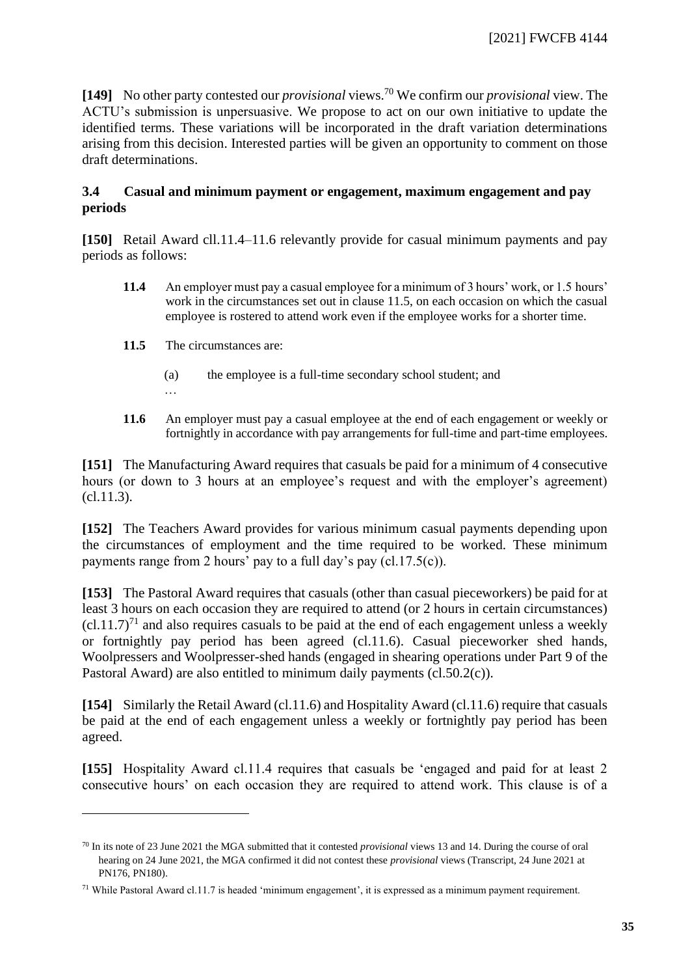**[149]** No other party contested our *provisional* views.<sup>70</sup> We confirm our *provisional* view. The ACTU's submission is unpersuasive. We propose to act on our own initiative to update the identified terms. These variations will be incorporated in the draft variation determinations arising from this decision. Interested parties will be given an opportunity to comment on those draft determinations.

## **3.4 Casual and minimum payment or engagement, maximum engagement and pay periods**

<span id="page-34-0"></span>**[150]** Retail Award cll.11.4–11.6 relevantly provide for casual minimum payments and pay periods as follows:

- **11.4** An employer must pay a casual employee for a minimum of 3 hours' work, or 1.5 hours' work in the circumstances set out in clause 11.5, on each occasion on which the casual employee is rostered to attend work even if the employee works for a shorter time.
- **11.5** The circumstances are:
	- (a) the employee is a full-time secondary school student; and …
- **11.6** An employer must pay a casual employee at the end of each engagement or weekly or fortnightly in accordance with pay arrangements for full-time and part-time employees.

**[151]** The Manufacturing Award requires that casuals be paid for a minimum of 4 consecutive hours (or down to 3 hours at an employee's request and with the employer's agreement) (cl.11.3).

**[152]** The Teachers Award provides for various minimum casual payments depending upon the circumstances of employment and the time required to be worked. These minimum payments range from 2 hours' pay to a full day's pay (cl.17.5(c)).

**[153]** The Pastoral Award requires that casuals (other than casual pieceworkers) be paid for at least 3 hours on each occasion they are required to attend (or 2 hours in certain circumstances)  $(cl.11.7)<sup>71</sup>$  and also requires casuals to be paid at the end of each engagement unless a weekly or fortnightly pay period has been agreed (cl.11.6). Casual pieceworker shed hands, Woolpressers and Woolpresser-shed hands (engaged in shearing operations under Part 9 of the Pastoral Award) are also entitled to minimum daily payments (cl.50.2(c)).

**[154]** Similarly the Retail Award (cl.11.6) and Hospitality Award (cl.11.6) require that casuals be paid at the end of each engagement unless a weekly or fortnightly pay period has been agreed.

**[155]** Hospitality Award cl.11.4 requires that casuals be 'engaged and paid for at least 2 consecutive hours' on each occasion they are required to attend work. This clause is of a

<sup>70</sup> In its note of 23 June 2021 the MGA submitted that it contested *provisional* views 13 and 14. During the course of oral hearing on 24 June 2021, the MGA confirmed it did not contest these *provisional* views (Transcript, 24 June 2021 at PN176, PN180).

<sup>71</sup> While Pastoral Award cl.11.7 is headed 'minimum engagement', it is expressed as a minimum payment requirement.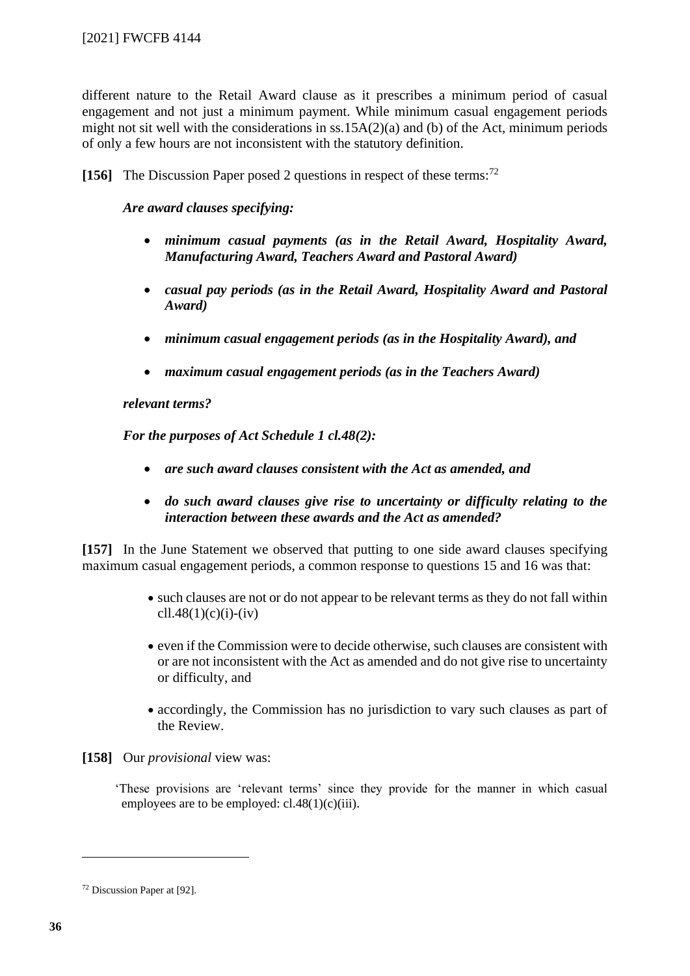different nature to the Retail Award clause as it prescribes a minimum period of casual engagement and not just a minimum payment. While minimum casual engagement periods might not sit well with the considerations in ss.15A(2)(a) and (b) of the Act, minimum periods of only a few hours are not inconsistent with the statutory definition.

**[156]** The Discussion Paper posed 2 questions in respect of these terms: 72

## *Are award clauses specifying:*

- *minimum casual payments (as in the Retail Award, Hospitality Award, Manufacturing Award, Teachers Award and Pastoral Award)*
- *casual pay periods (as in the Retail Award, Hospitality Award and Pastoral Award)*
- *minimum casual engagement periods (as in the Hospitality Award), and*
- *maximum casual engagement periods (as in the Teachers Award)*

#### *relevant terms?*

*For the purposes of Act Schedule 1 cl.48(2):*

- *are such award clauses consistent with the Act as amended, and*
- *do such award clauses give rise to uncertainty or difficulty relating to the interaction between these awards and the Act as amended?*

**[157]** In the June Statement we observed that putting to one side award clauses specifying maximum casual engagement periods, a common response to questions 15 and 16 was that:

- such clauses are not or do not appear to be relevant terms as they do not fall within cll.48(1)(c)(i)-(iv)
- even if the Commission were to decide otherwise, such clauses are consistent with or are not inconsistent with the Act as amended and do not give rise to uncertainty or difficulty, and
- accordingly, the Commission has no jurisdiction to vary such clauses as part of the Review.

**[158]** Our *provisional* view was:

'These provisions are 'relevant terms' since they provide for the manner in which casual employees are to be employed:  $cl.48(1)(c)(iii)$ .

<sup>72</sup> Discussion Paper at [92].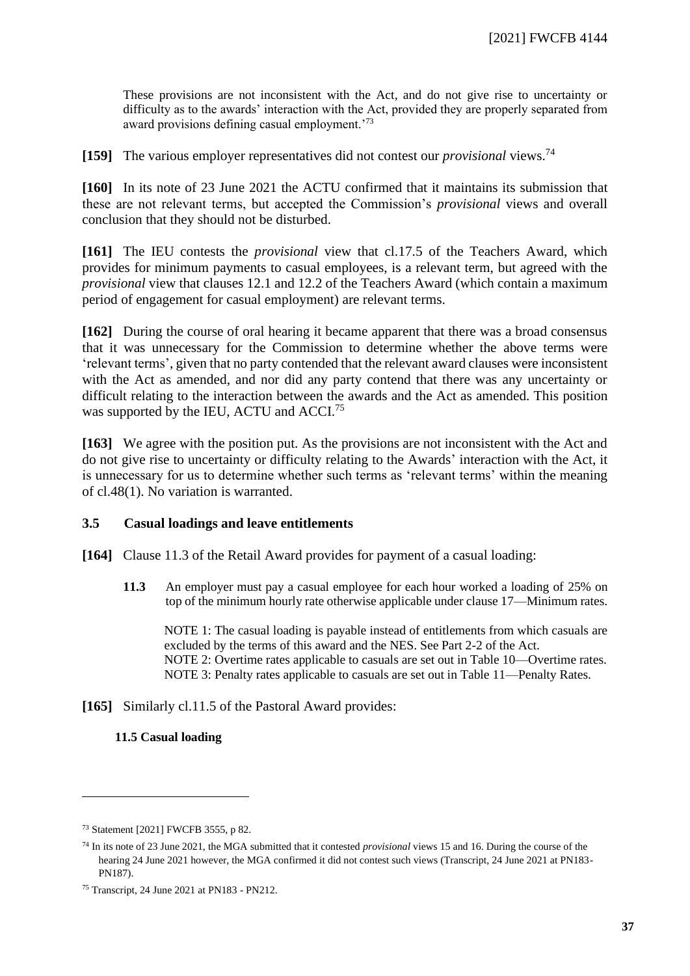These provisions are not inconsistent with the Act, and do not give rise to uncertainty or difficulty as to the awards' interaction with the Act, provided they are properly separated from award provisions defining casual employment.'<sup>73</sup>

**[159]** The various employer representatives did not contest our *provisional* views.<sup>74</sup>

**[160]** In its note of 23 June 2021 the ACTU confirmed that it maintains its submission that these are not relevant terms, but accepted the Commission's *provisional* views and overall conclusion that they should not be disturbed.

**[161]** The IEU contests the *provisional* view that cl.17.5 of the Teachers Award, which provides for minimum payments to casual employees, is a relevant term, but agreed with the *provisional* view that clauses 12.1 and 12.2 of the Teachers Award (which contain a maximum period of engagement for casual employment) are relevant terms.

**[162]** During the course of oral hearing it became apparent that there was a broad consensus that it was unnecessary for the Commission to determine whether the above terms were 'relevant terms', given that no party contended that the relevant award clauses were inconsistent with the Act as amended, and nor did any party contend that there was any uncertainty or difficult relating to the interaction between the awards and the Act as amended. This position was supported by the IEU, ACTU and ACCI.<sup>75</sup>

**[163]** We agree with the position put. As the provisions are not inconsistent with the Act and do not give rise to uncertainty or difficulty relating to the Awards' interaction with the Act, it is unnecessary for us to determine whether such terms as 'relevant terms' within the meaning of cl.48(1). No variation is warranted.

#### **3.5 Casual loadings and leave entitlements**

<span id="page-36-0"></span>**[164]** Clause 11.3 of the Retail Award provides for payment of a casual loading:

**11.3** An employer must pay a casual employee for each hour worked a loading of 25% on top of the minimum hourly rate otherwise applicable under clause 17—Minimum rates.

NOTE 1: The casual loading is payable instead of entitlements from which casuals are excluded by the terms of this award and the NES. See Part 2-2 of the Act. NOTE 2: Overtime rates applicable to casuals are set out in Table 10—Overtime rates. NOTE 3: Penalty rates applicable to casuals are set out in Table 11—Penalty Rates.

**[165]** Similarly cl.11.5 of the Pastoral Award provides:

#### **11.5 Casual loading**

<sup>73</sup> Statement [2021] FWCFB 3555, p 82.

<sup>74</sup> In its note of 23 June 2021, the MGA submitted that it contested *provisional* views 15 and 16. During the course of the hearing 24 June 2021 however, the MGA confirmed it did not contest such views (Transcript, 24 June 2021 at PN183- PN187).

<sup>75</sup> Transcript, 24 June 2021 at PN183 - PN212.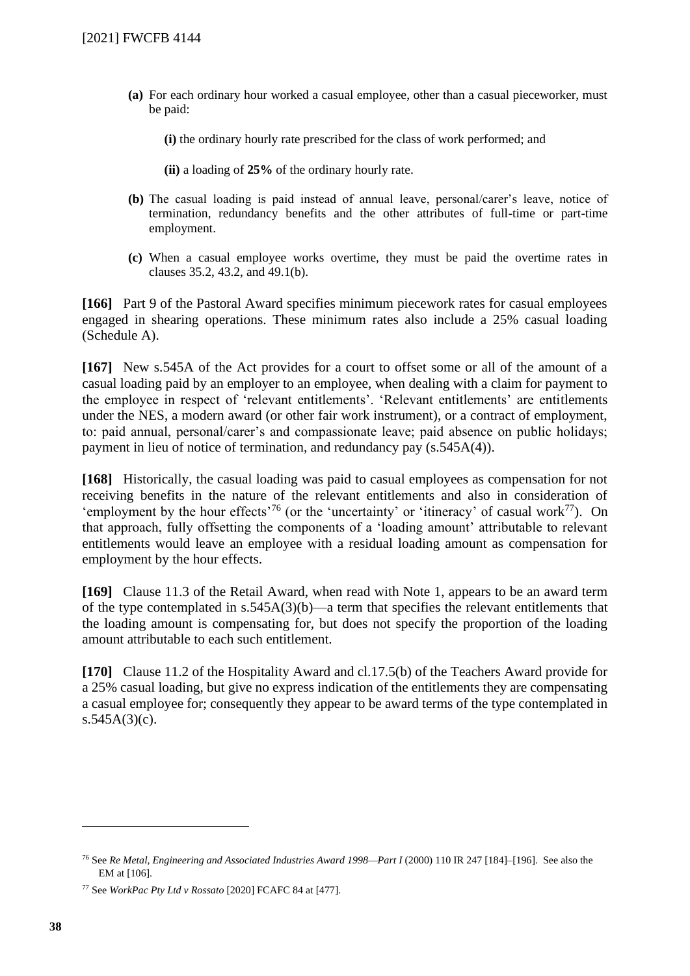**(a)** For each ordinary hour worked a casual employee, other than a casual pieceworker, must be paid:

**(i)** the ordinary hourly rate prescribed for the class of work performed; and

**(ii)** a loading of **25%** of the ordinary hourly rate.

- **(b)** The casual loading is paid instead of annual leave, personal/carer's leave, notice of termination, redundancy benefits and the other attributes of full-time or part-time employment.
- **(c)** When a casual employee works overtime, they must be paid the overtime rates in clauses 35.2, 43.2, and 49.1(b).

**[166]** Part 9 of the Pastoral Award specifies minimum piecework rates for casual employees engaged in shearing operations. These minimum rates also include a 25% casual loading (Schedule A).

**[167]** New s.545A of the Act provides for a court to offset some or all of the amount of a casual loading paid by an employer to an employee, when dealing with a claim for payment to the employee in respect of 'relevant entitlements'. 'Relevant entitlements' are entitlements under the NES, a modern award (or other fair work instrument), or a contract of employment, to: paid annual, personal/carer's and compassionate leave; paid absence on public holidays; payment in lieu of notice of termination, and redundancy pay (s.545A(4)).

**[168]** Historically, the casual loading was paid to casual employees as compensation for not receiving benefits in the nature of the relevant entitlements and also in consideration of 'employment by the hour effects<sup>'76</sup> (or the 'uncertainty' or 'itineracy' of casual work<sup>77</sup>). On that approach, fully offsetting the components of a 'loading amount' attributable to relevant entitlements would leave an employee with a residual loading amount as compensation for employment by the hour effects.

**[169]** Clause 11.3 of the Retail Award, when read with Note 1, appears to be an award term of the type contemplated in s.545A(3)(b)—a term that specifies the relevant entitlements that the loading amount is compensating for, but does not specify the proportion of the loading amount attributable to each such entitlement.

**[170]** Clause 11.2 of the Hospitality Award and cl.17.5(b) of the Teachers Award provide for a 25% casual loading, but give no express indication of the entitlements they are compensating a casual employee for; consequently they appear to be award terms of the type contemplated in  $s.545A(3)(c)$ .

<sup>76</sup> See *Re Metal, Engineering and Associated Industries Award 1998—Part I* (2000) 110 IR 247 [184]–[196]. See also the EM at [106].

<sup>77</sup> See *WorkPac Pty Ltd v Rossato* [2020] FCAFC 84 at [477].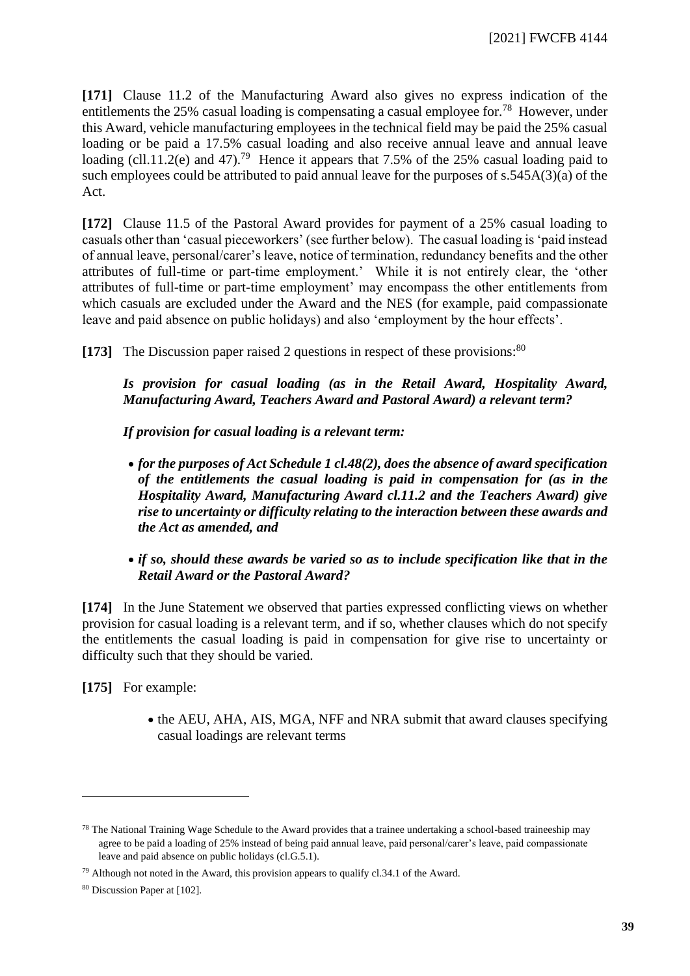**[171]** Clause 11.2 of the Manufacturing Award also gives no express indication of the entitlements the 25% casual loading is compensating a casual employee for.<sup>78</sup> However, under this Award, vehicle manufacturing employees in the technical field may be paid the 25% casual loading or be paid a 17.5% casual loading and also receive annual leave and annual leave loading (cll.11.2(e) and 47).<sup>79</sup> Hence it appears that 7.5% of the 25% casual loading paid to such employees could be attributed to paid annual leave for the purposes of s.545A(3)(a) of the Act.

**[172]** Clause 11.5 of the Pastoral Award provides for payment of a 25% casual loading to casuals other than 'casual pieceworkers' (see further below). The casual loading is 'paid instead of annual leave, personal/carer's leave, notice of termination, redundancy benefits and the other attributes of full-time or part-time employment.' While it is not entirely clear, the 'other attributes of full-time or part-time employment' may encompass the other entitlements from which casuals are excluded under the Award and the NES (for example, paid compassionate leave and paid absence on public holidays) and also 'employment by the hour effects'.

**[173]** The Discussion paper raised 2 questions in respect of these provisions: 80

*Is provision for casual loading (as in the Retail Award, Hospitality Award, Manufacturing Award, Teachers Award and Pastoral Award) a relevant term?*

*If provision for casual loading is a relevant term:*

- *for the purposes of Act Schedule 1 cl.48(2), does the absence of award specification of the entitlements the casual loading is paid in compensation for (as in the Hospitality Award, Manufacturing Award cl.11.2 and the Teachers Award) give rise to uncertainty or difficulty relating to the interaction between these awards and the Act as amended, and*
- *if so, should these awards be varied so as to include specification like that in the Retail Award or the Pastoral Award?*

**[174]** In the June Statement we observed that parties expressed conflicting views on whether provision for casual loading is a relevant term, and if so, whether clauses which do not specify the entitlements the casual loading is paid in compensation for give rise to uncertainty or difficulty such that they should be varied.

**[175]** For example:

• the AEU, AHA, AIS, MGA, NFF and NRA submit that award clauses specifying casual loadings are relevant terms

 $78$  The National Training Wage Schedule to the Award provides that a trainee undertaking a school-based traineeship may agree to be paid a loading of 25% instead of being paid annual leave, paid personal/carer's leave, paid compassionate leave and paid absence on public holidays (cl.G.5.1).

<sup>79</sup> Although not noted in the Award, this provision appears to qualify cl.34.1 of the Award.

<sup>80</sup> Discussion Paper at [102].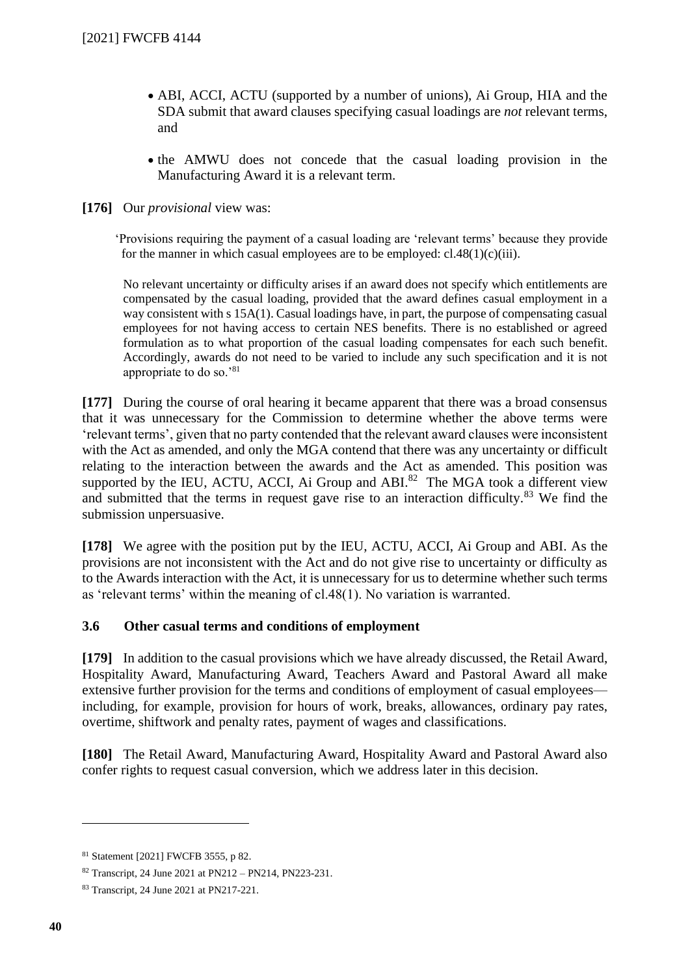- ABI, ACCI, ACTU (supported by a number of unions), Ai Group, HIA and the SDA submit that award clauses specifying casual loadings are *not* relevant terms, and
- the AMWU does not concede that the casual loading provision in the Manufacturing Award it is a relevant term.

**[176]** Our *provisional* view was:

'Provisions requiring the payment of a casual loading are 'relevant terms' because they provide for the manner in which casual employees are to be employed:  $cl.48(1)(c)(iii)$ .

No relevant uncertainty or difficulty arises if an award does not specify which entitlements are compensated by the casual loading, provided that the award defines casual employment in a way consistent with s 15A(1). Casual loadings have, in part, the purpose of compensating casual employees for not having access to certain NES benefits. There is no established or agreed formulation as to what proportion of the casual loading compensates for each such benefit. Accordingly, awards do not need to be varied to include any such specification and it is not appropriate to do so.'<sup>81</sup>

**[177]** During the course of oral hearing it became apparent that there was a broad consensus that it was unnecessary for the Commission to determine whether the above terms were 'relevant terms', given that no party contended that the relevant award clauses were inconsistent with the Act as amended, and only the MGA contend that there was any uncertainty or difficult relating to the interaction between the awards and the Act as amended. This position was supported by the IEU, ACTU, ACCI, Ai Group and ABI. $82$  The MGA took a different view and submitted that the terms in request gave rise to an interaction difficulty.<sup>83</sup> We find the submission unpersuasive.

**[178]** We agree with the position put by the IEU, ACTU, ACCI, Ai Group and ABI. As the provisions are not inconsistent with the Act and do not give rise to uncertainty or difficulty as to the Awards interaction with the Act, it is unnecessary for us to determine whether such terms as 'relevant terms' within the meaning of cl.48(1). No variation is warranted.

## **3.6 Other casual terms and conditions of employment**

<span id="page-39-0"></span>**[179]** In addition to the casual provisions which we have already discussed, the Retail Award, Hospitality Award, Manufacturing Award, Teachers Award and Pastoral Award all make extensive further provision for the terms and conditions of employment of casual employees including, for example, provision for hours of work, breaks, allowances, ordinary pay rates, overtime, shiftwork and penalty rates, payment of wages and classifications.

**[180]** The Retail Award, Manufacturing Award, Hospitality Award and Pastoral Award also confer rights to request casual conversion, which we address later in this decision.

<sup>81</sup> Statement [2021] FWCFB 3555, p 82.

<sup>82</sup> Transcript, 24 June 2021 at PN212 – PN214, PN223-231.

<sup>83</sup> Transcript, 24 June 2021 at PN217-221.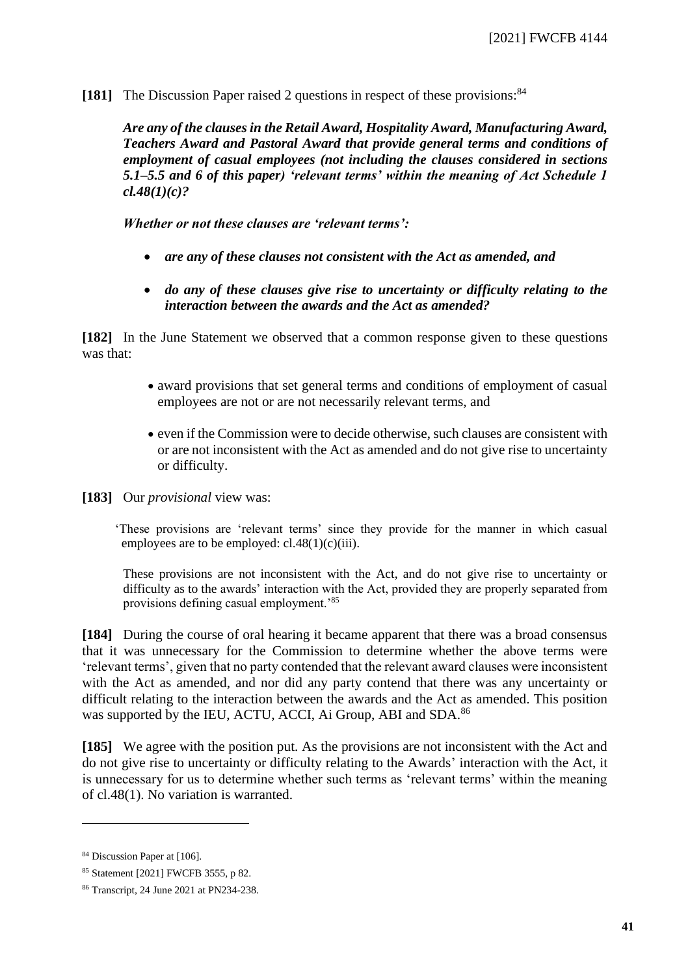**[181]** The Discussion Paper raised 2 questions in respect of these provisions: 84

*Are any of the clauses in the Retail Award, Hospitality Award, Manufacturing Award, Teachers Award and Pastoral Award that provide general terms and conditions of employment of casual employees (not including the clauses considered in sections 5.1–5.5 and 6 of this paper) 'relevant terms' within the meaning of Act Schedule 1 cl.48(1)(c)?*

*Whether or not these clauses are 'relevant terms':*

- *are any of these clauses not consistent with the Act as amended, and*
- *do any of these clauses give rise to uncertainty or difficulty relating to the interaction between the awards and the Act as amended?*

**[182]** In the June Statement we observed that a common response given to these questions was that:

- award provisions that set general terms and conditions of employment of casual employees are not or are not necessarily relevant terms, and
- even if the Commission were to decide otherwise, such clauses are consistent with or are not inconsistent with the Act as amended and do not give rise to uncertainty or difficulty.

**[183]** Our *provisional* view was:

'These provisions are 'relevant terms' since they provide for the manner in which casual employees are to be employed:  $cl.48(1)(c)(iii)$ .

These provisions are not inconsistent with the Act, and do not give rise to uncertainty or difficulty as to the awards' interaction with the Act, provided they are properly separated from provisions defining casual employment.'<sup>85</sup>

**[184]** During the course of oral hearing it became apparent that there was a broad consensus that it was unnecessary for the Commission to determine whether the above terms were 'relevant terms', given that no party contended that the relevant award clauses were inconsistent with the Act as amended, and nor did any party contend that there was any uncertainty or difficult relating to the interaction between the awards and the Act as amended. This position was supported by the IEU, ACTU, ACCI, Ai Group, ABI and SDA.<sup>86</sup>

**[185]** We agree with the position put. As the provisions are not inconsistent with the Act and do not give rise to uncertainty or difficulty relating to the Awards' interaction with the Act, it is unnecessary for us to determine whether such terms as 'relevant terms' within the meaning of cl.48(1). No variation is warranted.

<sup>84</sup> Discussion Paper at [106].

<sup>85</sup> Statement [2021] FWCFB 3555, p 82.

<sup>86</sup> Transcript, 24 June 2021 at PN234-238.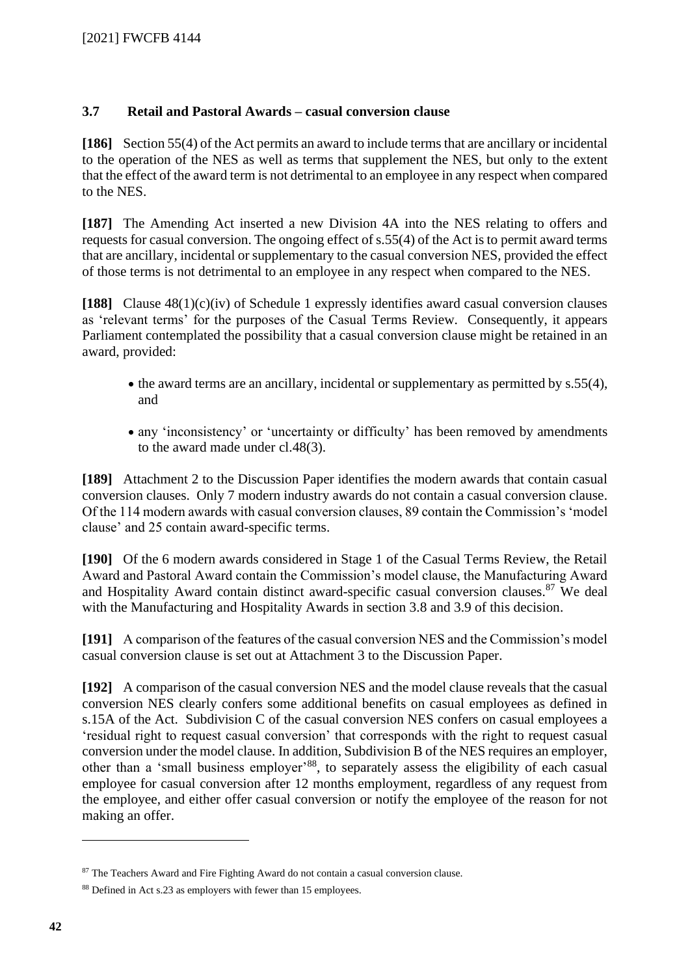## **3.7 Retail and Pastoral Awards – casual conversion clause**

<span id="page-41-0"></span>**[186]** Section 55(4) of the Act permits an award to include terms that are ancillary or incidental to the operation of the NES as well as terms that supplement the NES, but only to the extent that the effect of the award term is not detrimental to an employee in any respect when compared to the NES.

**[187]** The Amending Act inserted a new Division 4A into the NES relating to offers and requests for casual conversion. The ongoing effect of s.55(4) of the Act is to permit award terms that are ancillary, incidental or supplementary to the casual conversion NES, provided the effect of those terms is not detrimental to an employee in any respect when compared to the NES.

**[188]** Clause 48(1)(c)(iv) of Schedule 1 expressly identifies award casual conversion clauses as 'relevant terms' for the purposes of the Casual Terms Review. Consequently, it appears Parliament contemplated the possibility that a casual conversion clause might be retained in an award, provided:

- the award terms are an ancillary, incidental or supplementary as permitted by s.55(4), and
- any 'inconsistency' or 'uncertainty or difficulty' has been removed by amendments to the award made under cl.48(3).

**[189]** Attachment 2 to the Discussion Paper identifies the modern awards that contain casual conversion clauses. Only 7 modern industry awards do not contain a casual conversion clause. Of the 114 modern awards with casual conversion clauses, 89 contain the Commission's 'model clause' and 25 contain award-specific terms.

**[190]** Of the 6 modern awards considered in Stage 1 of the Casual Terms Review, the Retail Award and Pastoral Award contain the Commission's model clause, the Manufacturing Award and Hospitality Award contain distinct award-specific casual conversion clauses.<sup>87</sup> We deal with the Manufacturing and Hospitality Awards in section 3.8 and 3.9 of this decision.

**[191]** A comparison of the features of the casual conversion NES and the Commission's model casual conversion clause is set out at Attachment 3 to the Discussion Paper.

**[192]** A comparison of the casual conversion NES and the model clause reveals that the casual conversion NES clearly confers some additional benefits on casual employees as defined in s.15A of the Act. Subdivision C of the casual conversion NES confers on casual employees a 'residual right to request casual conversion' that corresponds with the right to request casual conversion under the model clause. In addition, Subdivision B of the NES requires an employer, other than a 'small business employer'<sup>88</sup>, to separately assess the eligibility of each casual employee for casual conversion after 12 months employment, regardless of any request from the employee, and either offer casual conversion or notify the employee of the reason for not making an offer.

<sup>&</sup>lt;sup>87</sup> The Teachers Award and Fire Fighting Award do not contain a casual conversion clause.

<sup>88</sup> Defined in Act s.23 as employers with fewer than 15 employees.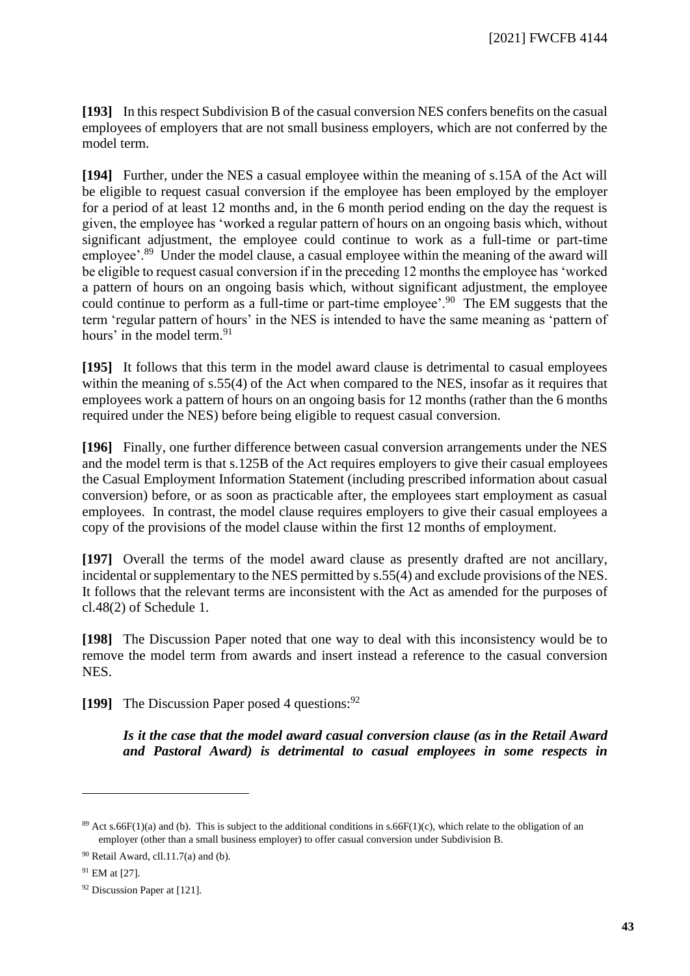**[193]** In this respect Subdivision B of the casual conversion NES confers benefits on the casual employees of employers that are not small business employers, which are not conferred by the model term.

**[194]** Further, under the NES a casual employee within the meaning of s.15A of the Act will be eligible to request casual conversion if the employee has been employed by the employer for a period of at least 12 months and, in the 6 month period ending on the day the request is given, the employee has 'worked a regular pattern of hours on an ongoing basis which, without significant adjustment, the employee could continue to work as a full-time or part-time employee'.<sup>89</sup> Under the model clause, a casual employee within the meaning of the award will be eligible to request casual conversion if in the preceding 12 months the employee has 'worked a pattern of hours on an ongoing basis which, without significant adjustment, the employee could continue to perform as a full-time or part-time employee'.<sup>90</sup> The EM suggests that the term 'regular pattern of hours' in the NES is intended to have the same meaning as 'pattern of hours' in the model term.<sup>91</sup>

**[195]** It follows that this term in the model award clause is detrimental to casual employees within the meaning of s.55(4) of the Act when compared to the NES, insofar as it requires that employees work a pattern of hours on an ongoing basis for 12 months (rather than the 6 months required under the NES) before being eligible to request casual conversion.

**[196]** Finally, one further difference between casual conversion arrangements under the NES and the model term is that s.125B of the Act requires employers to give their casual employees the Casual Employment Information Statement (including prescribed information about casual conversion) before, or as soon as practicable after, the employees start employment as casual employees. In contrast, the model clause requires employers to give their casual employees a copy of the provisions of the model clause within the first 12 months of employment.

**[197]** Overall the terms of the model award clause as presently drafted are not ancillary, incidental or supplementary to the NES permitted by s.55(4) and exclude provisions of the NES. It follows that the relevant terms are inconsistent with the Act as amended for the purposes of cl.48(2) of Schedule 1.

**[198]** The Discussion Paper noted that one way to deal with this inconsistency would be to remove the model term from awards and insert instead a reference to the casual conversion NES.

**[199]** The Discussion Paper posed 4 questions:<sup>92</sup>

*Is it the case that the model award casual conversion clause (as in the Retail Award and Pastoral Award) is detrimental to casual employees in some respects in* 

<sup>&</sup>lt;sup>89</sup> Act s.66F(1)(a) and (b). This is subject to the additional conditions in s.66F(1)(c), which relate to the obligation of an employer (other than a small business employer) to offer casual conversion under Subdivision B.

 $90$  Retail Award, cll.11.7(a) and (b).

<sup>91</sup> EM at [27].

<sup>92</sup> Discussion Paper at [121].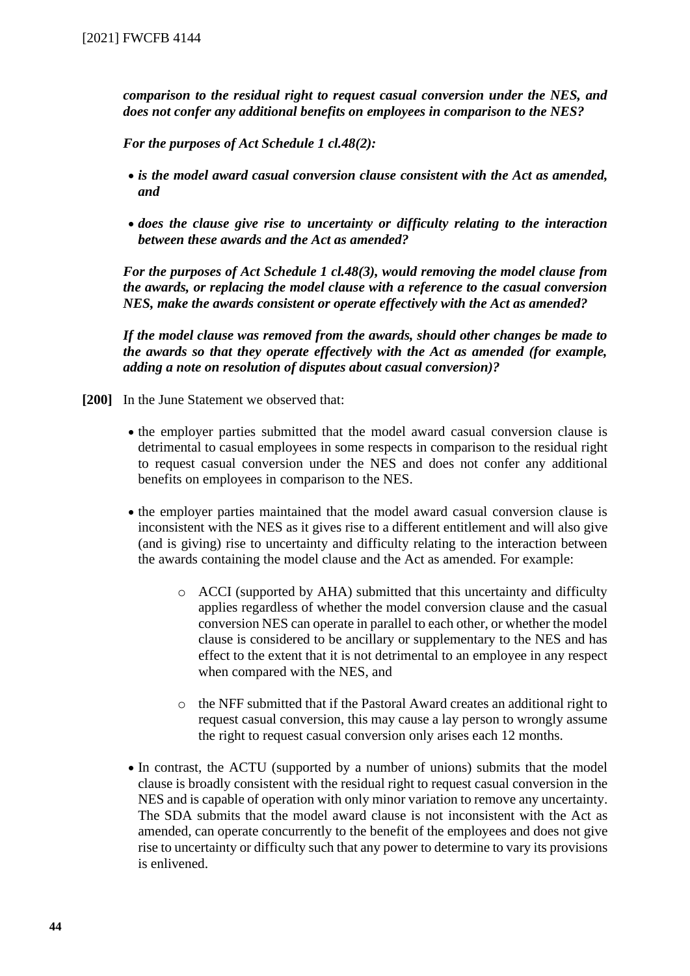*comparison to the residual right to request casual conversion under the NES, and does not confer any additional benefits on employees in comparison to the NES?*

*For the purposes of Act Schedule 1 cl.48(2):*

- *is the model award casual conversion clause consistent with the Act as amended, and*
- *does the clause give rise to uncertainty or difficulty relating to the interaction between these awards and the Act as amended?*

*For the purposes of Act Schedule 1 cl.48(3), would removing the model clause from the awards, or replacing the model clause with a reference to the casual conversion NES, make the awards consistent or operate effectively with the Act as amended?*

*If the model clause was removed from the awards, should other changes be made to the awards so that they operate effectively with the Act as amended (for example, adding a note on resolution of disputes about casual conversion)?*

- **[200]** In the June Statement we observed that:
	- the employer parties submitted that the model award casual conversion clause is detrimental to casual employees in some respects in comparison to the residual right to request casual conversion under the NES and does not confer any additional benefits on employees in comparison to the NES.
	- the employer parties maintained that the model award casual conversion clause is inconsistent with the NES as it gives rise to a different entitlement and will also give (and is giving) rise to uncertainty and difficulty relating to the interaction between the awards containing the model clause and the Act as amended. For example:
		- o ACCI (supported by AHA) submitted that this uncertainty and difficulty applies regardless of whether the model conversion clause and the casual conversion NES can operate in parallel to each other, or whether the model clause is considered to be ancillary or supplementary to the NES and has effect to the extent that it is not detrimental to an employee in any respect when compared with the NES, and
		- o the NFF submitted that if the Pastoral Award creates an additional right to request casual conversion, this may cause a lay person to wrongly assume the right to request casual conversion only arises each 12 months.
	- In contrast, the ACTU (supported by a number of unions) submits that the model clause is broadly consistent with the residual right to request casual conversion in the NES and is capable of operation with only minor variation to remove any uncertainty. The SDA submits that the model award clause is not inconsistent with the Act as amended, can operate concurrently to the benefit of the employees and does not give rise to uncertainty or difficulty such that any power to determine to vary its provisions is enlivened.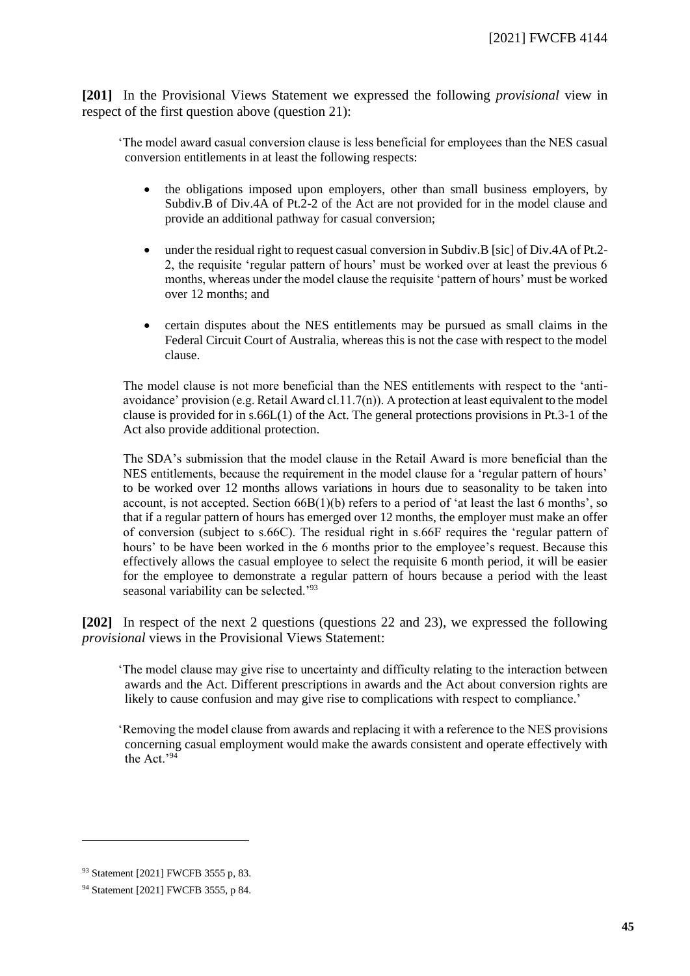**[201]** In the Provisional Views Statement we expressed the following *provisional* view in respect of the first question above (question 21):

'The model award casual conversion clause is less beneficial for employees than the NES casual conversion entitlements in at least the following respects:

- the obligations imposed upon employers, other than small business employers, by Subdiv.B of Div.4A of Pt.2-2 of the Act are not provided for in the model clause and provide an additional pathway for casual conversion;
- under the residual right to request casual conversion in Subdiv. B [sic] of Div.4A of Pt.2-2, the requisite 'regular pattern of hours' must be worked over at least the previous 6 months, whereas under the model clause the requisite 'pattern of hours' must be worked over 12 months; and
- certain disputes about the NES entitlements may be pursued as small claims in the Federal Circuit Court of Australia, whereas this is not the case with respect to the model clause.

The model clause is not more beneficial than the NES entitlements with respect to the 'antiavoidance' provision (e.g. Retail Award cl.11.7(n)). A protection at least equivalent to the model clause is provided for in  $s.66L(1)$  of the Act. The general protections provisions in Pt.3-1 of the Act also provide additional protection.

The SDA's submission that the model clause in the Retail Award is more beneficial than the NES entitlements, because the requirement in the model clause for a 'regular pattern of hours' to be worked over 12 months allows variations in hours due to seasonality to be taken into account, is not accepted. Section 66B(1)(b) refers to a period of 'at least the last 6 months', so that if a regular pattern of hours has emerged over 12 months, the employer must make an offer of conversion (subject to s.66C). The residual right in s.66F requires the 'regular pattern of hours' to be have been worked in the 6 months prior to the employee's request. Because this effectively allows the casual employee to select the requisite 6 month period, it will be easier for the employee to demonstrate a regular pattern of hours because a period with the least seasonal variability can be selected.'<sup>93</sup>

**[202]** In respect of the next 2 questions (questions 22 and 23), we expressed the following *provisional* views in the Provisional Views Statement:

'The model clause may give rise to uncertainty and difficulty relating to the interaction between awards and the Act. Different prescriptions in awards and the Act about conversion rights are likely to cause confusion and may give rise to complications with respect to compliance.'

'Removing the model clause from awards and replacing it with a reference to the NES provisions concerning casual employment would make the awards consistent and operate effectively with the Act.'<sup>94</sup>

<sup>93</sup> Statement [2021] FWCFB 3555 p, 83.

<sup>94</sup> Statement [2021] FWCFB 3555, p 84.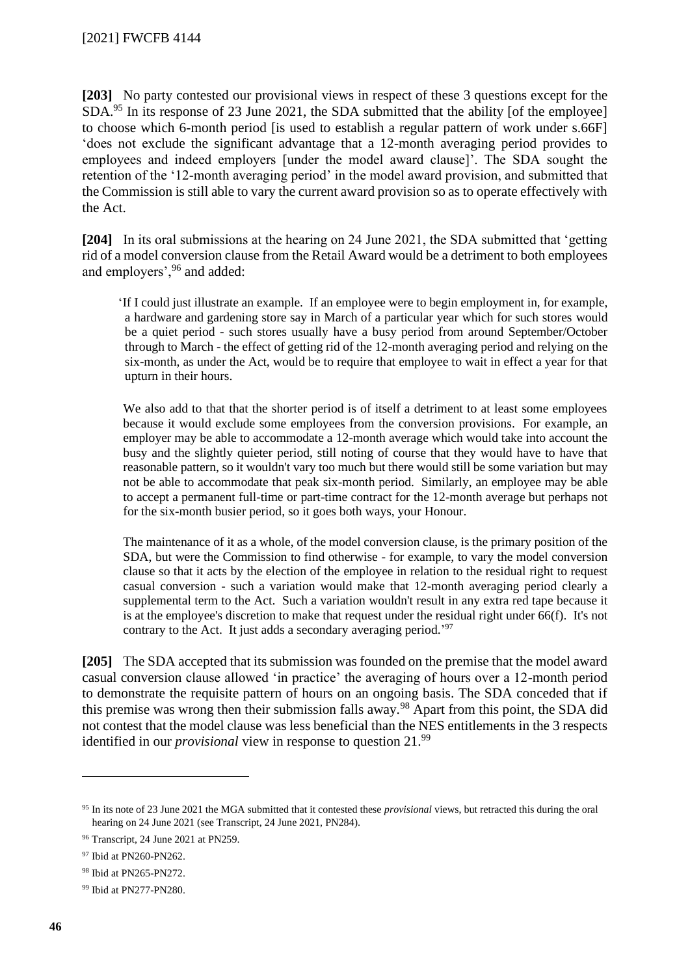**[203]** No party contested our provisional views in respect of these 3 questions except for the SDA.<sup>95</sup> In its response of 23 June 2021, the SDA submitted that the ability [of the employee] to choose which 6-month period [is used to establish a regular pattern of work under s.66F] 'does not exclude the significant advantage that a 12-month averaging period provides to employees and indeed employers [under the model award clause]'. The SDA sought the retention of the '12-month averaging period' in the model award provision, and submitted that the Commission is still able to vary the current award provision so as to operate effectively with the Act.

**[204]** In its oral submissions at the hearing on 24 June 2021, the SDA submitted that 'getting rid of a model conversion clause from the Retail Award would be a detriment to both employees and employers',<sup>96</sup> and added:

'If I could just illustrate an example. If an employee were to begin employment in, for example, a hardware and gardening store say in March of a particular year which for such stores would be a quiet period - such stores usually have a busy period from around September/October through to March - the effect of getting rid of the 12-month averaging period and relying on the six-month, as under the Act, would be to require that employee to wait in effect a year for that upturn in their hours.

We also add to that that the shorter period is of itself a detriment to at least some employees because it would exclude some employees from the conversion provisions. For example, an employer may be able to accommodate a 12-month average which would take into account the busy and the slightly quieter period, still noting of course that they would have to have that reasonable pattern, so it wouldn't vary too much but there would still be some variation but may not be able to accommodate that peak six-month period. Similarly, an employee may be able to accept a permanent full-time or part-time contract for the 12-month average but perhaps not for the six-month busier period, so it goes both ways, your Honour.

The maintenance of it as a whole, of the model conversion clause, is the primary position of the SDA, but were the Commission to find otherwise - for example, to vary the model conversion clause so that it acts by the election of the employee in relation to the residual right to request casual conversion - such a variation would make that 12-month averaging period clearly a supplemental term to the Act. Such a variation wouldn't result in any extra red tape because it is at the employee's discretion to make that request under the residual right under 66(f). It's not contrary to the Act. It just adds a secondary averaging period.<sup>'97</sup>

**[205]** The SDA accepted that its submission was founded on the premise that the model award casual conversion clause allowed 'in practice' the averaging of hours over a 12-month period to demonstrate the requisite pattern of hours on an ongoing basis. The SDA conceded that if this premise was wrong then their submission falls away.<sup>98</sup> Apart from this point, the SDA did not contest that the model clause was less beneficial than the NES entitlements in the 3 respects identified in our *provisional* view in response to question 21.<sup>99</sup>

<sup>95</sup> In its note of 23 June 2021 the MGA submitted that it contested these *provisional* views, but retracted this during the oral hearing on 24 June 2021 (see Transcript, 24 June 2021, PN284).

<sup>96</sup> Transcript, 24 June 2021 at PN259.

<sup>97</sup> Ibid at PN260-PN262.

<sup>98</sup> Ibid at PN265-PN272.

<sup>99</sup> Ibid at PN277-PN280.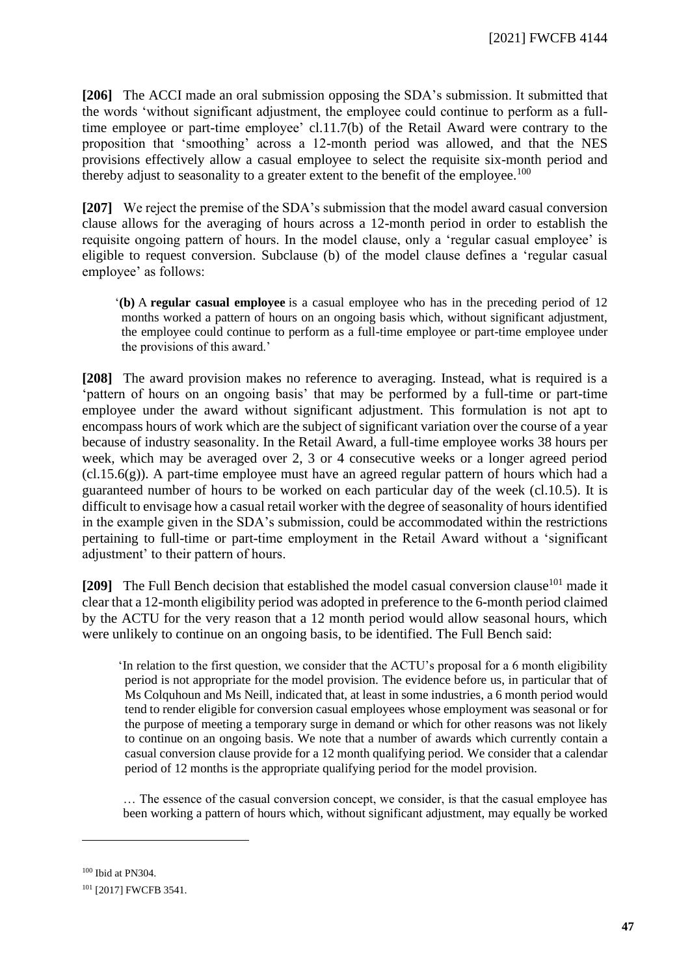**[206]** The ACCI made an oral submission opposing the SDA's submission. It submitted that the words 'without significant adjustment, the employee could continue to perform as a fulltime employee or part-time employee' cl.11.7(b) of the Retail Award were contrary to the proposition that 'smoothing' across a 12-month period was allowed, and that the NES provisions effectively allow a casual employee to select the requisite six-month period and thereby adjust to seasonality to a greater extent to the benefit of the employee.<sup>100</sup>

**[207]** We reject the premise of the SDA's submission that the model award casual conversion clause allows for the averaging of hours across a 12-month period in order to establish the requisite ongoing pattern of hours. In the model clause, only a 'regular casual employee' is eligible to request conversion. Subclause (b) of the model clause defines a 'regular casual employee' as follows:

'**(b)** A **regular casual employee** is a casual employee who has in the preceding period of 12 months worked a pattern of hours on an ongoing basis which, without significant adjustment, the employee could continue to perform as a full-time employee or part-time employee under the provisions of this award.'

**[208]** The award provision makes no reference to averaging. Instead, what is required is a 'pattern of hours on an ongoing basis' that may be performed by a full-time or part-time employee under the award without significant adjustment. This formulation is not apt to encompass hours of work which are the subject of significant variation over the course of a year because of industry seasonality. In the Retail Award, a full-time employee works 38 hours per week, which may be averaged over 2, 3 or 4 consecutive weeks or a longer agreed period  $(cl.15.6(g))$ . A part-time employee must have an agreed regular pattern of hours which had a guaranteed number of hours to be worked on each particular day of the week (cl.10.5). It is difficult to envisage how a casual retail worker with the degree of seasonality of hours identified in the example given in the SDA's submission, could be accommodated within the restrictions pertaining to full-time or part-time employment in the Retail Award without a 'significant adjustment' to their pattern of hours.

[209] The Full Bench decision that established the model casual conversion clause<sup>101</sup> made it clear that a 12-month eligibility period was adopted in preference to the 6-month period claimed by the ACTU for the very reason that a 12 month period would allow seasonal hours, which were unlikely to continue on an ongoing basis, to be identified. The Full Bench said:

'In relation to the first question, we consider that the ACTU's proposal for a 6 month eligibility period is not appropriate for the model provision. The evidence before us, in particular that of Ms Colquhoun and Ms Neill, indicated that, at least in some industries, a 6 month period would tend to render eligible for conversion casual employees whose employment was seasonal or for the purpose of meeting a temporary surge in demand or which for other reasons was not likely to continue on an ongoing basis. We note that a number of awards which currently contain a casual conversion clause provide for a 12 month qualifying period. We consider that a calendar period of 12 months is the appropriate qualifying period for the model provision.

… The essence of the casual conversion concept, we consider, is that the casual employee has been working a pattern of hours which, without significant adjustment, may equally be worked

<sup>100</sup> Ibid at PN304.

<sup>&</sup>lt;sup>101</sup> [2017] FWCFB 3541.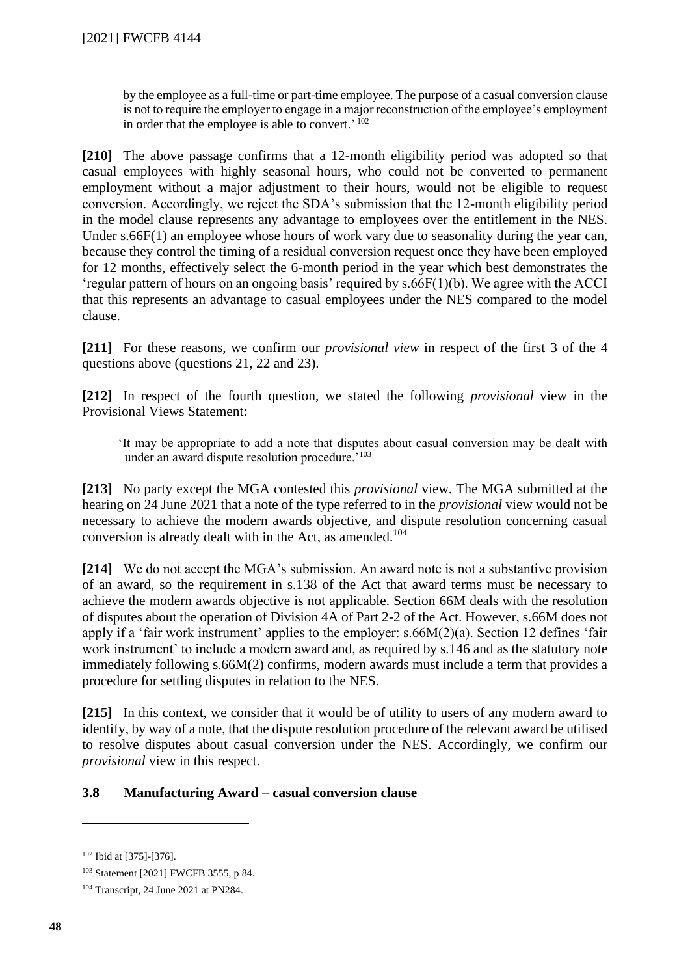by the employee as a full-time or part-time employee. The purpose of a casual conversion clause is not to require the employer to engage in a major reconstruction of the employee's employment in order that the employee is able to convert.' 102

**[210]** The above passage confirms that a 12-month eligibility period was adopted so that casual employees with highly seasonal hours, who could not be converted to permanent employment without a major adjustment to their hours, would not be eligible to request conversion. Accordingly, we reject the SDA's submission that the 12-month eligibility period in the model clause represents any advantage to employees over the entitlement in the NES. Under s.66F(1) an employee whose hours of work vary due to seasonality during the year can, because they control the timing of a residual conversion request once they have been employed for 12 months, effectively select the 6-month period in the year which best demonstrates the 'regular pattern of hours on an ongoing basis' required by s.66F(1)(b). We agree with the ACCI that this represents an advantage to casual employees under the NES compared to the model clause.

**[211]** For these reasons, we confirm our *provisional view* in respect of the first 3 of the 4 questions above (questions 21, 22 and 23).

**[212]** In respect of the fourth question, we stated the following *provisional* view in the Provisional Views Statement:

'It may be appropriate to add a note that disputes about casual conversion may be dealt with under an award dispute resolution procedure.'<sup>103</sup>

**[213]** No party except the MGA contested this *provisional* view. The MGA submitted at the hearing on 24 June 2021 that a note of the type referred to in the *provisional* view would not be necessary to achieve the modern awards objective, and dispute resolution concerning casual conversion is already dealt with in the Act, as amended.<sup>104</sup>

**[214]** We do not accept the MGA's submission. An award note is not a substantive provision of an award, so the requirement in s.138 of the Act that award terms must be necessary to achieve the modern awards objective is not applicable. Section 66M deals with the resolution of disputes about the operation of Division 4A of Part 2-2 of the Act. However, s.66M does not apply if a 'fair work instrument' applies to the employer: s.66M(2)(a). Section 12 defines 'fair work instrument' to include a modern award and, as required by s.146 and as the statutory note immediately following s.66M(2) confirms, modern awards must include a term that provides a procedure for settling disputes in relation to the NES.

**[215]** In this context, we consider that it would be of utility to users of any modern award to identify, by way of a note, that the dispute resolution procedure of the relevant award be utilised to resolve disputes about casual conversion under the NES. Accordingly, we confirm our *provisional* view in this respect.

## **3.8 Manufacturing Award – casual conversion clause**

<sup>102</sup> Ibid at [375]-[376].

<sup>103</sup> Statement [2021] FWCFB 3555, p 84.

<sup>104</sup> Transcript, 24 June 2021 at PN284.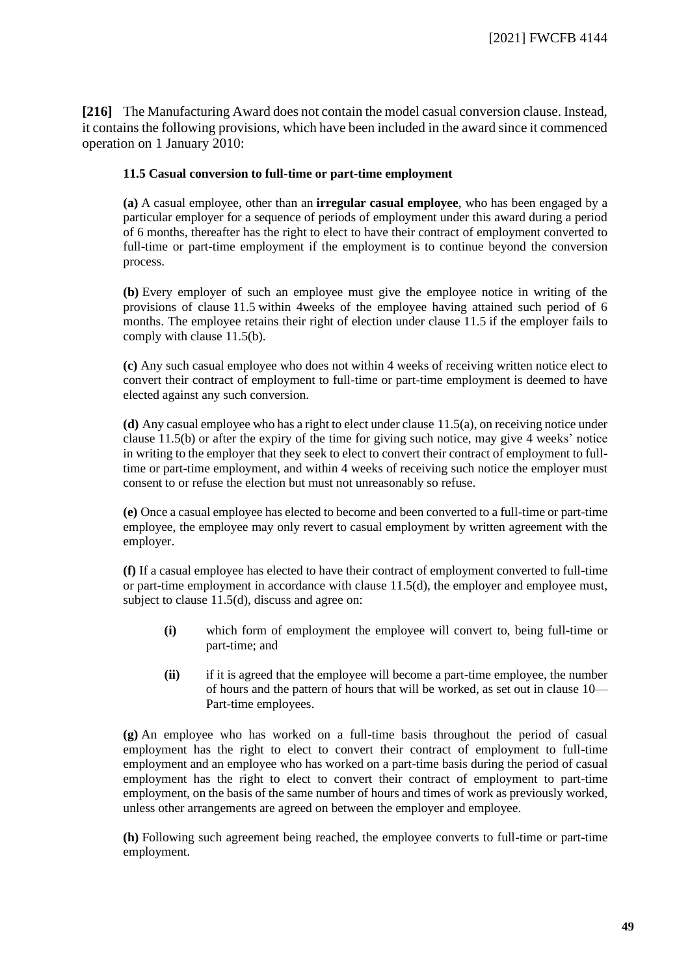<span id="page-48-0"></span>**[216]** The Manufacturing Award does not contain the model casual conversion clause. Instead, it contains the following provisions, which have been included in the award since it commenced operation on 1 January 2010:

#### **11.5 Casual conversion to full-time or part-time employment**

**(a)** A casual employee, other than an **irregular casual employee**, who has been engaged by a particular employer for a sequence of periods of employment under this award during a period of 6 months, thereafter has the right to elect to have their contract of employment converted to full-time or part-time employment if the employment is to continue beyond the conversion process.

**(b)** Every employer of such an employee must give the employee notice in writing of the provisions of clause 11.5 within 4weeks of the employee having attained such period of 6 months. The employee retains their right of election under clause 11.5 if the employer fails to comply with clause 11.5(b).

**(c)** Any such casual employee who does not within 4 weeks of receiving written notice elect to convert their contract of employment to full-time or part-time employment is deemed to have elected against any such conversion.

**(d)** Any casual employee who has a right to elect under clause 11.5(a), on receiving notice under clause 11.5(b) or after the expiry of the time for giving such notice, may give 4 weeks' notice in writing to the employer that they seek to elect to convert their contract of employment to fulltime or part-time employment, and within 4 weeks of receiving such notice the employer must consent to or refuse the election but must not unreasonably so refuse.

**(e)** Once a casual employee has elected to become and been converted to a full-time or part-time employee, the employee may only revert to casual employment by written agreement with the employer.

**(f)** If a casual employee has elected to have their contract of employment converted to full-time or part-time employment in accordance with clause 11.5(d), the employer and employee must, subject to clause 11.5(d), discuss and agree on:

- **(i)** which form of employment the employee will convert to, being full-time or part-time; and
- **(ii)** if it is agreed that the employee will become a part-time employee, the number of hours and the pattern of hours that will be worked, as set out in clause 10— Part-time employees.

**(g)** An employee who has worked on a full-time basis throughout the period of casual employment has the right to elect to convert their contract of employment to full-time employment and an employee who has worked on a part-time basis during the period of casual employment has the right to elect to convert their contract of employment to part-time employment, on the basis of the same number of hours and times of work as previously worked, unless other arrangements are agreed on between the employer and employee.

**(h)** Following such agreement being reached, the employee converts to full-time or part-time employment.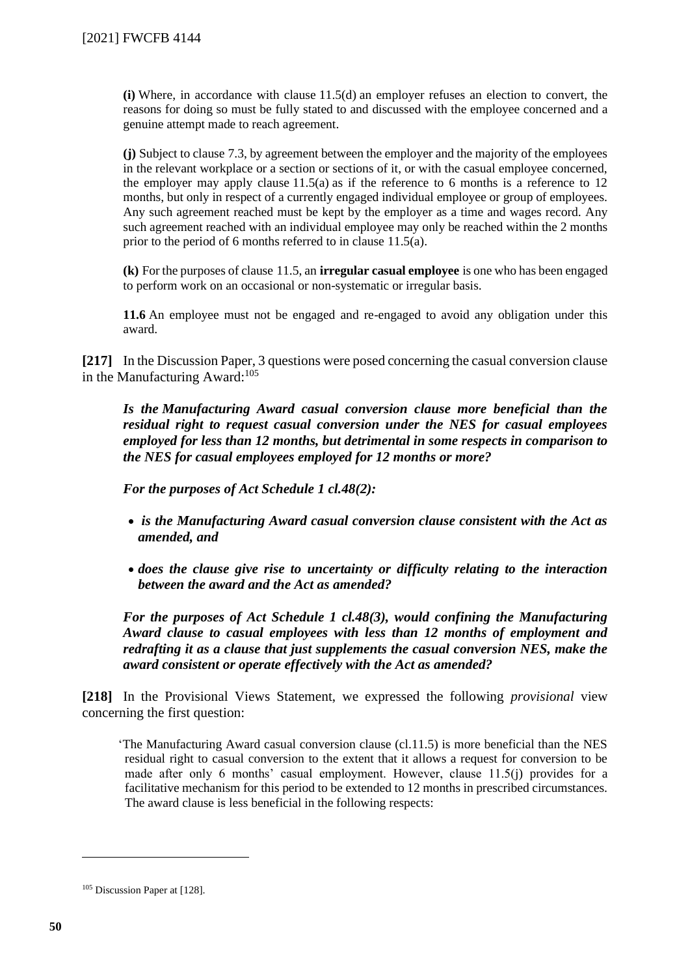**(i)** Where, in accordance with clause 11.5(d) an employer refuses an election to convert, the reasons for doing so must be fully stated to and discussed with the employee concerned and a genuine attempt made to reach agreement.

**(j)** Subject to clause 7.3, by agreement between the employer and the majority of the employees in the relevant workplace or a section or sections of it, or with the casual employee concerned, the employer may apply clause  $11.5(a)$  as if the reference to 6 months is a reference to 12 months, but only in respect of a currently engaged individual employee or group of employees. Any such agreement reached must be kept by the employer as a time and wages record. Any such agreement reached with an individual employee may only be reached within the 2 months prior to the period of 6 months referred to in clause 11.5(a).

**(k)** For the purposes of clause 11.5, an **irregular casual employee** is one who has been engaged to perform work on an occasional or non-systematic or irregular basis.

**11.6** An employee must not be engaged and re-engaged to avoid any obligation under this award.

**[217]** In the Discussion Paper, 3 questions were posed concerning the casual conversion clause in the Manufacturing Award: $105$ 

*Is the Manufacturing Award casual conversion clause more beneficial than the residual right to request casual conversion under the NES for casual employees employed for less than 12 months, but detrimental in some respects in comparison to the NES for casual employees employed for 12 months or more?*

*For the purposes of Act Schedule 1 cl.48(2):*

- *is the Manufacturing Award casual conversion clause consistent with the Act as amended, and*
- *does the clause give rise to uncertainty or difficulty relating to the interaction between the award and the Act as amended?*

*For the purposes of Act Schedule 1 cl.48(3), would confining the Manufacturing Award clause to casual employees with less than 12 months of employment and redrafting it as a clause that just supplements the casual conversion NES, make the award consistent or operate effectively with the Act as amended?*

**[218]** In the Provisional Views Statement, we expressed the following *provisional* view concerning the first question:

'The Manufacturing Award casual conversion clause (cl.11.5) is more beneficial than the NES residual right to casual conversion to the extent that it allows a request for conversion to be made after only 6 months' casual employment. However, clause 11.5(j) provides for a facilitative mechanism for this period to be extended to 12 months in prescribed circumstances. The award clause is less beneficial in the following respects:

<sup>105</sup> Discussion Paper at [128].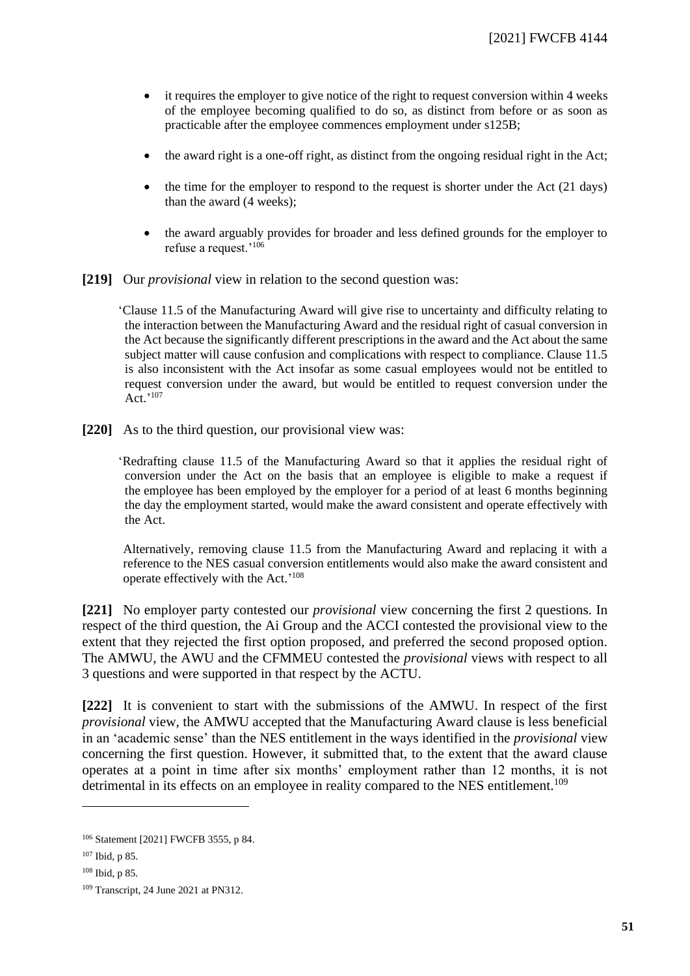- it requires the employer to give notice of the right to request conversion within 4 weeks of the employee becoming qualified to do so, as distinct from before or as soon as practicable after the employee commences employment under s125B;
- the award right is a one-off right, as distinct from the ongoing residual right in the Act;
- $\bullet$  the time for the employer to respond to the request is shorter under the Act (21 days) than the award (4 weeks);
- the award arguably provides for broader and less defined grounds for the employer to refuse a request.'<sup>106</sup>
- **[219]** Our *provisional* view in relation to the second question was:

'Clause 11.5 of the Manufacturing Award will give rise to uncertainty and difficulty relating to the interaction between the Manufacturing Award and the residual right of casual conversion in the Act because the significantly different prescriptions in the award and the Act about the same subject matter will cause confusion and complications with respect to compliance. Clause 11.5 is also inconsistent with the Act insofar as some casual employees would not be entitled to request conversion under the award, but would be entitled to request conversion under the Act.' 107

**[220]** As to the third question, our provisional view was:

'Redrafting clause 11.5 of the Manufacturing Award so that it applies the residual right of conversion under the Act on the basis that an employee is eligible to make a request if the employee has been employed by the employer for a period of at least 6 months beginning the day the employment started, would make the award consistent and operate effectively with the Act.

Alternatively, removing clause 11.5 from the Manufacturing Award and replacing it with a reference to the NES casual conversion entitlements would also make the award consistent and operate effectively with the Act.'<sup>108</sup>

**[221]** No employer party contested our *provisional* view concerning the first 2 questions. In respect of the third question, the Ai Group and the ACCI contested the provisional view to the extent that they rejected the first option proposed, and preferred the second proposed option. The AMWU, the AWU and the CFMMEU contested the *provisional* views with respect to all 3 questions and were supported in that respect by the ACTU.

**[222]** It is convenient to start with the submissions of the AMWU. In respect of the first *provisional* view, the AMWU accepted that the Manufacturing Award clause is less beneficial in an 'academic sense' than the NES entitlement in the ways identified in the *provisional* view concerning the first question. However, it submitted that, to the extent that the award clause operates at a point in time after six months' employment rather than 12 months, it is not detrimental in its effects on an employee in reality compared to the NES entitlement.<sup>109</sup>

<sup>106</sup> Statement [2021] FWCFB 3555, p 84.

<sup>107</sup> Ibid, p 85.

<sup>108</sup> Ibid, p 85.

<sup>109</sup> Transcript, 24 June 2021 at PN312.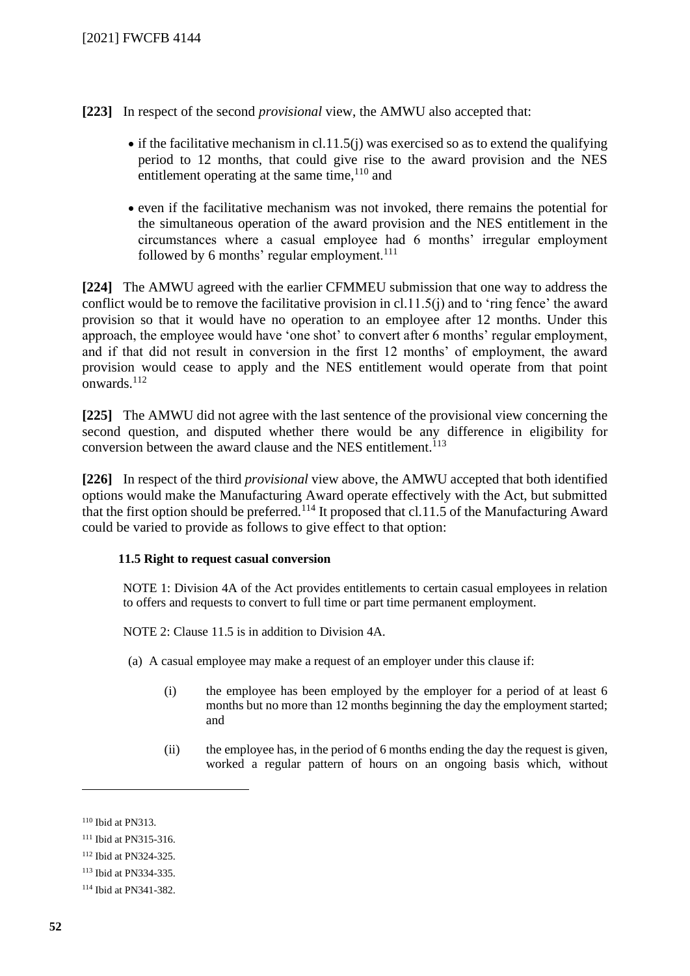**[223]** In respect of the second *provisional* view, the AMWU also accepted that:

- if the facilitative mechanism in cl.11.5(j) was exercised so as to extend the qualifying period to 12 months, that could give rise to the award provision and the NES entitlement operating at the same time, <sup>110</sup> and
- even if the facilitative mechanism was not invoked, there remains the potential for the simultaneous operation of the award provision and the NES entitlement in the circumstances where a casual employee had 6 months' irregular employment followed by 6 months' regular employment. $111$

**[224]** The AMWU agreed with the earlier CFMMEU submission that one way to address the conflict would be to remove the facilitative provision in cl.11.5(j) and to 'ring fence' the award provision so that it would have no operation to an employee after 12 months. Under this approach, the employee would have 'one shot' to convert after 6 months' regular employment, and if that did not result in conversion in the first 12 months' of employment, the award provision would cease to apply and the NES entitlement would operate from that point onwards. $^{112}$ 

**[225]** The AMWU did not agree with the last sentence of the provisional view concerning the second question, and disputed whether there would be any difference in eligibility for conversion between the award clause and the NES entitlement.<sup>113</sup>

**[226]** In respect of the third *provisional* view above, the AMWU accepted that both identified options would make the Manufacturing Award operate effectively with the Act, but submitted that the first option should be preferred.<sup>114</sup> It proposed that cl.11.5 of the Manufacturing Award could be varied to provide as follows to give effect to that option:

#### **11.5 Right to request casual conversion**

NOTE 1: Division 4A of the Act provides entitlements to certain casual employees in relation to offers and requests to convert to full time or part time permanent employment.

NOTE 2: Clause 11.5 is in addition to Division 4A.

- (a) A casual employee may make a request of an employer under this clause if:
	- (i) the employee has been employed by the employer for a period of at least 6 months but no more than 12 months beginning the day the employment started; and
	- (ii) the employee has, in the period of 6 months ending the day the request is given, worked a regular pattern of hours on an ongoing basis which, without

<sup>110</sup> Ibid at PN313.

<sup>111</sup> Ibid at PN315-316.

<sup>112</sup> Ibid at PN324-325.

<sup>113</sup> Ibid at PN334-335.

<sup>114</sup> Ibid at PN341-382.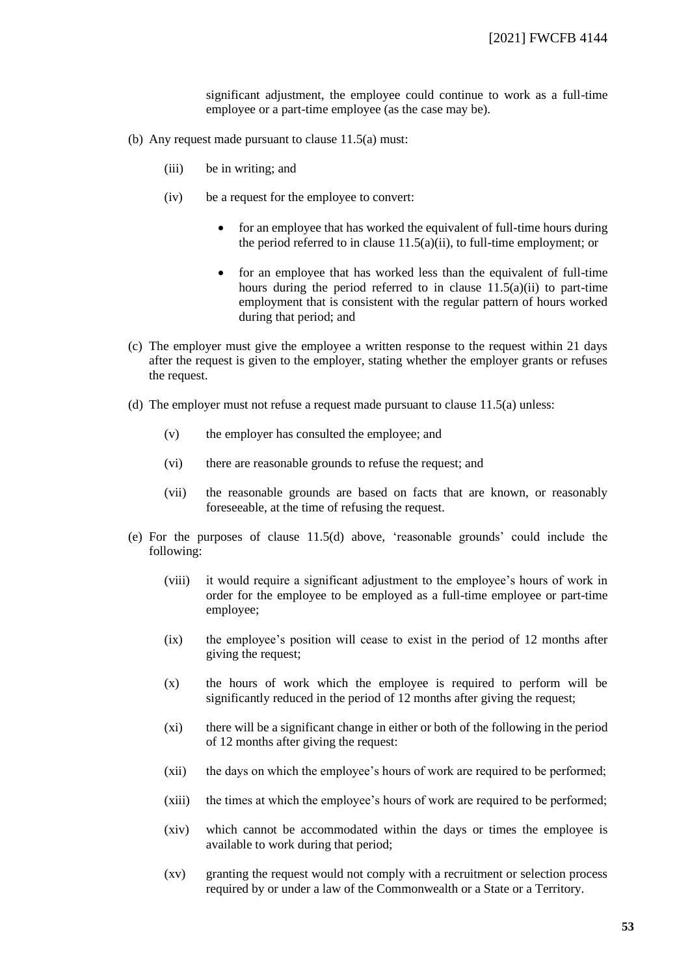significant adjustment, the employee could continue to work as a full-time employee or a part-time employee (as the case may be).

- (b) Any request made pursuant to clause 11.5(a) must:
	- (iii) be in writing; and
	- (iv) be a request for the employee to convert:
		- for an employee that has worked the equivalent of full-time hours during the period referred to in clause 11.5(a)(ii), to full-time employment; or
		- for an employee that has worked less than the equivalent of full-time hours during the period referred to in clause  $11.5(a)(ii)$  to part-time employment that is consistent with the regular pattern of hours worked during that period; and
- (c) The employer must give the employee a written response to the request within 21 days after the request is given to the employer, stating whether the employer grants or refuses the request.
- (d) The employer must not refuse a request made pursuant to clause 11.5(a) unless:
	- (v) the employer has consulted the employee; and
	- (vi) there are reasonable grounds to refuse the request; and
	- (vii) the reasonable grounds are based on facts that are known, or reasonably foreseeable, at the time of refusing the request.
- (e) For the purposes of clause 11.5(d) above, 'reasonable grounds' could include the following:
	- (viii) it would require a significant adjustment to the employee's hours of work in order for the employee to be employed as a full-time employee or part-time employee;
	- (ix) the employee's position will cease to exist in the period of 12 months after giving the request;
	- (x) the hours of work which the employee is required to perform will be significantly reduced in the period of 12 months after giving the request;
	- (xi) there will be a significant change in either or both of the following in the period of 12 months after giving the request:
	- (xii) the days on which the employee's hours of work are required to be performed;
	- (xiii) the times at which the employee's hours of work are required to be performed;
	- (xiv) which cannot be accommodated within the days or times the employee is available to work during that period;
	- (xv) granting the request would not comply with a recruitment or selection process required by or under a law of the Commonwealth or a State or a Territory.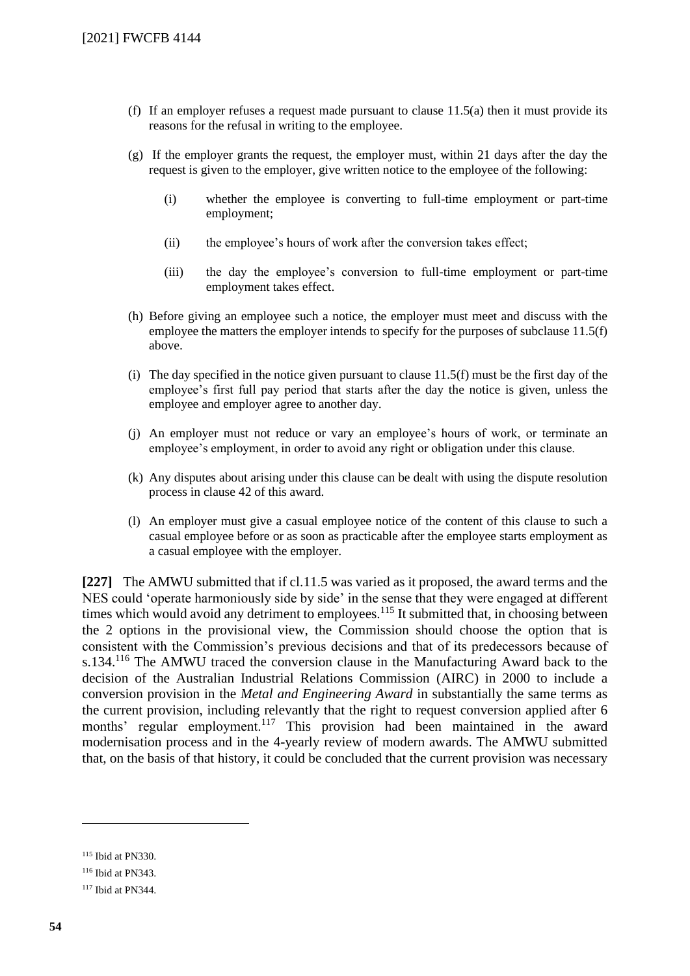- (f) If an employer refuses a request made pursuant to clause  $11.5(a)$  then it must provide its reasons for the refusal in writing to the employee.
- (g) If the employer grants the request, the employer must, within 21 days after the day the request is given to the employer, give written notice to the employee of the following:
	- (i) whether the employee is converting to full-time employment or part-time employment;
	- (ii) the employee's hours of work after the conversion takes effect;
	- (iii) the day the employee's conversion to full-time employment or part-time employment takes effect.
- (h) Before giving an employee such a notice, the employer must meet and discuss with the employee the matters the employer intends to specify for the purposes of subclause 11.5(f) above.
- (i) The day specified in the notice given pursuant to clause  $11.5(f)$  must be the first day of the employee's first full pay period that starts after the day the notice is given, unless the employee and employer agree to another day.
- (j) An employer must not reduce or vary an employee's hours of work, or terminate an employee's employment, in order to avoid any right or obligation under this clause.
- (k) Any disputes about arising under this clause can be dealt with using the dispute resolution process in clause 42 of this award.
- (l) An employer must give a casual employee notice of the content of this clause to such a casual employee before or as soon as practicable after the employee starts employment as a casual employee with the employer.

**[227]** The AMWU submitted that if cl.11.5 was varied as it proposed, the award terms and the NES could 'operate harmoniously side by side' in the sense that they were engaged at different times which would avoid any detriment to employees.<sup>115</sup> It submitted that, in choosing between the 2 options in the provisional view, the Commission should choose the option that is consistent with the Commission's previous decisions and that of its predecessors because of s.134.<sup>116</sup> The AMWU traced the conversion clause in the Manufacturing Award back to the decision of the Australian Industrial Relations Commission (AIRC) in 2000 to include a conversion provision in the *Metal and Engineering Award* in substantially the same terms as the current provision, including relevantly that the right to request conversion applied after 6 months' regular employment.<sup>117</sup> This provision had been maintained in the award modernisation process and in the 4-yearly review of modern awards. The AMWU submitted that, on the basis of that history, it could be concluded that the current provision was necessary

<sup>115</sup> Ibid at PN330.

<sup>116</sup> Ibid at PN343.

<sup>117</sup> Ibid at PN344.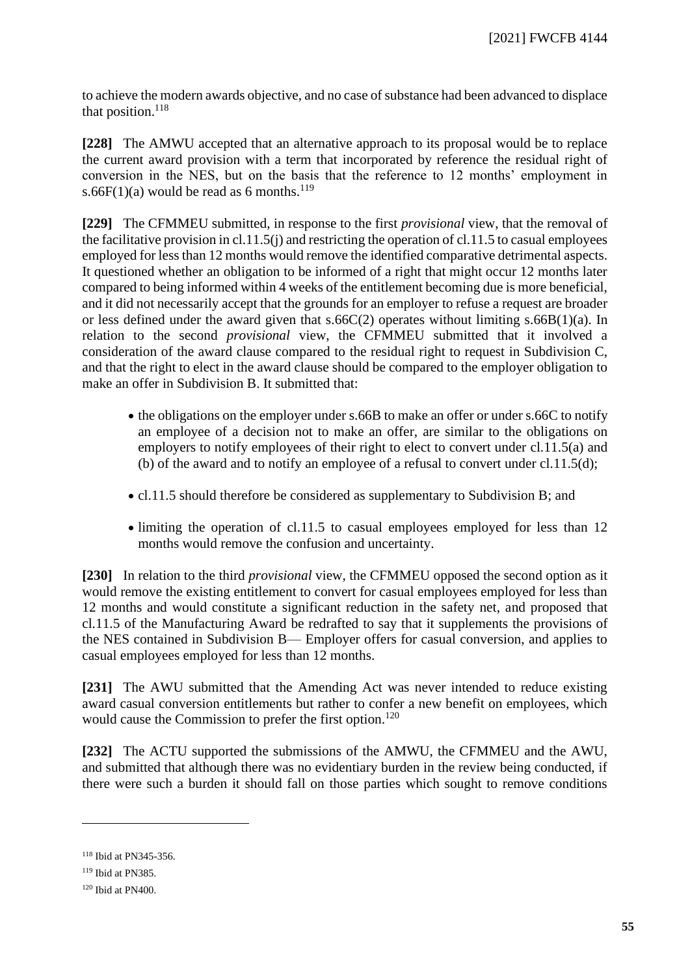to achieve the modern awards objective, and no case of substance had been advanced to displace that position.<sup>118</sup>

**[228]** The AMWU accepted that an alternative approach to its proposal would be to replace the current award provision with a term that incorporated by reference the residual right of conversion in the NES, but on the basis that the reference to 12 months' employment in s.66F(1)(a) would be read as 6 months.<sup>119</sup>

**[229]** The CFMMEU submitted, in response to the first *provisional* view, that the removal of the facilitative provision in cl.11.5(j) and restricting the operation of cl.11.5 to casual employees employed for less than 12 months would remove the identified comparative detrimental aspects. It questioned whether an obligation to be informed of a right that might occur 12 months later compared to being informed within 4 weeks of the entitlement becoming due is more beneficial, and it did not necessarily accept that the grounds for an employer to refuse a request are broader or less defined under the award given that  $s.66C(2)$  operates without limiting  $s.66B(1)(a)$ . In relation to the second *provisional* view, the CFMMEU submitted that it involved a consideration of the award clause compared to the residual right to request in Subdivision C, and that the right to elect in the award clause should be compared to the employer obligation to make an offer in Subdivision B. It submitted that:

- the obligations on the employer under s.66B to make an offer or under s.66C to notify an employee of a decision not to make an offer, are similar to the obligations on employers to notify employees of their right to elect to convert under cl.11.5(a) and (b) of the award and to notify an employee of a refusal to convert under cl.11.5(d);
- cl.11.5 should therefore be considered as supplementary to Subdivision B; and
- limiting the operation of cl.11.5 to casual employees employed for less than 12 months would remove the confusion and uncertainty.

**[230]** In relation to the third *provisional* view, the CFMMEU opposed the second option as it would remove the existing entitlement to convert for casual employees employed for less than 12 months and would constitute a significant reduction in the safety net, and proposed that cl.11.5 of the Manufacturing Award be redrafted to say that it supplements the provisions of the NES contained in Subdivision B— Employer offers for casual conversion, and applies to casual employees employed for less than 12 months.

**[231]** The AWU submitted that the Amending Act was never intended to reduce existing award casual conversion entitlements but rather to confer a new benefit on employees, which would cause the Commission to prefer the first option.<sup>120</sup>

**[232]** The ACTU supported the submissions of the AMWU, the CFMMEU and the AWU, and submitted that although there was no evidentiary burden in the review being conducted, if there were such a burden it should fall on those parties which sought to remove conditions

<sup>118</sup> Ibid at PN345-356.

<sup>119</sup> Ibid at PN385.

 $120$  Ibid at PN400.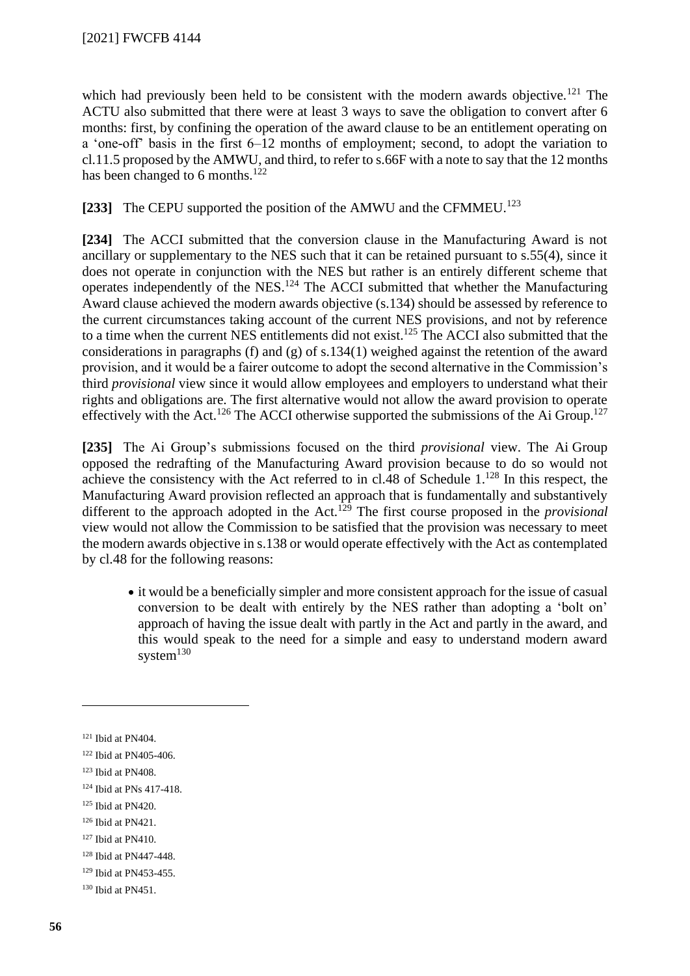which had previously been held to be consistent with the modern awards objective.<sup>121</sup> The ACTU also submitted that there were at least 3 ways to save the obligation to convert after 6 months: first, by confining the operation of the award clause to be an entitlement operating on a 'one-off' basis in the first 6–12 months of employment; second, to adopt the variation to cl.11.5 proposed by the AMWU, and third, to refer to s.66F with a note to say that the 12 months has been changed to 6 months.<sup>122</sup>

[233] The CEPU supported the position of the AMWU and the CFMMEU.<sup>123</sup>

**[234]** The ACCI submitted that the conversion clause in the Manufacturing Award is not ancillary or supplementary to the NES such that it can be retained pursuant to s.55(4), since it does not operate in conjunction with the NES but rather is an entirely different scheme that operates independently of the NES.<sup>124</sup> The ACCI submitted that whether the Manufacturing Award clause achieved the modern awards objective (s.134) should be assessed by reference to the current circumstances taking account of the current NES provisions, and not by reference to a time when the current NES entitlements did not exist.<sup>125</sup> The ACCI also submitted that the considerations in paragraphs (f) and (g) of s.134(1) weighed against the retention of the award provision, and it would be a fairer outcome to adopt the second alternative in the Commission's third *provisional* view since it would allow employees and employers to understand what their rights and obligations are. The first alternative would not allow the award provision to operate effectively with the Act.<sup>126</sup> The ACCI otherwise supported the submissions of the Ai Group.<sup>127</sup>

**[235]** The Ai Group's submissions focused on the third *provisional* view. The Ai Group opposed the redrafting of the Manufacturing Award provision because to do so would not achieve the consistency with the Act referred to in cl.48 of Schedule  $1.^{128}$  In this respect, the Manufacturing Award provision reflected an approach that is fundamentally and substantively different to the approach adopted in the Act.<sup>129</sup> The first course proposed in the *provisional* view would not allow the Commission to be satisfied that the provision was necessary to meet the modern awards objective in s.138 or would operate effectively with the Act as contemplated by cl.48 for the following reasons:

• it would be a beneficially simpler and more consistent approach for the issue of casual conversion to be dealt with entirely by the NES rather than adopting a 'bolt on' approach of having the issue dealt with partly in the Act and partly in the award, and this would speak to the need for a simple and easy to understand modern award system $130$ 

- <sup>126</sup> Ibid at PN421.
- $127$  Ibid at PN410.
- <sup>128</sup> Ibid at PN447-448.
- <sup>129</sup> Ibid at PN453-455.

 $121$  Ibid at PN404.

<sup>122</sup> Ibid at PN405-406.

<sup>123</sup> Ibid at PN408.

<sup>124</sup> Ibid at PNs 417-418.

<sup>125</sup> Ibid at PN420.

<sup>130</sup> Ibid at PN451.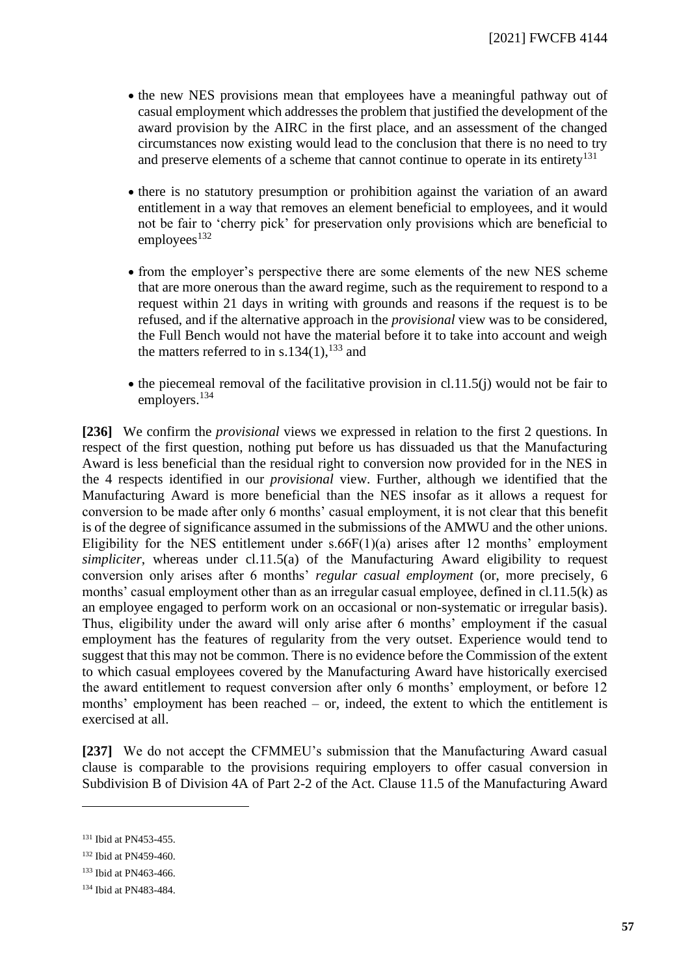- the new NES provisions mean that employees have a meaningful pathway out of casual employment which addresses the problem that justified the development of the award provision by the AIRC in the first place, and an assessment of the changed circumstances now existing would lead to the conclusion that there is no need to try and preserve elements of a scheme that cannot continue to operate in its entirety<sup>131</sup>
- there is no statutory presumption or prohibition against the variation of an award entitlement in a way that removes an element beneficial to employees, and it would not be fair to 'cherry pick' for preservation only provisions which are beneficial to  $employees<sup>132</sup>$
- from the employer's perspective there are some elements of the new NES scheme that are more onerous than the award regime, such as the requirement to respond to a request within 21 days in writing with grounds and reasons if the request is to be refused, and if the alternative approach in the *provisional* view was to be considered, the Full Bench would not have the material before it to take into account and weigh the matters referred to in s.134 $(1)$ ,  $^{133}$  and
- $\bullet$  the piecemeal removal of the facilitative provision in cl.11.5(j) would not be fair to employers.<sup>134</sup>

**[236]** We confirm the *provisional* views we expressed in relation to the first 2 questions. In respect of the first question, nothing put before us has dissuaded us that the Manufacturing Award is less beneficial than the residual right to conversion now provided for in the NES in the 4 respects identified in our *provisional* view. Further, although we identified that the Manufacturing Award is more beneficial than the NES insofar as it allows a request for conversion to be made after only 6 months' casual employment, it is not clear that this benefit is of the degree of significance assumed in the submissions of the AMWU and the other unions. Eligibility for the NES entitlement under  $s.66F(1)(a)$  arises after 12 months' employment *simpliciter*, whereas under cl.11.5(a) of the Manufacturing Award eligibility to request conversion only arises after 6 months' *regular casual employment* (or, more precisely, 6 months' casual employment other than as an irregular casual employee, defined in cl.11.5(k) as an employee engaged to perform work on an occasional or non-systematic or irregular basis). Thus, eligibility under the award will only arise after 6 months' employment if the casual employment has the features of regularity from the very outset. Experience would tend to suggest that this may not be common. There is no evidence before the Commission of the extent to which casual employees covered by the Manufacturing Award have historically exercised the award entitlement to request conversion after only 6 months' employment, or before 12 months' employment has been reached – or, indeed, the extent to which the entitlement is exercised at all.

**[237]** We do not accept the CFMMEU's submission that the Manufacturing Award casual clause is comparable to the provisions requiring employers to offer casual conversion in Subdivision B of Division 4A of Part 2-2 of the Act. Clause 11.5 of the Manufacturing Award

<sup>131</sup> Ibid at PN453-455.

<sup>132</sup> Ibid at PN459-460.

<sup>133</sup> Ibid at PN463-466.

<sup>134</sup> Ibid at PN483-484.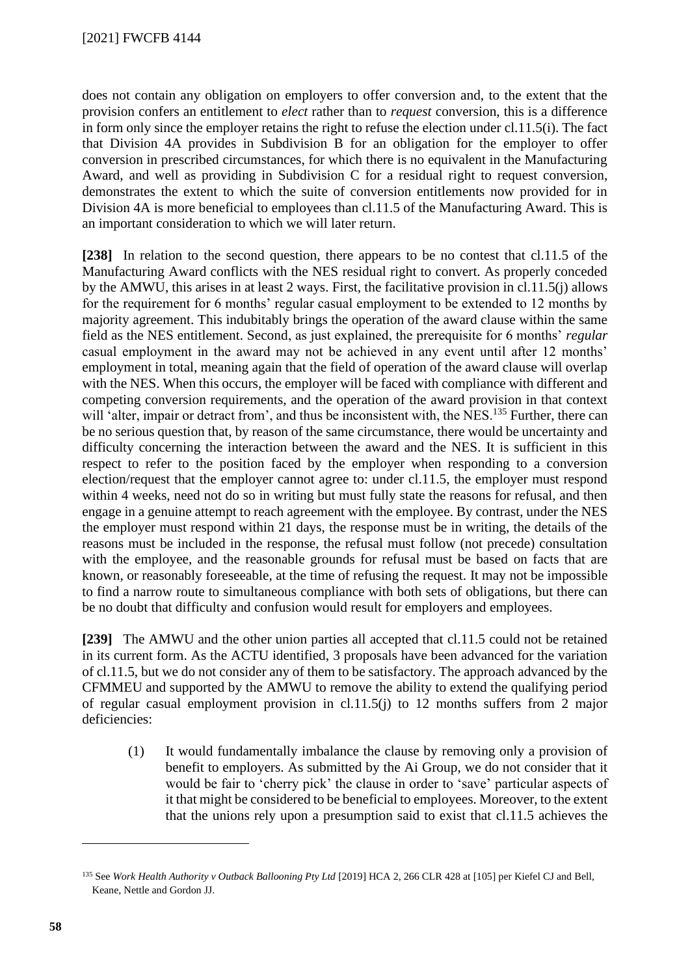does not contain any obligation on employers to offer conversion and, to the extent that the provision confers an entitlement to *elect* rather than to *request* conversion, this is a difference in form only since the employer retains the right to refuse the election under cl.11.5(i). The fact that Division 4A provides in Subdivision B for an obligation for the employer to offer conversion in prescribed circumstances, for which there is no equivalent in the Manufacturing Award, and well as providing in Subdivision C for a residual right to request conversion, demonstrates the extent to which the suite of conversion entitlements now provided for in Division 4A is more beneficial to employees than cl.11.5 of the Manufacturing Award. This is an important consideration to which we will later return.

**[238]** In relation to the second question, there appears to be no contest that cl.11.5 of the Manufacturing Award conflicts with the NES residual right to convert. As properly conceded by the AMWU, this arises in at least 2 ways. First, the facilitative provision in cl.11.5(j) allows for the requirement for 6 months' regular casual employment to be extended to 12 months by majority agreement. This indubitably brings the operation of the award clause within the same field as the NES entitlement. Second, as just explained, the prerequisite for 6 months' *regular* casual employment in the award may not be achieved in any event until after 12 months' employment in total, meaning again that the field of operation of the award clause will overlap with the NES. When this occurs, the employer will be faced with compliance with different and competing conversion requirements, and the operation of the award provision in that context will 'alter, impair or detract from', and thus be inconsistent with, the NES.<sup>135</sup> Further, there can be no serious question that, by reason of the same circumstance, there would be uncertainty and difficulty concerning the interaction between the award and the NES. It is sufficient in this respect to refer to the position faced by the employer when responding to a conversion election/request that the employer cannot agree to: under cl.11.5, the employer must respond within 4 weeks, need not do so in writing but must fully state the reasons for refusal, and then engage in a genuine attempt to reach agreement with the employee. By contrast, under the NES the employer must respond within 21 days, the response must be in writing, the details of the reasons must be included in the response, the refusal must follow (not precede) consultation with the employee, and the reasonable grounds for refusal must be based on facts that are known, or reasonably foreseeable, at the time of refusing the request. It may not be impossible to find a narrow route to simultaneous compliance with both sets of obligations, but there can be no doubt that difficulty and confusion would result for employers and employees.

**[239]** The AMWU and the other union parties all accepted that cl.11.5 could not be retained in its current form. As the ACTU identified, 3 proposals have been advanced for the variation of cl.11.5, but we do not consider any of them to be satisfactory. The approach advanced by the CFMMEU and supported by the AMWU to remove the ability to extend the qualifying period of regular casual employment provision in cl.11.5(j) to 12 months suffers from 2 major deficiencies:

(1) It would fundamentally imbalance the clause by removing only a provision of benefit to employers. As submitted by the Ai Group, we do not consider that it would be fair to 'cherry pick' the clause in order to 'save' particular aspects of it that might be considered to be beneficial to employees. Moreover, to the extent that the unions rely upon a presumption said to exist that cl.11.5 achieves the

<sup>135</sup> See *Work Health Authority v Outback Ballooning Pty Ltd* [2019] HCA 2, 266 CLR 428 at [105] per Kiefel CJ and Bell, Keane, Nettle and Gordon JJ.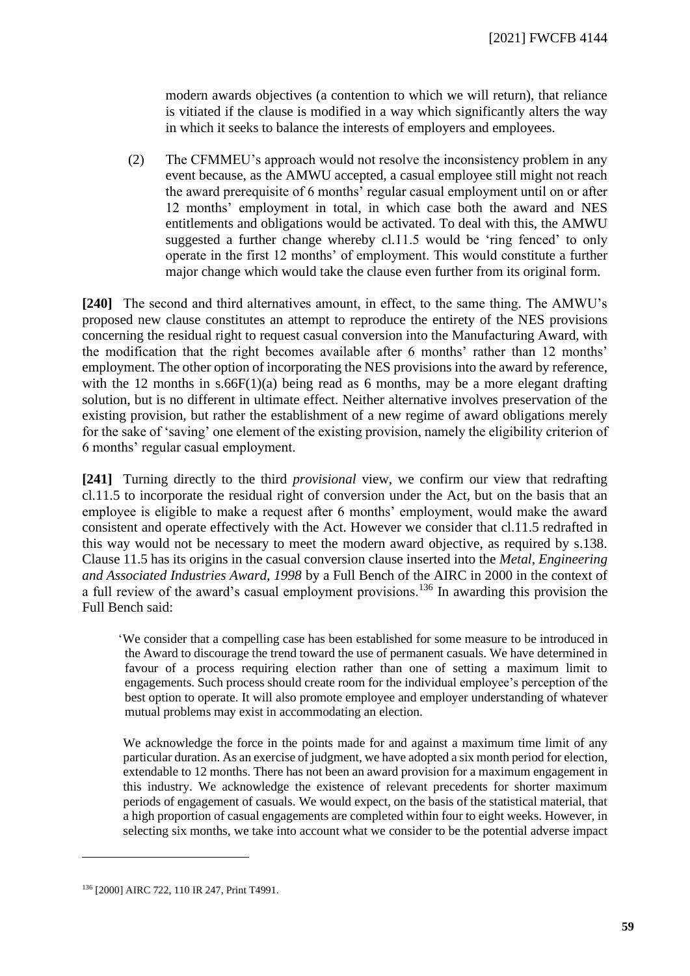modern awards objectives (a contention to which we will return), that reliance is vitiated if the clause is modified in a way which significantly alters the way in which it seeks to balance the interests of employers and employees.

(2) The CFMMEU's approach would not resolve the inconsistency problem in any event because, as the AMWU accepted, a casual employee still might not reach the award prerequisite of 6 months' regular casual employment until on or after 12 months' employment in total, in which case both the award and NES entitlements and obligations would be activated. To deal with this, the AMWU suggested a further change whereby cl.11.5 would be 'ring fenced' to only operate in the first 12 months' of employment. This would constitute a further major change which would take the clause even further from its original form.

**[240]** The second and third alternatives amount, in effect, to the same thing. The AMWU's proposed new clause constitutes an attempt to reproduce the entirety of the NES provisions concerning the residual right to request casual conversion into the Manufacturing Award, with the modification that the right becomes available after 6 months' rather than 12 months' employment. The other option of incorporating the NES provisions into the award by reference, with the 12 months in  $s.66F(1)(a)$  being read as 6 months, may be a more elegant drafting solution, but is no different in ultimate effect. Neither alternative involves preservation of the existing provision, but rather the establishment of a new regime of award obligations merely for the sake of 'saving' one element of the existing provision, namely the eligibility criterion of 6 months' regular casual employment.

**[241]** Turning directly to the third *provisional* view, we confirm our view that redrafting cl.11.5 to incorporate the residual right of conversion under the Act, but on the basis that an employee is eligible to make a request after 6 months' employment, would make the award consistent and operate effectively with the Act. However we consider that cl.11.5 redrafted in this way would not be necessary to meet the modern award objective, as required by s.138. Clause 11.5 has its origins in the casual conversion clause inserted into the *Metal, Engineering and Associated Industries Award, 1998* by a Full Bench of the AIRC in 2000 in the context of a full review of the award's casual employment provisions.<sup>136</sup> In awarding this provision the Full Bench said:

'We consider that a compelling case has been established for some measure to be introduced in the Award to discourage the trend toward the use of permanent casuals. We have determined in favour of a process requiring election rather than one of setting a maximum limit to engagements. Such process should create room for the individual employee's perception of the best option to operate. It will also promote employee and employer understanding of whatever mutual problems may exist in accommodating an election.

We acknowledge the force in the points made for and against a maximum time limit of any particular duration. As an exercise of judgment, we have adopted a six month period for election, extendable to 12 months. There has not been an award provision for a maximum engagement in this industry. We acknowledge the existence of relevant precedents for shorter maximum periods of engagement of casuals. We would expect, on the basis of the statistical material, that a high proportion of casual engagements are completed within four to eight weeks. However, in selecting six months, we take into account what we consider to be the potential adverse impact

<sup>136</sup> [2000] AIRC 722, 110 IR 247, Print T4991.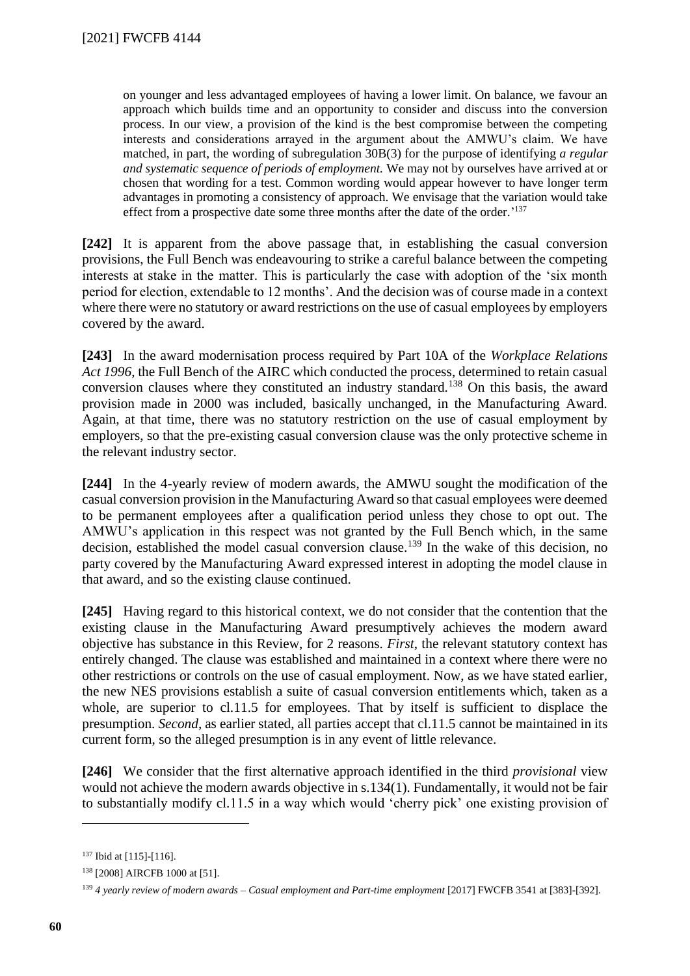on younger and less advantaged employees of having a lower limit. On balance, we favour an approach which builds time and an opportunity to consider and discuss into the conversion process. In our view, a provision of the kind is the best compromise between the competing interests and considerations arrayed in the argument about the AMWU's claim. We have matched, in part, the wording of subregulation 30B(3) for the purpose of identifying *a regular and systematic sequence of periods of employment.* We may not by ourselves have arrived at or chosen that wording for a test. Common wording would appear however to have longer term advantages in promoting a consistency of approach. We envisage that the variation would take effect from a prospective date some three months after the date of the order.<sup>'137</sup>

**[242]** It is apparent from the above passage that, in establishing the casual conversion provisions, the Full Bench was endeavouring to strike a careful balance between the competing interests at stake in the matter. This is particularly the case with adoption of the 'six month period for election, extendable to 12 months'. And the decision was of course made in a context where there were no statutory or award restrictions on the use of casual employees by employers covered by the award.

**[243]** In the award modernisation process required by Part 10A of the *Workplace Relations Act 1996*, the Full Bench of the AIRC which conducted the process, determined to retain casual conversion clauses where they constituted an industry standard.<sup>138</sup> On this basis, the award provision made in 2000 was included, basically unchanged, in the Manufacturing Award. Again, at that time, there was no statutory restriction on the use of casual employment by employers, so that the pre-existing casual conversion clause was the only protective scheme in the relevant industry sector.

**[244]** In the 4-yearly review of modern awards, the AMWU sought the modification of the casual conversion provision in the Manufacturing Award so that casual employees were deemed to be permanent employees after a qualification period unless they chose to opt out. The AMWU's application in this respect was not granted by the Full Bench which, in the same decision, established the model casual conversion clause.<sup>139</sup> In the wake of this decision, no party covered by the Manufacturing Award expressed interest in adopting the model clause in that award, and so the existing clause continued.

**[245]** Having regard to this historical context, we do not consider that the contention that the existing clause in the Manufacturing Award presumptively achieves the modern award objective has substance in this Review, for 2 reasons. *First*, the relevant statutory context has entirely changed. The clause was established and maintained in a context where there were no other restrictions or controls on the use of casual employment. Now, as we have stated earlier, the new NES provisions establish a suite of casual conversion entitlements which, taken as a whole, are superior to cl.11.5 for employees. That by itself is sufficient to displace the presumption. *Second*, as earlier stated, all parties accept that cl.11.5 cannot be maintained in its current form, so the alleged presumption is in any event of little relevance.

**[246]** We consider that the first alternative approach identified in the third *provisional* view would not achieve the modern awards objective in s.134(1). Fundamentally, it would not be fair to substantially modify cl.11.5 in a way which would 'cherry pick' one existing provision of

<sup>137</sup> Ibid at [115]-[116].

<sup>138</sup> [2008] AIRCFB 1000 at [51].

<sup>139</sup> *4 yearly review of modern awards – Casual employment and Part-time employment* [2017] FWCFB 3541 at [383]-[392].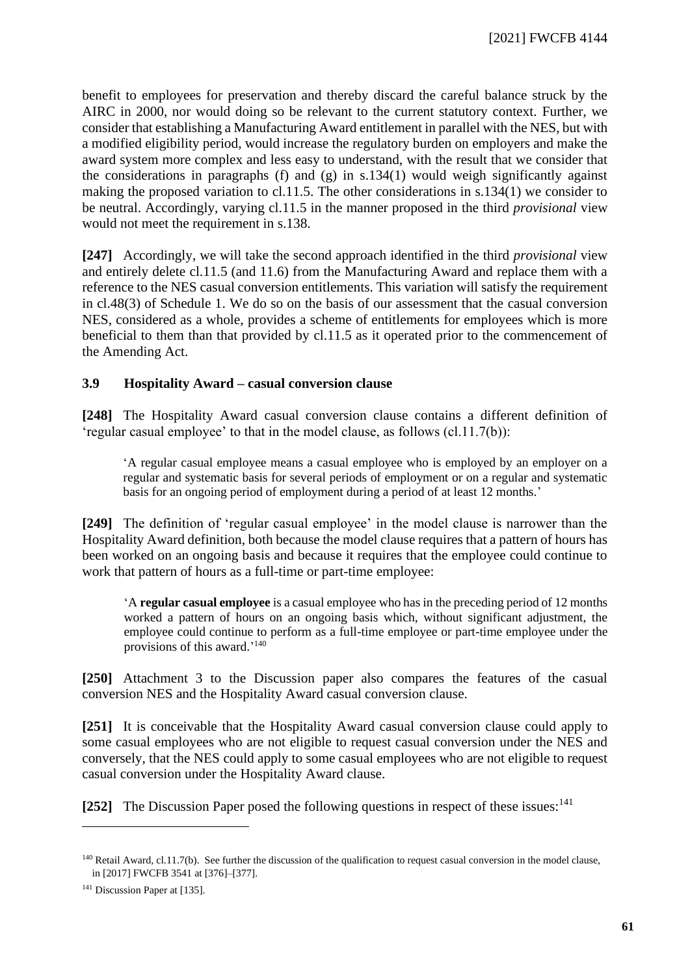benefit to employees for preservation and thereby discard the careful balance struck by the AIRC in 2000, nor would doing so be relevant to the current statutory context. Further, we consider that establishing a Manufacturing Award entitlement in parallel with the NES, but with a modified eligibility period, would increase the regulatory burden on employers and make the award system more complex and less easy to understand, with the result that we consider that the considerations in paragraphs (f) and (g) in  $s.134(1)$  would weigh significantly against making the proposed variation to cl.11.5. The other considerations in s.134(1) we consider to be neutral. Accordingly, varying cl.11.5 in the manner proposed in the third *provisional* view would not meet the requirement in s.138.

**[247]** Accordingly, we will take the second approach identified in the third *provisional* view and entirely delete cl.11.5 (and 11.6) from the Manufacturing Award and replace them with a reference to the NES casual conversion entitlements. This variation will satisfy the requirement in cl.48(3) of Schedule 1. We do so on the basis of our assessment that the casual conversion NES, considered as a whole, provides a scheme of entitlements for employees which is more beneficial to them than that provided by cl.11.5 as it operated prior to the commencement of the Amending Act.

#### **3.9 Hospitality Award – casual conversion clause**

<span id="page-60-0"></span>**[248]** The Hospitality Award casual conversion clause contains a different definition of 'regular casual employee' to that in the model clause, as follows (cl.11.7(b)):

'A regular casual employee means a casual employee who is employed by an employer on a regular and systematic basis for several periods of employment or on a regular and systematic basis for an ongoing period of employment during a period of at least 12 months.'

**[249]** The definition of 'regular casual employee' in the model clause is narrower than the Hospitality Award definition, both because the model clause requires that a pattern of hours has been worked on an ongoing basis and because it requires that the employee could continue to work that pattern of hours as a full-time or part-time employee:

'A **regular casual employee** is a casual employee who has in the preceding period of 12 months worked a pattern of hours on an ongoing basis which, without significant adjustment, the employee could continue to perform as a full-time employee or part-time employee under the provisions of this award.'<sup>140</sup>

**[250]** Attachment 3 to the Discussion paper also compares the features of the casual conversion NES and the Hospitality Award casual conversion clause.

**[251]** It is conceivable that the Hospitality Award casual conversion clause could apply to some casual employees who are not eligible to request casual conversion under the NES and conversely, that the NES could apply to some casual employees who are not eligible to request casual conversion under the Hospitality Award clause.

[252] The Discussion Paper posed the following questions in respect of these issues:<sup>141</sup>

<sup>&</sup>lt;sup>140</sup> Retail Award, cl.11.7(b). See further the discussion of the qualification to request casual conversion in the model clause, in [2017] FWCFB 3541 at [376]–[377].

<sup>&</sup>lt;sup>141</sup> Discussion Paper at [135].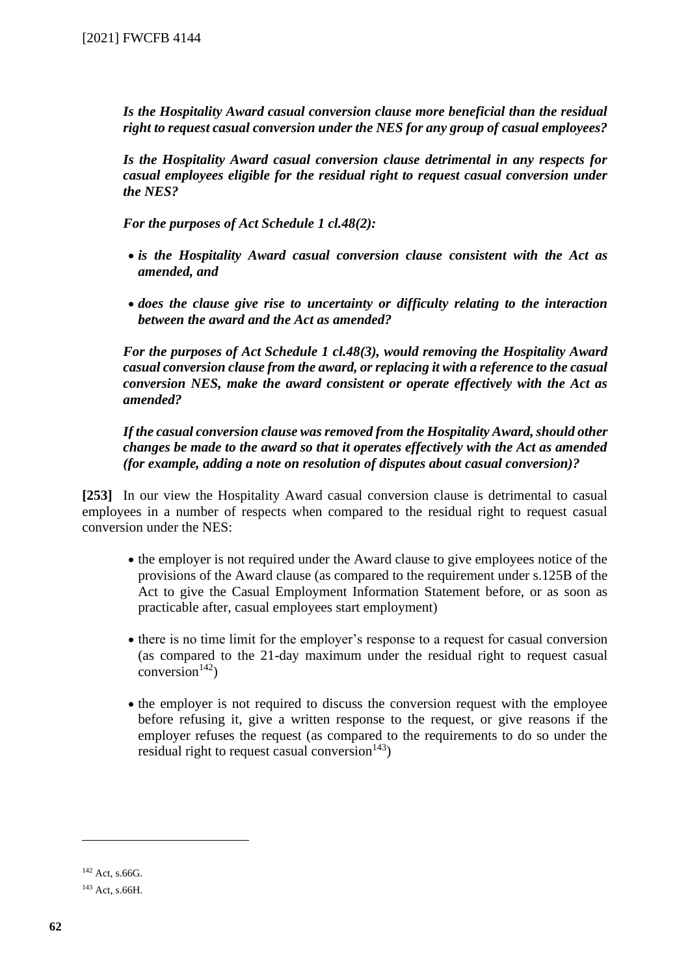*Is the Hospitality Award casual conversion clause more beneficial than the residual right to request casual conversion under the NES for any group of casual employees?*

*Is the Hospitality Award casual conversion clause detrimental in any respects for casual employees eligible for the residual right to request casual conversion under the NES?*

*For the purposes of Act Schedule 1 cl.48(2):*

- *is the Hospitality Award casual conversion clause consistent with the Act as amended, and*
- *does the clause give rise to uncertainty or difficulty relating to the interaction between the award and the Act as amended?*

*For the purposes of Act Schedule 1 cl.48(3), would removing the Hospitality Award casual conversion clause from the award, or replacing it with a reference to the casual conversion NES, make the award consistent or operate effectively with the Act as amended?*

*If the casual conversion clause was removed from the Hospitality Award, should other changes be made to the award so that it operates effectively with the Act as amended (for example, adding a note on resolution of disputes about casual conversion)?*

**[253]** In our view the Hospitality Award casual conversion clause is detrimental to casual employees in a number of respects when compared to the residual right to request casual conversion under the NES:

- the employer is not required under the Award clause to give employees notice of the provisions of the Award clause (as compared to the requirement under s.125B of the Act to give the Casual Employment Information Statement before, or as soon as practicable after, casual employees start employment)
- there is no time limit for the employer's response to a request for casual conversion (as compared to the 21-day maximum under the residual right to request casual conversion $^{142}$ )
- the employer is not required to discuss the conversion request with the employee before refusing it, give a written response to the request, or give reasons if the employer refuses the request (as compared to the requirements to do so under the residual right to request casual conversion $^{143}$ )

<sup>142</sup> Act, s.66G.

<sup>143</sup> Act, s.66H.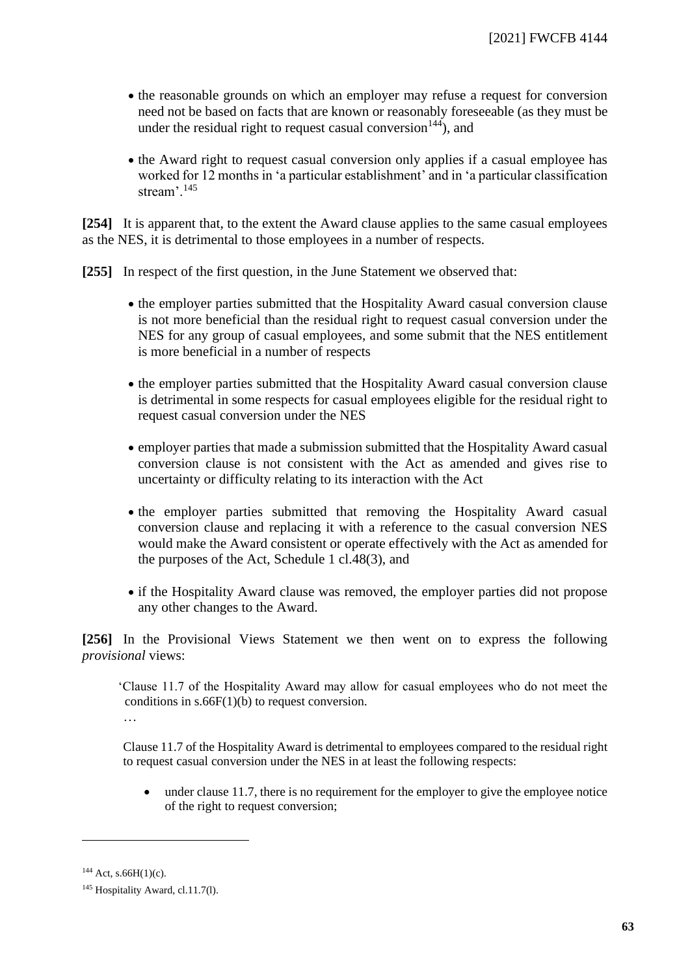- the reasonable grounds on which an employer may refuse a request for conversion need not be based on facts that are known or reasonably foreseeable (as they must be under the residual right to request casual conversion  $144$ ), and
- the Award right to request casual conversion only applies if a casual employee has worked for 12 months in 'a particular establishment' and in 'a particular classification stream'.<sup>145</sup>

**[254]** It is apparent that, to the extent the Award clause applies to the same casual employees as the NES, it is detrimental to those employees in a number of respects.

**[255]** In respect of the first question, in the June Statement we observed that:

- the employer parties submitted that the Hospitality Award casual conversion clause is not more beneficial than the residual right to request casual conversion under the NES for any group of casual employees, and some submit that the NES entitlement is more beneficial in a number of respects
- the employer parties submitted that the Hospitality Award casual conversion clause is detrimental in some respects for casual employees eligible for the residual right to request casual conversion under the NES
- employer parties that made a submission submitted that the Hospitality Award casual conversion clause is not consistent with the Act as amended and gives rise to uncertainty or difficulty relating to its interaction with the Act
- the employer parties submitted that removing the Hospitality Award casual conversion clause and replacing it with a reference to the casual conversion NES would make the Award consistent or operate effectively with the Act as amended for the purposes of the Act, Schedule 1 cl.48(3), and
- if the Hospitality Award clause was removed, the employer parties did not propose any other changes to the Award.

**[256]** In the Provisional Views Statement we then went on to express the following *provisional* views:

'Clause 11.7 of the Hospitality Award may allow for casual employees who do not meet the conditions in  $s.66F(1)(b)$  to request conversion.

…

Clause 11.7 of the Hospitality Award is detrimental to employees compared to the residual right to request casual conversion under the NES in at least the following respects:

• under clause 11.7, there is no requirement for the employer to give the employee notice of the right to request conversion;

 $144$  Act, s.66H(1)(c).

<sup>&</sup>lt;sup>145</sup> Hospitality Award, cl.11.7(l).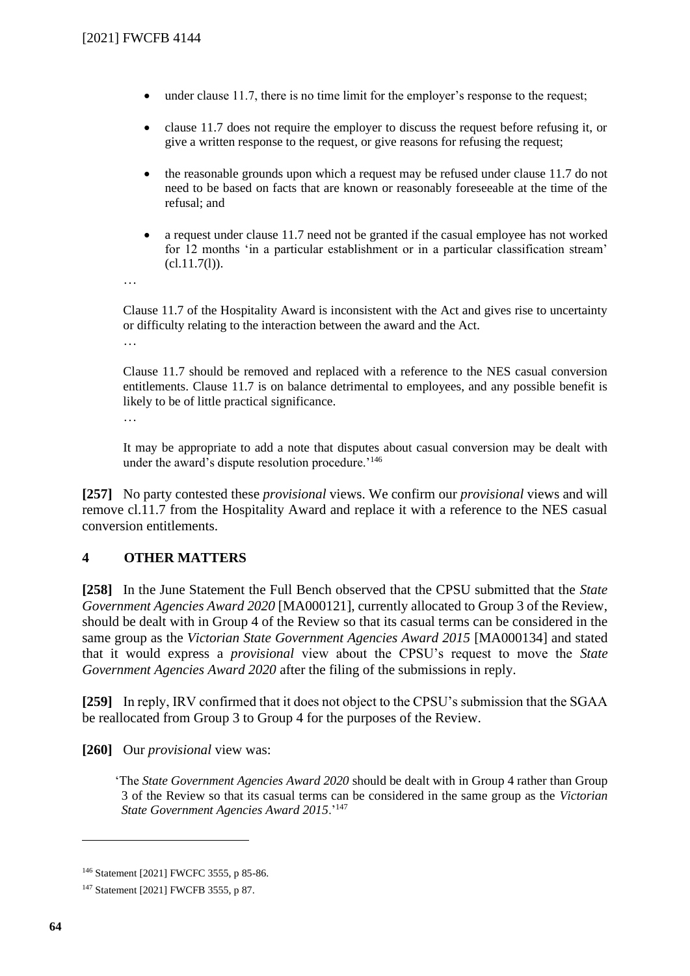- under clause 11.7, there is no time limit for the employer's response to the request;
- clause 11.7 does not require the employer to discuss the request before refusing it, or give a written response to the request, or give reasons for refusing the request;
- the reasonable grounds upon which a request may be refused under clause 11.7 do not need to be based on facts that are known or reasonably foreseeable at the time of the refusal; and
- a request under clause 11.7 need not be granted if the casual employee has not worked for 12 months 'in a particular establishment or in a particular classification stream'  $(cl.11.7(l)).$
- …

Clause 11.7 of the Hospitality Award is inconsistent with the Act and gives rise to uncertainty or difficulty relating to the interaction between the award and the Act.

…

Clause 11.7 should be removed and replaced with a reference to the NES casual conversion entitlements. Clause 11.7 is on balance detrimental to employees, and any possible benefit is likely to be of little practical significance.

…

It may be appropriate to add a note that disputes about casual conversion may be dealt with under the award's dispute resolution procedure.'<sup>146</sup>

**[257]** No party contested these *provisional* views. We confirm our *provisional* views and will remove cl.11.7 from the Hospitality Award and replace it with a reference to the NES casual conversion entitlements.

## **4 OTHER MATTERS**

<span id="page-63-0"></span>**[258]** In the June Statement the Full Bench observed that the CPSU submitted that the *State Government Agencies Award 2020* [MA000121], currently allocated to Group 3 of the Review, should be dealt with in Group 4 of the Review so that its casual terms can be considered in the same group as the *Victorian State Government Agencies Award 2015* [MA000134] and stated that it would express a *provisional* view about the CPSU's request to move the *State Government Agencies Award 2020* after the filing of the submissions in reply.

**[259]** In reply, IRV confirmed that it does not object to the CPSU's submission that the SGAA be reallocated from Group 3 to Group 4 for the purposes of the Review.

**[260]** Our *provisional* view was:

'The *State Government Agencies Award 2020* should be dealt with in Group 4 rather than Group 3 of the Review so that its casual terms can be considered in the same group as the *Victorian State Government Agencies Award 2015*.'<sup>147</sup>

<sup>146</sup> Statement [2021] FWCFC 3555, p 85-86.

<sup>147</sup> Statement [2021] FWCFB 3555, p 87.